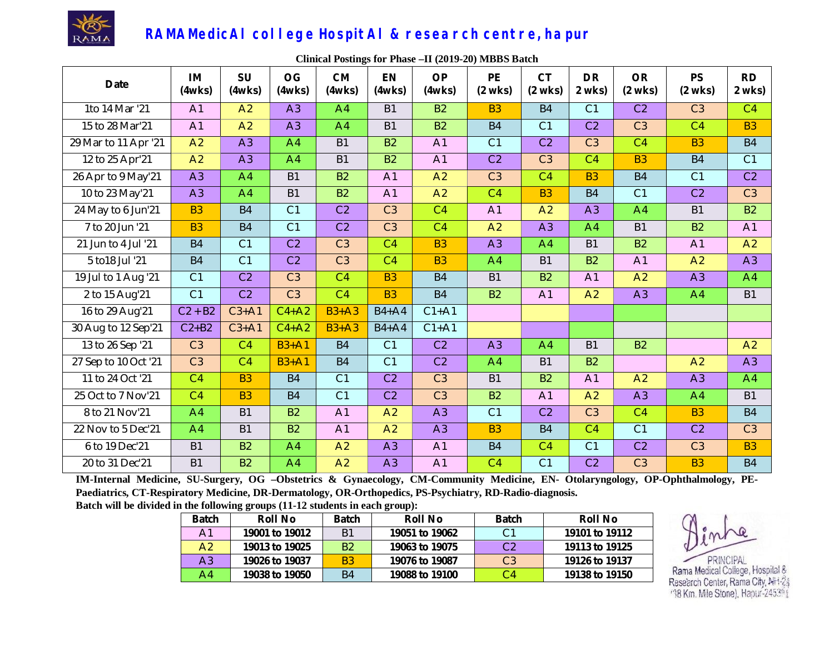

| <b>Date</b>          | IM<br>(4wks)   | SU<br>(4wks)   | <b>OG</b><br>(4wks) | <b>CM</b><br>(4wks) | <b>EN</b><br>(4wks) | <b>OP</b><br>(4wks) | PE<br>$(2$ wks) | <b>CT</b><br>$(2$ wks) | <b>DR</b><br>2 wks) | <b>OR</b><br>$(2$ wks) | <b>PS</b><br>$(2$ wks) | <b>RD</b><br>2 wks) |
|----------------------|----------------|----------------|---------------------|---------------------|---------------------|---------------------|-----------------|------------------------|---------------------|------------------------|------------------------|---------------------|
| 1to 14 Mar '21       | A1             | A2             | A3                  | A4                  | <b>B1</b>           | <b>B2</b>           | <b>B3</b>       | <b>B4</b>              | C1                  | C <sub>2</sub>         | C <sub>3</sub>         | C4                  |
| 15 to 28 Mar'21      | A1             | A <sub>2</sub> | A3                  | A <sub>4</sub>      | <b>B1</b>           | <b>B2</b>           | <b>B4</b>       | C <sub>1</sub>         | C <sub>2</sub>      | C <sub>3</sub>         | C <sub>4</sub>         | <b>B3</b>           |
| 29 Mar to 11 Apr '21 | A2             | A <sub>3</sub> | A <sup>4</sup>      | <b>B1</b>           | <b>B2</b>           | A1                  | C <sub>1</sub>  | C <sub>2</sub>         | C <sub>3</sub>      | C <sub>4</sub>         | <b>B3</b>              | <b>B4</b>           |
| 12 to 25 Apr'21      | A2             | A <sub>3</sub> | A <sup>4</sup>      | <b>B1</b>           | <b>B2</b>           | A1                  | C <sub>2</sub>  | C <sub>3</sub>         | C <sub>4</sub>      | <b>B3</b>              | <b>B4</b>              | C <sub>1</sub>      |
| 26 Apr to 9 May'21   | A3             | A <sub>4</sub> | <b>B1</b>           | <b>B2</b>           | A <sub>1</sub>      | A2                  | C <sub>3</sub>  | C <sub>4</sub>         | <b>B3</b>           | <b>B4</b>              | C <sub>1</sub>         | C <sub>2</sub>      |
| 10 to 23 May'21      | A <sub>3</sub> | A <sub>4</sub> | <b>B1</b>           | <b>B2</b>           | A <sub>1</sub>      | $\overline{A2}$     | $\overline{C4}$ | <b>B3</b>              | <b>B4</b>           | $\overline{C1}$        | C <sub>2</sub>         | C <sub>3</sub>      |
| 24 May to 6 Jun'21   | <b>B3</b>      | <b>B4</b>      | C1                  | C <sub>2</sub>      | C <sub>3</sub>      | C4                  | A1              | A2                     | A3                  | A4                     | <b>B1</b>              | <b>B2</b>           |
| 7 to 20 Jun '21      | <b>B3</b>      | <b>B4</b>      | $\overline{C1}$     | C <sub>2</sub>      | C <sub>3</sub>      | $\overline{C4}$     | A2              | A <sub>3</sub>         | A <sup>4</sup>      | <b>B1</b>              | <b>B2</b>              | A <sub>1</sub>      |
| 21 Jun to 4 Jul '21  | <b>B4</b>      | C <sub>1</sub> | C <sub>2</sub>      | C <sub>3</sub>      | C <sub>4</sub>      | <b>B3</b>           | A <sub>3</sub>  | A <sup>4</sup>         | <b>B1</b>           | <b>B2</b>              | A1                     | A <sub>2</sub>      |
| 5 to 18 Jul '21      | <b>B4</b>      | C <sub>1</sub> | C <sub>2</sub>      | C <sub>3</sub>      | C <sub>4</sub>      | <b>B3</b>           | A <sup>4</sup>  | <b>B1</b>              | <b>B2</b>           | A1                     | A2                     | A3                  |
| 19 Jul to 1 Aug '21  | C <sub>1</sub> | C <sub>2</sub> | C <sub>3</sub>      | C <sub>4</sub>      | <b>B3</b>           | <b>B4</b>           | <b>B1</b>       | <b>B2</b>              | A <sub>1</sub>      | A2                     | A3                     | A <sup>4</sup>      |
| 2 to 15 Aug'21       | C1             | C <sub>2</sub> | C <sub>3</sub>      | C <sub>4</sub>      | <b>B3</b>           | <b>B4</b>           | <b>B2</b>       | A <sub>1</sub>         | A2                  | A <sub>3</sub>         | A4                     | <b>B1</b>           |
| 16 to 29 Aug'21      | $C2 + B2$      | $C3+A1$        | $C4+A2$             | $B3+A3$             | $B4+A4$             | $C1+A1$             |                 |                        |                     |                        |                        |                     |
| 30 Aug to 12 Sep'21  | $C2+B2$        | $C3+A1$        | $C4+A2$             | $B3+A3$             | $B4+A4$             | $C1+A1$             |                 |                        |                     |                        |                        |                     |
| 13 to 26 Sep '21     | C <sub>3</sub> | C <sub>4</sub> | $B3+A1$             | <b>B4</b>           | C <sub>1</sub>      | C <sub>2</sub>      | A3              | A <sup>4</sup>         | <b>B1</b>           | <b>B2</b>              |                        | A <sub>2</sub>      |
| 27 Sep to 10 Oct '21 | C <sub>3</sub> | C <sub>4</sub> | $B3+A1$             | <b>B4</b>           | C <sub>1</sub>      | C <sub>2</sub>      | A <sup>4</sup>  | <b>B1</b>              | <b>B2</b>           |                        | A2                     | A <sub>3</sub>      |
| 11 to 24 Oct '21     | C <sub>4</sub> | <b>B3</b>      | <b>B4</b>           | C <sub>1</sub>      | C <sub>2</sub>      | $\overline{C3}$     | <b>B1</b>       | <b>B2</b>              | A <sub>1</sub>      | A2                     | A <sub>3</sub>         | A <sup>4</sup>      |
| 25 Oct to 7 Nov'21   | C <sub>4</sub> | <b>B3</b>      | <b>B4</b>           | C <sub>1</sub>      | C <sub>2</sub>      | C <sub>3</sub>      | <b>B2</b>       | A1                     | A2                  | A <sub>3</sub>         | A <sup>4</sup>         | <b>B1</b>           |
| 8 to 21 Nov'21       | A <sup>4</sup> | <b>B1</b>      | <b>B2</b>           | A1                  | A <sub>2</sub>      | A <sub>3</sub>      | C <sub>1</sub>  | C <sub>2</sub>         | $\overline{C3}$     | C <sub>4</sub>         | <b>B3</b>              | <b>B4</b>           |
| 22 Nov to 5 Dec'21   | A <sup>4</sup> | <b>B1</b>      | <b>B2</b>           | A1                  | A <sub>2</sub>      | A <sub>3</sub>      | <b>B3</b>       | <b>B4</b>              | C <sub>4</sub>      | C <sub>1</sub>         | C2                     | C <sub>3</sub>      |
| 6 to 19 Dec'21       | <b>B1</b>      | <b>B2</b>      | A <sup>4</sup>      | A <sub>2</sub>      | A <sub>3</sub>      | A1                  | <b>B4</b>       | C <sub>4</sub>         | C <sub>1</sub>      | C <sub>2</sub>         | C <sub>3</sub>         | <b>B3</b>           |
| 20 to 31 Dec'21      | <b>B1</b>      | <b>B2</b>      | A <sub>4</sub>      | A2                  | A <sub>3</sub>      | A1                  | C <sub>4</sub>  | C1                     | C <sub>2</sub>      | C <sub>3</sub>         | <b>B3</b>              | <b>B4</b>           |

**Clinical Postings for Phase –II (2019-20) MBBS Batch**

**IM-Internal Medicine, SU-Surgery, OG –Obstetrics & Gynaecology, CM-Community Medicine, EN- Otolaryngology, OP-Ophthalmology, PE-Paediatrics, CT-Respiratory Medicine, DR-Dermatology, OR-Orthopedics, PS-Psychiatry, RD-Radio-diagnosis.**

**Batch will be divided in the following groups (11-12 students in each group):** 

| <b>Batch</b>   | Roll No        | <b>Batch</b>   | Roll No        | <b>Batch</b>   | <b>Roll No</b> |
|----------------|----------------|----------------|----------------|----------------|----------------|
| A1             | 19001 to 19012 | B <sub>1</sub> | 19051 to 19062 | C1             | 19101 to 19112 |
| A2             | 19013 to 19025 | B <sub>2</sub> | 19063 to 19075 | C <sub>2</sub> | 19113 to 19125 |
| A <sub>3</sub> | 19026 to 19037 | B <sub>3</sub> | 19076 to 19087 | C <sub>3</sub> | 19126 to 19137 |
| A4             | 19038 to 19050 | B <sub>4</sub> | 19088 to 19100 | C4             | 19138 to 19150 |

PRINCIPAL

Rama Medical College, Hospital & Research Center, Rama City, NH-24 '38 Km. Mile Stone), Hapur-245361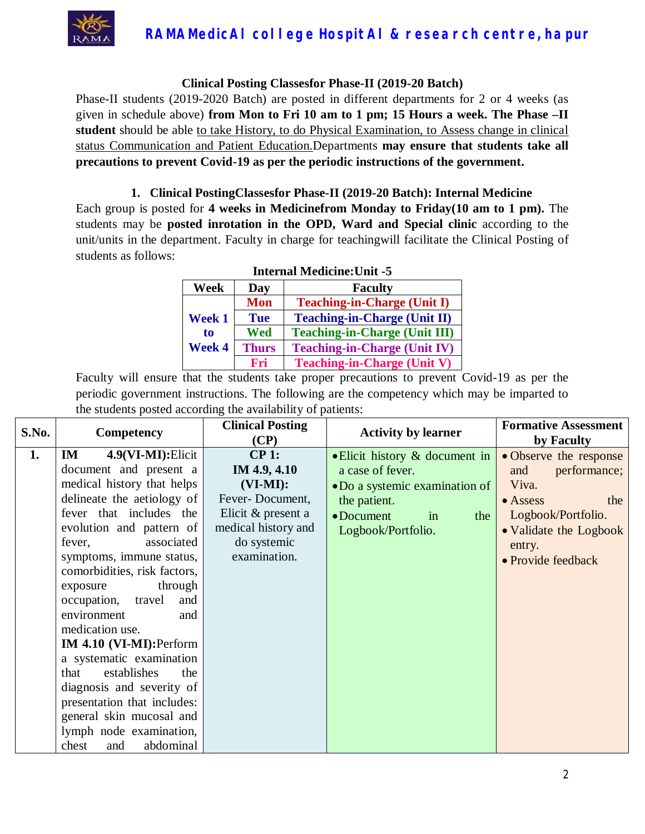

#### **Clinical Posting Classesfor Phase-II (2019-20 Batch)**

Phase-II students (2019-2020 Batch) are posted in different departments for 2 or 4 weeks (as given in schedule above) **from Mon to Fri 10 am to 1 pm; 15 Hours a week. The Phase –II student** should be able to take History, to do Physical Examination, to Assess change in clinical status Communication and Patient Education.Departments **may ensure that students take all precautions to prevent Covid-19 as per the periodic instructions of the government.**

#### **1. Clinical PostingClassesfor Phase-II (2019-20 Batch): Internal Medicine**

Each group is posted for **4 weeks in Medicinefrom Monday to Friday(10 am to 1 pm).** The students may be **posted inrotation in the OPD, Ward and Special clinic** according to the unit/units in the department. Faculty in charge for teachingwill facilitate the Clinical Posting of students as follows:

| <b>Internal Medicine: Unit -5</b> |              |                                      |  |  |
|-----------------------------------|--------------|--------------------------------------|--|--|
| Week                              | Day          | <b>Faculty</b>                       |  |  |
|                                   | <b>Mon</b>   | <b>Teaching-in-Charge (Unit I)</b>   |  |  |
| <b>Week 1</b>                     | <b>Tue</b>   | <b>Teaching-in-Charge (Unit II)</b>  |  |  |
| to                                | Wed          | <b>Teaching-in-Charge (Unit III)</b> |  |  |
| Week 4                            | <b>Thurs</b> | <b>Teaching-in-Charge (Unit IV)</b>  |  |  |
|                                   | Fri          | <b>Teaching-in-Charge (Unit V)</b>   |  |  |

| S.No. | <b>Competency</b>            | <b>Clinical Posting</b> | <b>Activity by learner</b>             | <b>Formative Assessment</b> |
|-------|------------------------------|-------------------------|----------------------------------------|-----------------------------|
|       |                              | (CP)                    |                                        | by Faculty                  |
| 1.    | $4.9(VI-MI):$ Elicit<br>IM   | CP 1:                   | $\bullet$ Elicit history & document in | • Observe the response      |
|       | document and present a       | IM 4.9, 4.10            | a case of fever.                       | performance;<br>and         |
|       | medical history that helps   | $(VI-MI):$              | •Do a systemic examination of          | Viva.                       |
|       | delineate the aetiology of   | Fever-Document,         | the patient.                           | $\bullet$ Assess<br>the     |
|       | fever that includes the      | Elicit & present a      | $\bullet$ Document<br>the<br>in        | Logbook/Portfolio.          |
|       | evolution and pattern of     | medical history and     | Logbook/Portfolio.                     | • Validate the Logbook      |
|       | associated<br>fever,         | do systemic             |                                        | entry.                      |
|       | symptoms, immune status,     | examination.            |                                        | • Provide feedback          |
|       | comorbidities, risk factors, |                         |                                        |                             |
|       | through<br>exposure          |                         |                                        |                             |
|       | travel<br>occupation,<br>and |                         |                                        |                             |
|       | environment<br>and           |                         |                                        |                             |
|       | medication use.              |                         |                                        |                             |
|       | IM 4.10 (VI-MI): Perform     |                         |                                        |                             |
|       | a systematic examination     |                         |                                        |                             |
|       | establishes<br>the<br>that   |                         |                                        |                             |
|       | diagnosis and severity of    |                         |                                        |                             |
|       | presentation that includes:  |                         |                                        |                             |
|       | general skin mucosal and     |                         |                                        |                             |
|       | lymph node examination,      |                         |                                        |                             |
|       | abdominal<br>chest<br>and    |                         |                                        |                             |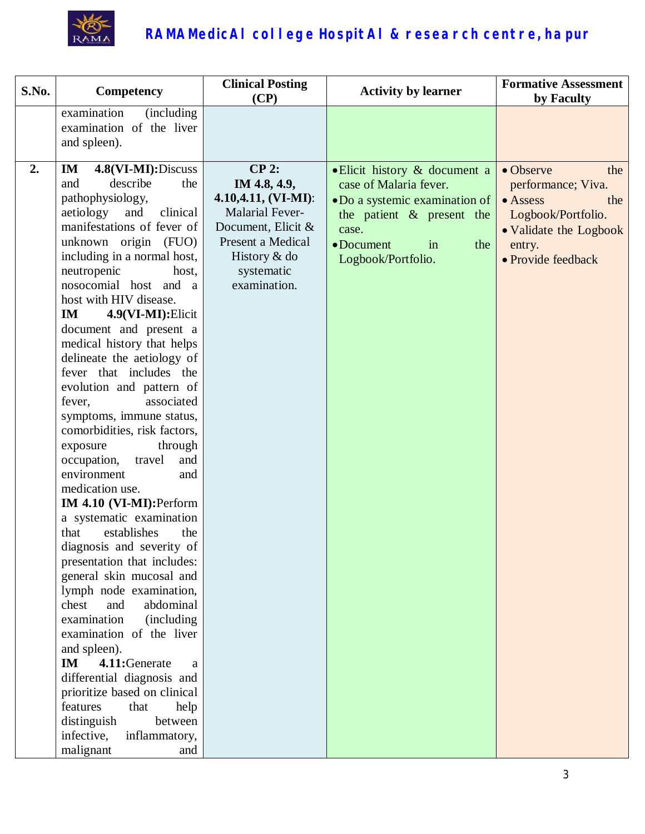

| S.No. | Competency                                                                                                                                                                                                                                                                                                                                                                                                                                                                                                                                                                                                                                                                                                                                                                                                                                                                                                                                                                                                                                                                                                                         | <b>Clinical Posting</b><br>(CP)                                                                                                                                    | <b>Activity by learner</b>                                                                                                                                                                 | <b>Formative Assessment</b><br>by Faculty                                                                                                         |
|-------|------------------------------------------------------------------------------------------------------------------------------------------------------------------------------------------------------------------------------------------------------------------------------------------------------------------------------------------------------------------------------------------------------------------------------------------------------------------------------------------------------------------------------------------------------------------------------------------------------------------------------------------------------------------------------------------------------------------------------------------------------------------------------------------------------------------------------------------------------------------------------------------------------------------------------------------------------------------------------------------------------------------------------------------------------------------------------------------------------------------------------------|--------------------------------------------------------------------------------------------------------------------------------------------------------------------|--------------------------------------------------------------------------------------------------------------------------------------------------------------------------------------------|---------------------------------------------------------------------------------------------------------------------------------------------------|
|       | examination<br>(including)<br>examination of the liver<br>and spleen).                                                                                                                                                                                                                                                                                                                                                                                                                                                                                                                                                                                                                                                                                                                                                                                                                                                                                                                                                                                                                                                             |                                                                                                                                                                    |                                                                                                                                                                                            |                                                                                                                                                   |
| 2.    | 4.8(VI-MI):Discuss<br>IM<br>describe<br>and<br>the<br>pathophysiology,<br>aetiology<br>and<br>clinical<br>manifestations of fever of<br>unknown origin (FUO)<br>including in a normal host,<br>neutropenic<br>host,<br>nosocomial host and a<br>host with HIV disease.<br>4.9(VI-MI): Elicit<br>IM<br>document and present a<br>medical history that helps<br>delineate the aetiology of<br>fever that includes the<br>evolution and pattern of<br>fever,<br>associated<br>symptoms, immune status,<br>comorbidities, risk factors,<br>exposure<br>through<br>occupation,<br>travel<br>and<br>environment<br>and<br>medication use.<br>IM 4.10 (VI-MI): Perform<br>a systematic examination<br>establishes<br>that<br>the<br>diagnosis and severity of<br>presentation that includes:<br>general skin mucosal and<br>lymph node examination,<br>abdominal<br>chest<br>and<br>examination<br>(including)<br>examination of the liver<br>and spleen).<br>4.11:Generate<br>IM<br>a<br>differential diagnosis and<br>prioritize based on clinical<br>features<br>that<br>help<br>distinguish<br>between<br>infective,<br>inflammatory, | CP 2:<br>IM 4.8, 4.9,<br>$4.10, 4.11, (VI-MI):$<br><b>Malarial Fever-</b><br>Document, Elicit &<br>Present a Medical<br>History & do<br>systematic<br>examination. | $\bullet$ Elicit history & document a<br>case of Malaria fever.<br>•Do a systemic examination of<br>the patient $\&$ present the<br>case.<br>• Document<br>the<br>in<br>Logbook/Portfolio. | • Observe<br>the<br>performance; Viva.<br>$\bullet$ Assess<br>the<br>Logbook/Portfolio.<br>• Validate the Logbook<br>entry.<br>• Provide feedback |
|       | malignant<br>and                                                                                                                                                                                                                                                                                                                                                                                                                                                                                                                                                                                                                                                                                                                                                                                                                                                                                                                                                                                                                                                                                                                   |                                                                                                                                                                    |                                                                                                                                                                                            |                                                                                                                                                   |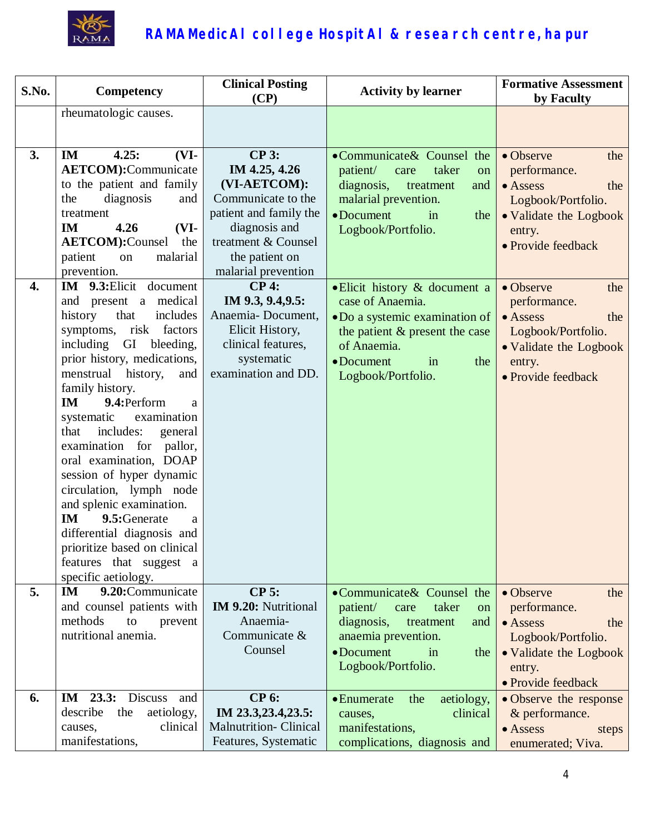

| S.No. | Competency                                                                                                                                                                                                                                                                                                                                                                                                                                                                                                                                                                                            | <b>Clinical Posting</b><br>(CP)                                                                                                       | <b>Activity by learner</b>                                                                                                                                                            | <b>Formative Assessment</b><br>by Faculty                                                                                                   |
|-------|-------------------------------------------------------------------------------------------------------------------------------------------------------------------------------------------------------------------------------------------------------------------------------------------------------------------------------------------------------------------------------------------------------------------------------------------------------------------------------------------------------------------------------------------------------------------------------------------------------|---------------------------------------------------------------------------------------------------------------------------------------|---------------------------------------------------------------------------------------------------------------------------------------------------------------------------------------|---------------------------------------------------------------------------------------------------------------------------------------------|
|       | rheumatologic causes.                                                                                                                                                                                                                                                                                                                                                                                                                                                                                                                                                                                 |                                                                                                                                       |                                                                                                                                                                                       |                                                                                                                                             |
|       |                                                                                                                                                                                                                                                                                                                                                                                                                                                                                                                                                                                                       |                                                                                                                                       |                                                                                                                                                                                       |                                                                                                                                             |
| 3.    | 4.25:<br>IM<br>$(VI-$<br><b>AETCOM</b> ):Communicate<br>to the patient and family<br>diagnosis<br>the<br>and<br>treatment<br>$(VI-$<br><b>IM</b><br>4.26                                                                                                                                                                                                                                                                                                                                                                                                                                              | <b>CP 3:</b><br>IM 4.25, 4.26<br>(VI-AETCOM):<br>Communicate to the<br>patient and family the<br>diagnosis and<br>treatment & Counsel | •Communicate& Counsel the<br>patient/<br>taker<br>care<br>on<br>diagnosis,<br>treatment<br>and<br>malarial prevention.<br>$\bullet$ Document<br>in<br>the<br>Logbook/Portfolio.       | • Observe<br>the<br>performance.<br>$\bullet$ Assess<br>the<br>Logbook/Portfolio.<br>• Validate the Logbook<br>entry.                       |
|       | <b>AETCOM</b> ):Counsel<br>the<br>malarial<br>patient<br>on<br>prevention.                                                                                                                                                                                                                                                                                                                                                                                                                                                                                                                            | the patient on<br>malarial prevention                                                                                                 |                                                                                                                                                                                       | • Provide feedback                                                                                                                          |
| 4.    | IM 9.3: Elicit document<br>and present a medical<br>that<br>history<br>includes<br>symptoms, risk factors<br>including GI bleeding,<br>prior history, medications,<br>menstrual history,<br>and<br>family history.<br>9.4: Perform<br>IM<br>a<br>systematic<br>examination<br>includes:<br>general<br>that<br>examination for pallor,<br>oral examination, DOAP<br>session of hyper dynamic<br>circulation, lymph node<br>and splenic examination.<br><b>IM</b><br>9.5: Generate<br>a<br>differential diagnosis and<br>prioritize based on clinical<br>features that suggest a<br>specific aetiology. | $CP4$ :<br>IM 9.3, 9.4, 9.5:<br>Anaemia-Document,<br>Elicit History,<br>clinical features,<br>systematic<br>examination and DD.       | • Elicit history & document a<br>case of Anaemia.<br>. Do a systemic examination of<br>the patient & present the case<br>of Anaemia.<br>• Document<br>the<br>in<br>Logbook/Portfolio. | • Observe<br>the<br>performance.<br>• Assess<br>the<br>Logbook/Portfolio.<br>• Validate the Logbook<br>entry.<br>• Provide feedback         |
| 5.    | 9.20:Communicate<br>IM<br>and counsel patients with<br>methods<br>to<br>prevent<br>nutritional anemia.                                                                                                                                                                                                                                                                                                                                                                                                                                                                                                | $CP$ 5:<br><b>IM 9.20:</b> Nutritional<br>Anaemia-<br>Communicate &<br>Counsel                                                        | •Communicate& Counsel the<br>patient/<br>taker<br>care<br>on<br>diagnosis,<br>treatment<br>and<br>anaemia prevention.<br>• Document<br>in<br>the<br>Logbook/Portfolio.                | • Observe<br>the<br>performance.<br>$\bullet$ Assess<br>the<br>Logbook/Portfolio.<br>• Validate the Logbook<br>entry.<br>• Provide feedback |
| 6.    | $23.3:$ Discuss<br>IM<br>and<br>describe<br>aetiology,<br>the<br>clinical<br>causes,<br>manifestations,                                                                                                                                                                                                                                                                                                                                                                                                                                                                                               | <b>CP 6:</b><br>IM 23.3,23.4,23.5:<br><b>Malnutrition-Clinical</b><br>Features, Systematic                                            | • Enumerate<br>aetiology,<br>the<br>clinical<br>causes,<br>manifestations,<br>complications, diagnosis and                                                                            | • Observe the response<br>& performance.<br>$\bullet$ Assess<br>steps<br>enumerated; Viva.                                                  |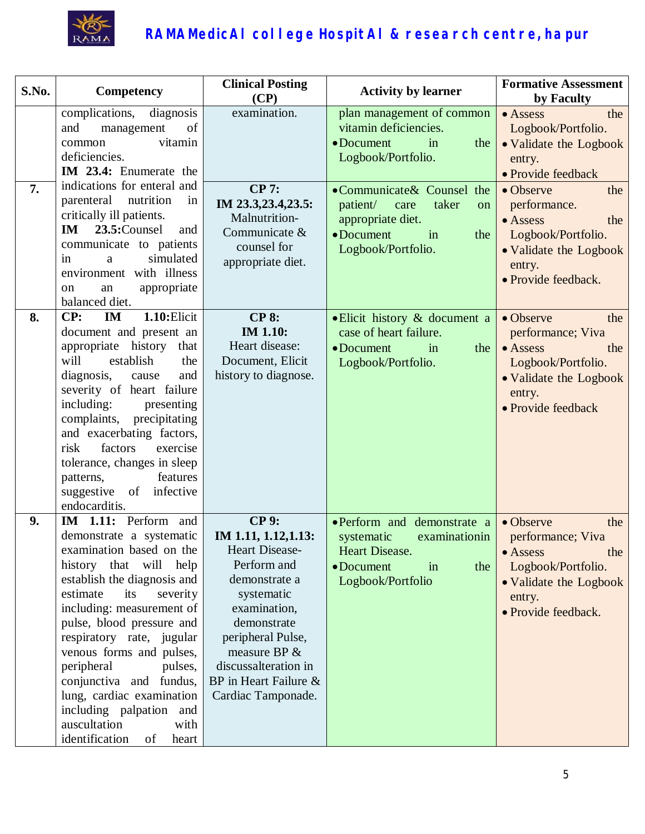

| S.No. | Competency                                                                                                                                                                                                                                                                                                                                                                                                                                                   | <b>Clinical Posting</b><br>(CP)                                                                                                                                                                                                                       | <b>Activity by learner</b>                                                                                                         | <b>Formative Assessment</b><br>by Faculty                                                                                                        |
|-------|--------------------------------------------------------------------------------------------------------------------------------------------------------------------------------------------------------------------------------------------------------------------------------------------------------------------------------------------------------------------------------------------------------------------------------------------------------------|-------------------------------------------------------------------------------------------------------------------------------------------------------------------------------------------------------------------------------------------------------|------------------------------------------------------------------------------------------------------------------------------------|--------------------------------------------------------------------------------------------------------------------------------------------------|
|       | complications,<br>diagnosis<br>of<br>and<br>management<br>vitamin<br>common<br>deficiencies.<br>IM 23.4: Enumerate the                                                                                                                                                                                                                                                                                                                                       | examination.                                                                                                                                                                                                                                          | plan management of common<br>vitamin deficiencies.<br>$\bullet$ Document<br>in<br>the<br>Logbook/Portfolio.                        | • Assess<br>the<br>Logbook/Portfolio.<br>• Validate the Logbook<br>entry.<br>• Provide feedback                                                  |
| 7.    | indications for enteral and<br>parenteral<br>nutrition<br>in<br>critically ill patients.<br>23.5:Counsel<br><b>IM</b><br>and<br>communicate to patients<br>simulated<br>a<br>in<br>environment with illness<br>appropriate<br>an<br>on<br>balanced diet.                                                                                                                                                                                                     | <b>CP 7:</b><br>IM 23.3,23.4,23.5:<br>Malnutrition-<br>Communicate &<br>counsel for<br>appropriate diet.                                                                                                                                              | •Communicate& Counsel the<br>patient/<br>taker<br>care<br>on<br>appropriate diet.<br>• Document<br>in<br>the<br>Logbook/Portfolio. | • Observe<br>the<br>performance.<br>$\bullet$ Assess<br>the<br>Logbook/Portfolio.<br>• Validate the Logbook<br>entry.<br>· Provide feedback.     |
| 8.    | $1.10:$ Elicit<br>CP:<br>IM<br>document and present an<br>history<br>appropriate<br>that<br>will<br>establish<br>the<br>diagnosis,<br>and<br>cause<br>severity of heart failure<br>including:<br>presenting<br>complaints, precipitating<br>and exacerbating factors,<br>factors<br>risk<br>exercise<br>tolerance, changes in sleep<br>features<br>patterns,<br>suggestive<br>infective<br>of<br>endocarditis.                                               | <b>CP 8:</b><br><b>IM 1.10:</b><br>Heart disease:<br>Document, Elicit<br>history to diagnose.                                                                                                                                                         | • Elicit history & document a<br>case of heart failure.<br>• Document<br>in<br>the<br>Logbook/Portfolio.                           | • Observe<br>the<br>performance; Viva<br>$\bullet$ Assess<br>the<br>Logbook/Portfolio.<br>• Validate the Logbook<br>entry.<br>• Provide feedback |
| 9.    | IM 1.11: Perform and<br>demonstrate a systematic<br>examination based on the<br>history that will help<br>establish the diagnosis and<br>estimate<br>its<br>severity<br>including: measurement of<br>pulse, blood pressure and<br>respiratory rate, jugular<br>venous forms and pulses,<br>peripheral<br>pulses,<br>conjunctiva and fundus,<br>lung, cardiac examination<br>including palpation and<br>auscultation<br>with<br>identification<br>of<br>heart | <b>CP9:</b><br>IM 1.11, 1.12, 1.13:<br><b>Heart Disease-</b><br>Perform and<br>demonstrate a<br>systematic<br>examination,<br>demonstrate<br>peripheral Pulse,<br>measure BP &<br>discussalteration in<br>BP in Heart Failure &<br>Cardiac Tamponade. | ·Perform and demonstrate a<br>systematic<br>examinationin<br>Heart Disease.<br>• Document<br>in<br>the<br>Logbook/Portfolio        | • Observe<br>the<br>performance; Viva<br>• Assess<br>the<br>Logbook/Portfolio.<br>• Validate the Logbook<br>entry.<br>· Provide feedback.        |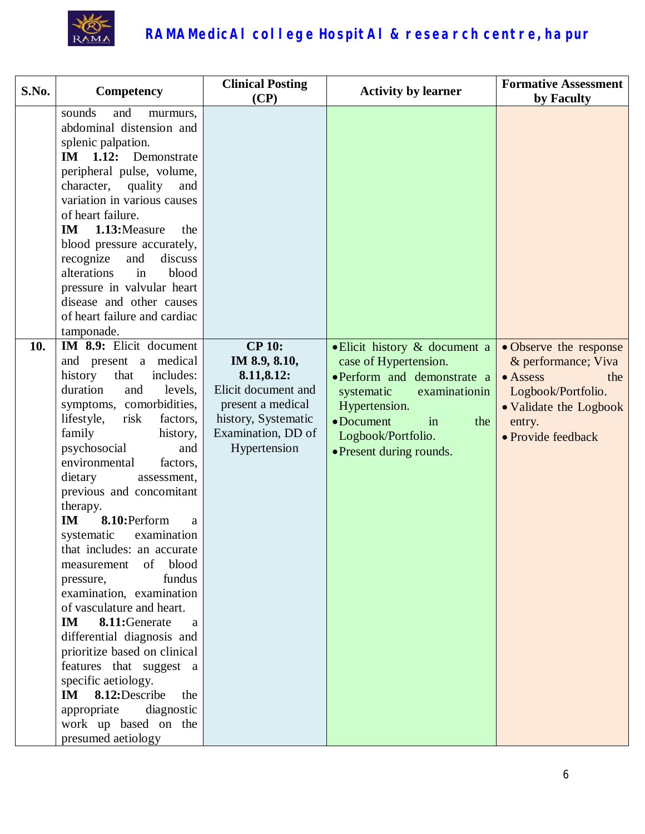

| S.No. | Competency                                                                                                                                                                                                                                                                                                                                                                                                                                                                                                                                                                                                                                                                                                                                                                                      | <b>Clinical Posting</b><br>(CP)                                                                                                                       | <b>Activity by learner</b>                                                                                                                                                                                                | <b>Formative Assessment</b><br>by Faculty                                                                                                                |
|-------|-------------------------------------------------------------------------------------------------------------------------------------------------------------------------------------------------------------------------------------------------------------------------------------------------------------------------------------------------------------------------------------------------------------------------------------------------------------------------------------------------------------------------------------------------------------------------------------------------------------------------------------------------------------------------------------------------------------------------------------------------------------------------------------------------|-------------------------------------------------------------------------------------------------------------------------------------------------------|---------------------------------------------------------------------------------------------------------------------------------------------------------------------------------------------------------------------------|----------------------------------------------------------------------------------------------------------------------------------------------------------|
|       | sounds<br>and<br>murmurs,<br>abdominal distension and<br>splenic palpation.<br>IM 1.12: Demonstrate<br>peripheral pulse, volume,<br>character, quality<br>and<br>variation in various causes<br>of heart failure.<br>1.13: Measure<br>IM<br>the<br>blood pressure accurately,<br>recognize<br>and<br>discuss<br>alterations<br>in<br>blood<br>pressure in valvular heart<br>disease and other causes<br>of heart failure and cardiac<br>tamponade.                                                                                                                                                                                                                                                                                                                                              |                                                                                                                                                       |                                                                                                                                                                                                                           |                                                                                                                                                          |
| 10.   | IM 8.9: Elicit document<br>and present a medical<br>history<br>that<br>includes:<br>duration<br>and<br>levels,<br>symptoms, comorbidities,<br>lifestyle,<br>risk<br>factors,<br>family<br>history,<br>psychosocial<br>and<br>environmental<br>factors,<br>dietary<br>assessment,<br>previous and concomitant<br>therapy.<br>8.10:Perform<br>IM<br>a<br>systematic<br>examination<br>that includes: an accurate<br>of blood<br>measurement<br>fundus<br>pressure,<br>examination, examination<br>of vasculature and heart.<br>IM<br>8.11:Generate<br>a<br>differential diagnosis and<br>prioritize based on clinical<br>features that suggest a<br>specific aetiology.<br>8.12:Describe<br>$\mathbf{I}\mathbf{M}$<br>the<br>appropriate diagnostic<br>work up based on the<br>presumed aetiology | <b>CP 10:</b><br>IM 8.9, 8.10,<br>8.11,8.12:<br>Elicit document and<br>present a medical<br>history, Systematic<br>Examination, DD of<br>Hypertension | • Elicit history & document a<br>case of Hypertension.<br>•Perform and demonstrate a<br>systematic<br>examinationin<br>Hypertension.<br>$\bullet$ Document<br>in<br>the<br>Logbook/Portfolio.<br>• Present during rounds. | • Observe the response<br>& performance; Viva<br>$\bullet$ Assess<br>the<br>Logbook/Portfolio.<br>• Validate the Logbook<br>entry.<br>• Provide feedback |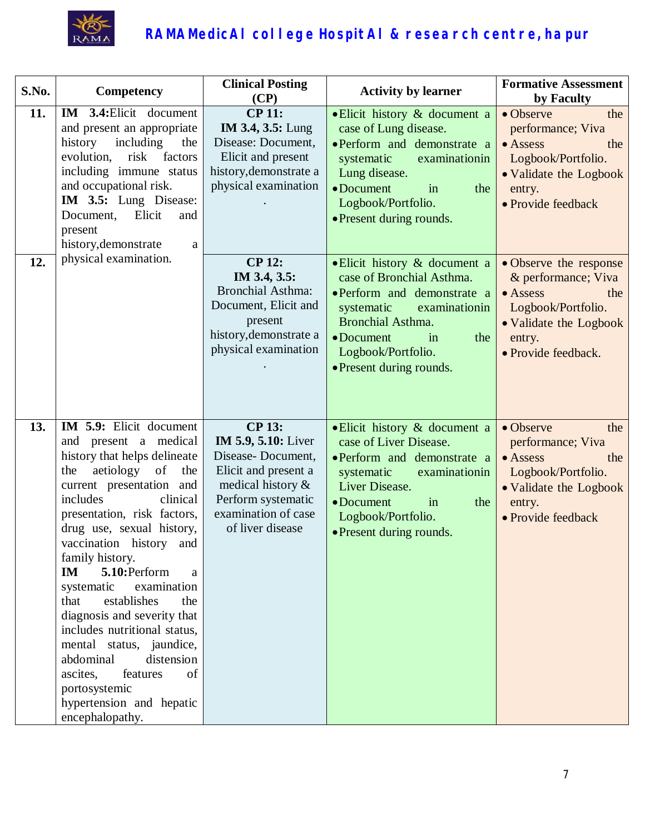

| S.No. | Competency                                                                                                                                                                                                                                                                                                                                                                                                                                                                                                                                                                             | <b>Clinical Posting</b><br>(CP)                                                                                                                                                | <b>Activity by learner</b>                                                                                                                                                                                                        | <b>Formative Assessment</b><br>by Faculty                                                                                                                 |
|-------|----------------------------------------------------------------------------------------------------------------------------------------------------------------------------------------------------------------------------------------------------------------------------------------------------------------------------------------------------------------------------------------------------------------------------------------------------------------------------------------------------------------------------------------------------------------------------------------|--------------------------------------------------------------------------------------------------------------------------------------------------------------------------------|-----------------------------------------------------------------------------------------------------------------------------------------------------------------------------------------------------------------------------------|-----------------------------------------------------------------------------------------------------------------------------------------------------------|
| 11.   | IM 3.4: Elicit document<br>and present an appropriate<br>history<br>including<br>the<br>evolution,<br>risk<br>factors<br>including immune status<br>and occupational risk.<br>IM 3.5: Lung Disease:<br>Document,<br>Elicit<br>and<br>present<br>history, demonstrate<br>$\rm{a}$                                                                                                                                                                                                                                                                                                       | <b>CP 11:</b><br><b>IM 3.4, 3.5: Lung</b><br>Disease: Document,<br>Elicit and present<br>history, demonstrate a<br>physical examination                                        | • Elicit history & document a<br>case of Lung disease.<br>·Perform and demonstrate a<br>systematic<br>examinationin<br>Lung disease.<br>$\bullet$ Document<br>in<br>the<br>Logbook/Portfolio.<br>• Present during rounds.         | • Observe<br>the<br>performance; Viva<br>$\bullet$ Assess<br>the<br>Logbook/Portfolio.<br>• Validate the Logbook<br>entry.<br>• Provide feedback          |
| 12.   | physical examination.                                                                                                                                                                                                                                                                                                                                                                                                                                                                                                                                                                  | <b>CP 12:</b><br>IM 3.4, 3.5:<br><b>Bronchial Asthma:</b><br>Document, Elicit and<br>present<br>history, demonstrate a<br>physical examination                                 | • Elicit history & document a<br>case of Bronchial Asthma.<br>• Perform and demonstrate a<br>systematic<br>examinationin<br><b>Bronchial Asthma.</b><br>• Document<br>the<br>in<br>Logbook/Portfolio.<br>• Present during rounds. | · Observe the response<br>& performance; Viva<br>$\bullet$ Assess<br>the<br>Logbook/Portfolio.<br>• Validate the Logbook<br>entry.<br>· Provide feedback. |
| 13.   | IM 5.9: Elicit document<br>and present a medical<br>history that helps delineate<br>aetiology of<br>the<br>the<br>current presentation and<br>includes<br>clinical<br>presentation, risk factors,<br>drug use, sexual history,<br>vaccination history and<br>family history.<br>5.10:Perform<br>IM<br>a<br>examination<br>systematic<br>establishes<br>that<br>the<br>diagnosis and severity that<br>includes nutritional status,<br>mental status, jaundice,<br>abdominal<br>distension<br>of<br>ascites,<br>features<br>portosystemic<br>hypertension and hepatic<br>encephalopathy. | <b>CP 13:</b><br><b>IM 5.9, 5.10:</b> Liver<br>Disease-Document,<br>Elicit and present a<br>medical history &<br>Perform systematic<br>examination of case<br>of liver disease | • Elicit history & document a<br>case of Liver Disease.<br>• Perform and demonstrate a<br>systematic<br>examinationin<br>Liver Disease.<br>• Document<br>in<br>the<br>Logbook/Portfolio.<br>• Present during rounds.              | • Observe<br>the<br>performance; Viva<br>• Assess<br>the<br>Logbook/Portfolio.<br>• Validate the Logbook<br>entry.<br>• Provide feedback                  |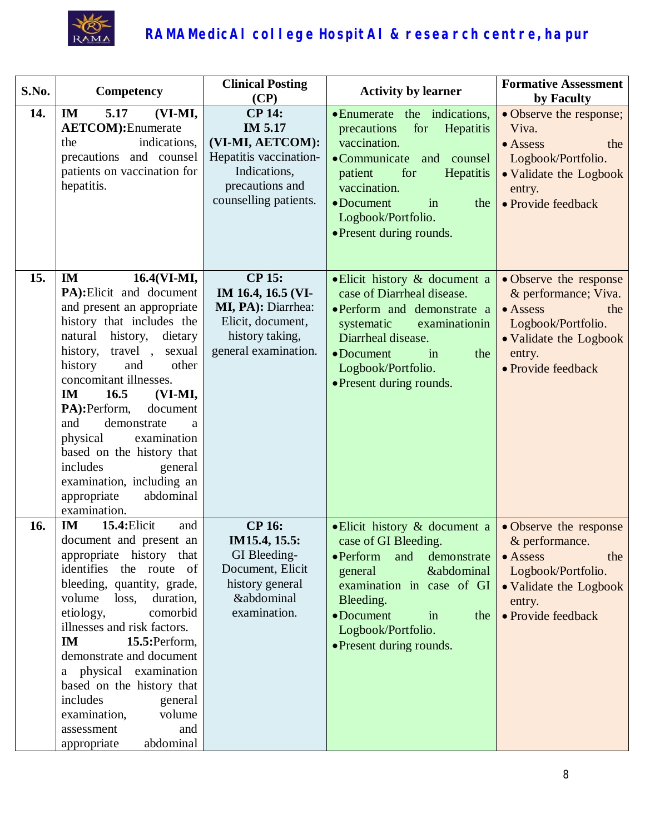

| S.No. | Competency                                                                                                                                                                                                                                                                                                                                                                                                                                                                | <b>Clinical Posting</b><br>(CP)                                                                                                    | <b>Activity by learner</b>                                                                                                                                                                                                                       | <b>Formative Assessment</b><br>by Faculty                                                                                                                 |
|-------|---------------------------------------------------------------------------------------------------------------------------------------------------------------------------------------------------------------------------------------------------------------------------------------------------------------------------------------------------------------------------------------------------------------------------------------------------------------------------|------------------------------------------------------------------------------------------------------------------------------------|--------------------------------------------------------------------------------------------------------------------------------------------------------------------------------------------------------------------------------------------------|-----------------------------------------------------------------------------------------------------------------------------------------------------------|
| 14.   | 5.17<br>(VI-MI,<br>IM<br><b>AETCOM</b> ): Enumerate<br>indications,<br>the<br>precautions and counsel<br>patients on vaccination for<br>hepatitis.                                                                                                                                                                                                                                                                                                                        | <b>CP 14:</b><br>IM 5.17<br>(VI-MI, AETCOM):<br>Hepatitis vaccination-<br>Indications,<br>precautions and<br>counselling patients. | • Enumerate the indications,<br>for<br>Hepatitis<br>precautions<br>vaccination.<br>•Communicate and counsel<br>patient<br>for<br><b>Hepatitis</b><br>vaccination.<br>• Document<br>in<br>the<br>Logbook/Portfolio.<br>• Present during rounds.   | • Observe the response;<br>Viva.<br>$\bullet$ Assess<br>the<br>Logbook/Portfolio.<br>• Validate the Logbook<br>entry.<br>• Provide feedback               |
| 15.   | $16.4(VI-MI,$<br>IM<br>PA): Elicit and document<br>and present an appropriate<br>history that includes the<br>natural history,<br>dietary<br>history,<br>travel,<br>sexual<br>history<br>other<br>and<br>concomitant illnesses.<br>16.5<br>IM<br>$(VI-MI,$<br>PA):Perform,<br>document<br>and<br>demonstrate<br>a<br>physical<br>examination<br>based on the history that<br>includes<br>general<br>examination, including an<br>abdominal<br>appropriate<br>examination. | <b>CP 15:</b><br>IM 16.4, 16.5 (VI-<br>MI, PA): Diarrhea:<br>Elicit, document,<br>history taking,<br>general examination.          | • Elicit history & document a<br>case of Diarrheal disease.<br>·Perform and demonstrate a<br>systematic<br>examinationin<br>Diarrheal disease.<br>• Document<br>in<br>the<br>Logbook/Portfolio.<br>• Present during rounds.                      | • Observe the response<br>& performance; Viva.<br>$\bullet$ Assess<br>the<br>Logbook/Portfolio.<br>• Validate the Logbook<br>entry.<br>· Provide feedback |
| 16.   | 15.4: Elicit<br>IM<br>and<br>document and present an<br>appropriate history that<br>identifies the route of<br>bleeding, quantity, grade,<br>volume<br>duration,<br>loss,<br>comorbid<br>etiology,<br>illnesses and risk factors.<br>15.5: Perform,<br><b>IM</b><br>demonstrate and document<br>a physical examination<br>based on the history that<br>includes<br>general<br>volume<br>examination,<br>assessment<br>and<br>abdominal<br>appropriate                     | <b>CP 16:</b><br>IM15.4, 15.5:<br>GI Bleeding-<br>Document, Elicit<br>history general<br><b>&amp;abdominal</b><br>examination.     | • Elicit history & document a<br>case of GI Bleeding.<br>$\bullet$ Perform<br>demonstrate<br>and<br>&abdominal<br>general<br>examination in case of GI<br>Bleeding.<br>• Document<br>in<br>the<br>Logbook/Portfolio.<br>• Present during rounds. | • Observe the response<br>& performance.<br>the<br>$\bullet$ Assess<br>Logbook/Portfolio.<br>• Validate the Logbook<br>entry.<br>• Provide feedback       |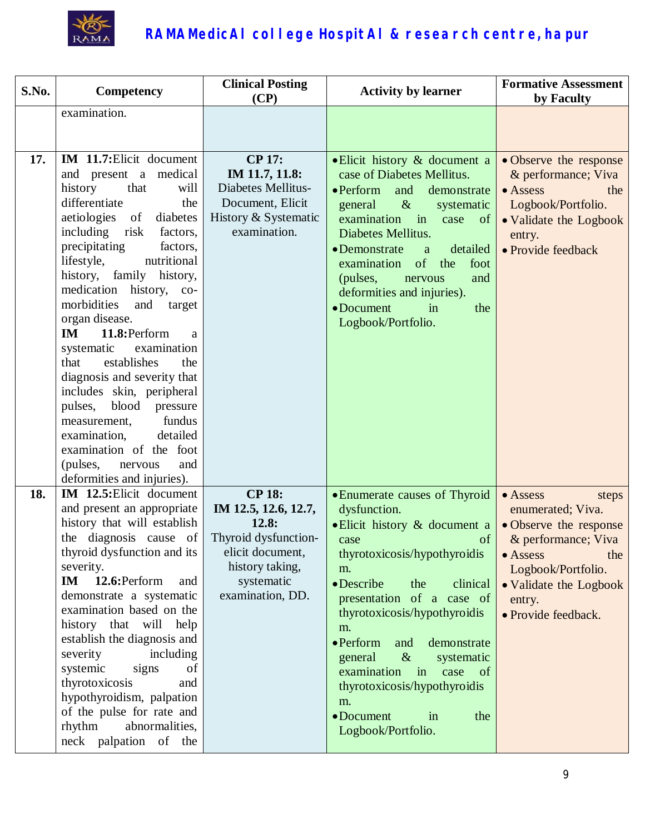

| S.No. | Competency                                                                                                                                                                                                                                                                                                                                                                                                                                                                                                                                                                                                                                        | <b>Clinical Posting</b><br>(CP)                                                                                                                 | <b>Activity by learner</b>                                                                                                                                                                                                                                                                                                                                                                                                                              | <b>Formative Assessment</b><br>by Faculty                                                                                                                                                           |
|-------|---------------------------------------------------------------------------------------------------------------------------------------------------------------------------------------------------------------------------------------------------------------------------------------------------------------------------------------------------------------------------------------------------------------------------------------------------------------------------------------------------------------------------------------------------------------------------------------------------------------------------------------------------|-------------------------------------------------------------------------------------------------------------------------------------------------|---------------------------------------------------------------------------------------------------------------------------------------------------------------------------------------------------------------------------------------------------------------------------------------------------------------------------------------------------------------------------------------------------------------------------------------------------------|-----------------------------------------------------------------------------------------------------------------------------------------------------------------------------------------------------|
|       | examination.                                                                                                                                                                                                                                                                                                                                                                                                                                                                                                                                                                                                                                      |                                                                                                                                                 |                                                                                                                                                                                                                                                                                                                                                                                                                                                         |                                                                                                                                                                                                     |
|       |                                                                                                                                                                                                                                                                                                                                                                                                                                                                                                                                                                                                                                                   |                                                                                                                                                 |                                                                                                                                                                                                                                                                                                                                                                                                                                                         |                                                                                                                                                                                                     |
|       |                                                                                                                                                                                                                                                                                                                                                                                                                                                                                                                                                                                                                                                   |                                                                                                                                                 |                                                                                                                                                                                                                                                                                                                                                                                                                                                         |                                                                                                                                                                                                     |
| 17.   | IM 11.7: Elicit document<br>and present a medical<br>history<br>that<br>will<br>differentiate<br>the<br>aetiologies<br>of<br>diabetes<br>including<br>risk<br>factors,<br>precipitating<br>factors,<br>nutritional<br>lifestyle,<br>family<br>history,<br>history,<br>medication<br>history, co-<br>morbidities<br>and<br>target<br>organ disease.<br>11.8: Perform<br>IM<br>a<br>examination<br>systematic<br>establishes<br>the<br>that<br>diagnosis and severity that<br>includes skin, peripheral<br>blood pressure<br>pulses,<br>fundus<br>measurement,<br>detailed<br>examination,<br>examination of the foot<br>(pulses,<br>nervous<br>and | <b>CP 17:</b><br>IM 11.7, 11.8:<br><b>Diabetes Mellitus-</b><br>Document, Elicit<br>History & Systematic<br>examination.                        | • Elicit history & document a<br>case of Diabetes Mellitus.<br>$\bullet$ Perform<br>and<br>demonstrate<br>$\&$<br>general<br>systematic<br>in<br>examination<br>case<br>of<br>Diabetes Mellitus.<br>• Demonstrate<br>detailed<br>a<br>of the<br>foot<br>examination<br>(pulses,<br>and<br>nervous<br>deformities and injuries).<br>• Document<br>in<br>the<br>Logbook/Portfolio.                                                                        | • Observe the response<br>& performance; Viva<br>$\bullet$ Assess<br>the<br>Logbook/Portfolio.<br>• Validate the Logbook<br>entry.<br>• Provide feedback                                            |
|       | deformities and injuries).                                                                                                                                                                                                                                                                                                                                                                                                                                                                                                                                                                                                                        |                                                                                                                                                 |                                                                                                                                                                                                                                                                                                                                                                                                                                                         |                                                                                                                                                                                                     |
| 18.   | IM 12.5: Elicit document<br>and present an appropriate<br>history that will establish<br>the diagnosis cause of<br>thyroid dysfunction and its<br>severity.<br>12.6: Perform<br>IM<br>and<br>demonstrate a systematic<br>examination based on the<br>history that will help<br>establish the diagnosis and<br>severity<br>including<br>signs<br>systemic<br>of<br>thyrotoxicosis<br>and<br>hypothyroidism, palpation<br>of the pulse for rate and<br>rhythm<br>abnormalities,<br>neck palpation of the                                                                                                                                            | <b>CP 18:</b><br>IM 12.5, 12.6, 12.7,<br>12.8:<br>Thyroid dysfunction-<br>elicit document,<br>history taking,<br>systematic<br>examination, DD. | • Enumerate causes of Thyroid<br>dysfunction.<br>· Elicit history & document a<br>of<br>case<br>thyrotoxicosis/hypothyroidis<br>m.<br>• Describe<br>clinical<br>the<br>presentation of a case of<br>thyrotoxicosis/hypothyroidis<br>m.<br>$\bullet$ Perform<br>demonstrate<br>and<br>$\&$<br>general<br>systematic<br>$\mathbf{in}$<br>examination<br>case<br>of<br>thyrotoxicosis/hypothyroidis<br>m.<br>• Document<br>in<br>the<br>Logbook/Portfolio. | • Assess<br>steps<br>enumerated; Viva.<br>• Observe the response<br>& performance; Viva<br>the<br>$\bullet$ Assess<br>Logbook/Portfolio.<br>• Validate the Logbook<br>entry.<br>• Provide feedback. |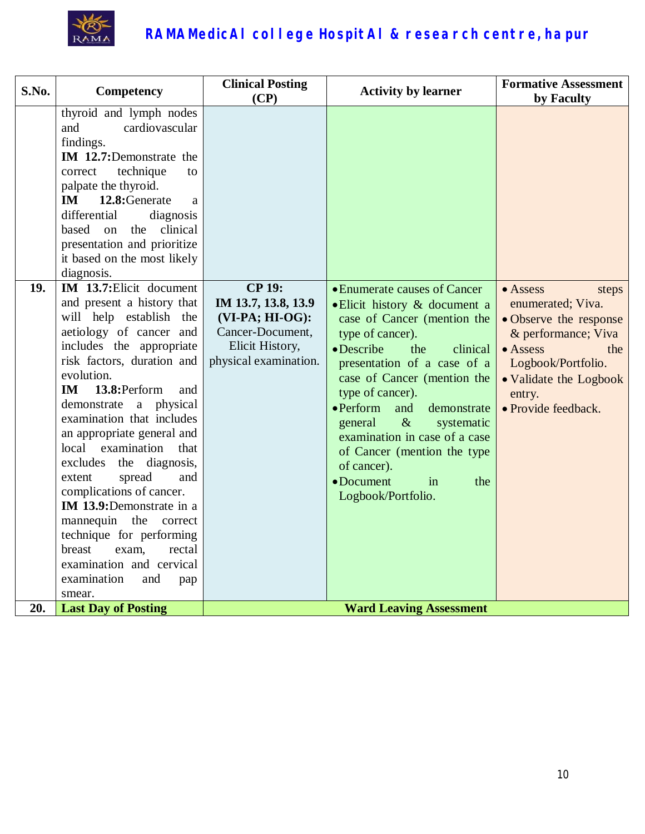

| S.No. | Competency                                                                                                                                                                                                                                                                                                                                                                                                                                                                                                                                                                                                                                                                                                                                                                                                                                                                                                                                            | <b>Clinical Posting</b><br>(CP)                                                                                           | <b>Activity by learner</b>                                                                                                                                                                                                                                                                                                                                                                                                                              | <b>Formative Assessment</b><br>by Faculty                                                                                                                                                                   |
|-------|-------------------------------------------------------------------------------------------------------------------------------------------------------------------------------------------------------------------------------------------------------------------------------------------------------------------------------------------------------------------------------------------------------------------------------------------------------------------------------------------------------------------------------------------------------------------------------------------------------------------------------------------------------------------------------------------------------------------------------------------------------------------------------------------------------------------------------------------------------------------------------------------------------------------------------------------------------|---------------------------------------------------------------------------------------------------------------------------|---------------------------------------------------------------------------------------------------------------------------------------------------------------------------------------------------------------------------------------------------------------------------------------------------------------------------------------------------------------------------------------------------------------------------------------------------------|-------------------------------------------------------------------------------------------------------------------------------------------------------------------------------------------------------------|
| 19.   | thyroid and lymph nodes<br>cardiovascular<br>and<br>findings.<br>IM 12.7:Demonstrate the<br>technique<br>to<br>correct<br>palpate the thyroid.<br><b>IM</b><br>12.8: Generate<br>a<br>differential<br>diagnosis<br>the<br>based<br>clinical<br>on<br>presentation and prioritize<br>it based on the most likely<br>diagnosis.<br>IM 13.7: Elicit document<br>and present a history that<br>will help establish the<br>aetiology of cancer and<br>includes the appropriate<br>risk factors, duration and<br>evolution.<br><b>IM</b><br>13.8: Perform<br>and<br>demonstrate a physical<br>examination that includes<br>an appropriate general and<br>local examination<br>that<br>the diagnosis,<br>excludes<br>spread<br>extent<br>and<br>complications of cancer.<br>IM 13.9:Demonstrate in a<br>mannequin the<br>correct<br>technique for performing<br>breast<br>exam,<br>rectal<br>examination and cervical<br>examination<br>and<br>pap<br>smear. | <b>CP 19:</b><br>IM 13.7, 13.8, 13.9<br>$(VI-PA; HI-OG):$<br>Cancer-Document,<br>Elicit History,<br>physical examination. | • Enumerate causes of Cancer<br>• Elicit history & document a<br>case of Cancer (mention the<br>type of cancer).<br>• Describe<br>the<br>clinical<br>presentation of a case of a<br>case of Cancer (mention the<br>type of cancer).<br>$\bullet$ Perform<br>and<br>demonstrate<br>$\&$<br>systematic<br>general<br>examination in case of a case<br>of Cancer (mention the type<br>of cancer).<br>$\bullet$ Document<br>the<br>in<br>Logbook/Portfolio. | $\bullet$ Assess<br>steps<br>enumerated; Viva.<br>• Observe the response<br>& performance; Viva<br>$\bullet$ Assess<br>the<br>Logbook/Portfolio.<br>• Validate the Logbook<br>entry.<br>• Provide feedback. |
| 20.   | <b>Last Day of Posting</b>                                                                                                                                                                                                                                                                                                                                                                                                                                                                                                                                                                                                                                                                                                                                                                                                                                                                                                                            |                                                                                                                           | <b>Ward Leaving Assessment</b>                                                                                                                                                                                                                                                                                                                                                                                                                          |                                                                                                                                                                                                             |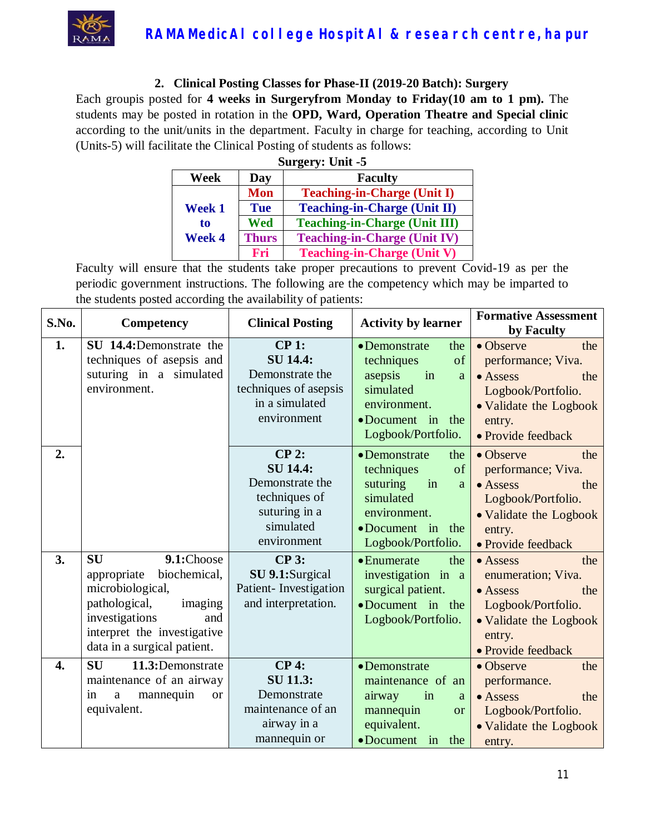

#### **2. Clinical Posting Classes for Phase-II (2019-20 Batch): Surgery**

Each groupis posted for **4 weeks in Surgeryfrom Monday to Friday(10 am to 1 pm).** The students may be posted in rotation in the **OPD, Ward, Operation Theatre and Special clinic** according to the unit/units in the department. Faculty in charge for teaching, according to Unit (Units-5) will facilitate the Clinical Posting of students as follows:

| Surgery: Unit -5              |              |                                      |  |
|-------------------------------|--------------|--------------------------------------|--|
| Week<br><b>Faculty</b><br>Day |              |                                      |  |
|                               | <b>Mon</b>   | <b>Teaching-in-Charge (Unit I)</b>   |  |
| <b>Week 1</b>                 | <b>Tue</b>   | <b>Teaching-in-Charge (Unit II)</b>  |  |
| to                            | Wed          | <b>Teaching-in-Charge (Unit III)</b> |  |
| <b>Week 4</b>                 | <b>Thurs</b> | <b>Teaching-in-Charge (Unit IV)</b>  |  |
|                               | Fri          | <b>Teaching-in-Charge (Unit V)</b>   |  |

| S.No. | <b>Competency</b>                                                                                                                                                                             | <b>Clinical Posting</b>                                                                                     | <b>Activity by learner</b>                                                                                                                         | <b>Formative Assessment</b><br>by Faculty                                                                                                                |
|-------|-----------------------------------------------------------------------------------------------------------------------------------------------------------------------------------------------|-------------------------------------------------------------------------------------------------------------|----------------------------------------------------------------------------------------------------------------------------------------------------|----------------------------------------------------------------------------------------------------------------------------------------------------------|
| 1.    | SU 14.4:Demonstrate the<br>techniques of asepsis and<br>suturing in a simulated<br>environment.                                                                                               | $CP1$ :<br><b>SU 14.4:</b><br>Demonstrate the<br>techniques of asepsis<br>in a simulated<br>environment     | • Demonstrate<br>the<br>techniques<br>of<br>asepsis<br>in<br>a<br>simulated<br>environment.<br>•Document in the<br>Logbook/Portfolio.              | • Observe<br>the<br>performance; Viva.<br>$\bullet$ Assess<br>the<br>Logbook/Portfolio.<br>• Validate the Logbook<br>entry.<br>• Provide feedback        |
| 2.    |                                                                                                                                                                                               | $CP$ 2:<br><b>SU 14.4:</b><br>Demonstrate the<br>techniques of<br>suturing in a<br>simulated<br>environment | • Demonstrate<br>the<br>of<br>techniques<br>suturing<br>in<br>a<br>simulated<br>environment.<br>$\bullet$ Document in<br>the<br>Logbook/Portfolio. | • Observe<br>the<br>performance; Viva.<br>· Assess<br>the<br>Logbook/Portfolio.<br>• Validate the Logbook<br>entry.<br>• Provide feedback                |
| 3.    | 9.1:Choose<br><b>SU</b><br>biochemical,<br>appropriate<br>microbiological,<br>pathological,<br>imaging<br>investigations<br>and<br>interpret the investigative<br>data in a surgical patient. | $CP3$ :<br>SU 9.1:Surgical<br>Patient-Investigation<br>and interpretation.                                  | $\bullet$ Enumerate<br>the<br>investigation in a<br>surgical patient.<br>•Document in the<br>Logbook/Portfolio.                                    | the<br>$\bullet$ Assess<br>enumeration; Viva.<br>$\bullet$ Assess<br>the<br>Logbook/Portfolio.<br>• Validate the Logbook<br>entry.<br>• Provide feedback |
| 4.    | <b>SU</b><br>11.3:Demonstrate<br>maintenance of an airway<br>mannequin<br>in<br>a<br>or<br>equivalent.                                                                                        | $CP4$ :<br><b>SU 11.3:</b><br>Demonstrate<br>maintenance of an<br>airway in a<br>mannequin or               | • Demonstrate<br>maintenance of an<br>airway<br>in<br>a<br>mannequin<br><b>or</b><br>equivalent.<br>• Document<br>in<br>the                        | $\bullet$ Observe<br>the<br>performance.<br>$\bullet$ Assess<br>the<br>Logbook/Portfolio.<br>• Validate the Logbook<br>entry.                            |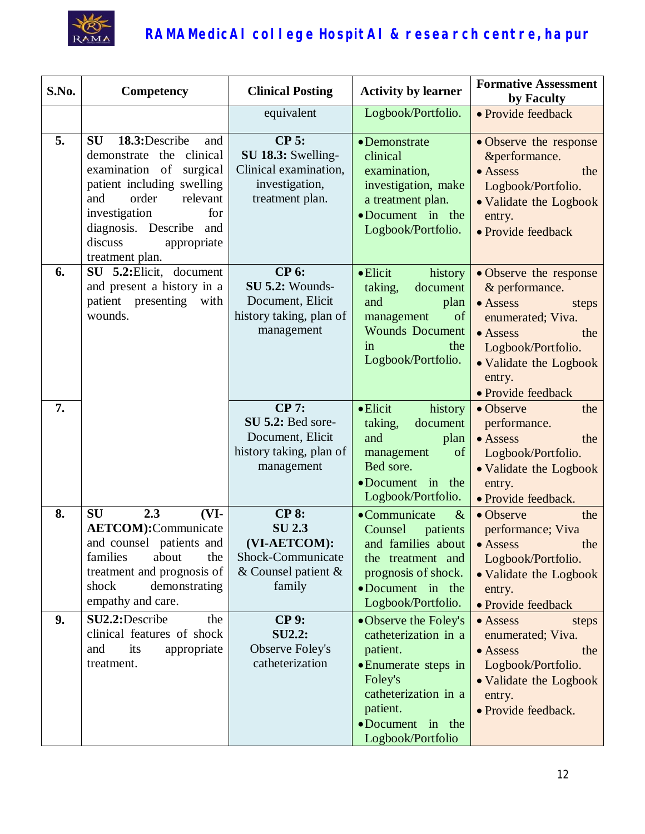

| S.No.    | <b>Competency</b>                                                                                                                                                                                                                                      | <b>Clinical Posting</b>                                                                                               | <b>Activity by learner</b>                                                                                                                                                | <b>Formative Assessment</b><br>by Faculty                                                                                                                                                     |
|----------|--------------------------------------------------------------------------------------------------------------------------------------------------------------------------------------------------------------------------------------------------------|-----------------------------------------------------------------------------------------------------------------------|---------------------------------------------------------------------------------------------------------------------------------------------------------------------------|-----------------------------------------------------------------------------------------------------------------------------------------------------------------------------------------------|
|          |                                                                                                                                                                                                                                                        | equivalent                                                                                                            | Logbook/Portfolio.                                                                                                                                                        | • Provide feedback                                                                                                                                                                            |
| 5.       | <b>SU</b><br>18.3: Describe<br>and<br>demonstrate the<br>clinical<br>examination of surgical<br>patient including swelling<br>and<br>order<br>relevant<br>investigation<br>for<br>diagnosis. Describe and<br>discuss<br>appropriate<br>treatment plan. | $CP$ 5:<br>SU 18.3: Swelling-<br>Clinical examination,<br>investigation,<br>treatment plan.                           | • Demonstrate<br>clinical<br>examination,<br>investigation, make<br>a treatment plan.<br>•Document in the<br>Logbook/Portfolio.                                           | • Observe the response<br>&performance.<br>$\bullet$ Assess<br>the<br>Logbook/Portfolio.<br>• Validate the Logbook<br>entry.<br>• Provide feedback                                            |
| 6.       | SU 5.2: Elicit, document<br>and present a history in a<br>patient presenting with<br>wounds.                                                                                                                                                           | <b>CP 6:</b><br>SU 5.2: Wounds-<br>Document, Elicit<br>history taking, plan of<br>management                          | $\bullet$ Elicit<br>history<br>taking,<br>document<br>and<br>plan<br>management<br>of<br><b>Wounds</b> Document<br>the<br>in<br>Logbook/Portfolio.                        | • Observe the response<br>& performance.<br>• Assess<br>steps<br>enumerated; Viva.<br>$\bullet$ Assess<br>the<br>Logbook/Portfolio.<br>• Validate the Logbook<br>entry.<br>• Provide feedback |
| 7.       |                                                                                                                                                                                                                                                        | <b>CP 7:</b><br>SU 5.2: Bed sore-<br>Document, Elicit<br>history taking, plan of<br>management                        | $\bullet$ Elicit<br>history<br>taking,<br>document<br>and<br>plan<br>of<br>management<br>Bed sore.<br>•Document in the<br>Logbook/Portfolio.                              | • Observe<br>the<br>performance.<br>$\bullet$ Assess<br>the<br>Logbook/Portfolio.<br>• Validate the Logbook<br>entry.<br>· Provide feedback.                                                  |
| 8.<br>9. | SU<br>2.3<br>$(VI-$<br><b>AETCOM</b> ):Communicate<br>and counsel patients and<br>families<br>about<br>the<br>treatment and prognosis of<br>demonstrating<br>shock<br>empathy and care.<br>SU2.2:Describe<br>the                                       | <b>CP 8:</b><br><b>SU 2.3</b><br>(VI-AETCOM):<br>Shock-Communicate<br>& Counsel patient $\&$<br>family<br><b>CP9:</b> | •Communicate<br>$\&$<br>Counsel<br>patients<br>the treatment and<br>prognosis of shock.<br>•Document in the<br>Logbook/Portfolio.                                         | • Observe<br>the<br>performance; Viva<br>and families about • Assess<br>the<br>Logbook/Portfolio.<br>• Validate the Logbook<br>entry.<br>• Provide feedback<br>• Assess                       |
|          | clinical features of shock<br>its<br>appropriate<br>and<br>treatment.                                                                                                                                                                                  | <b>SU2.2:</b><br>Observe Foley's<br>catheterization                                                                   | • Observe the Foley's<br>catheterization in a<br>patient.<br>• Enumerate steps in<br>Foley's<br>catheterization in a<br>patient.<br>•Document in the<br>Logbook/Portfolio | steps<br>enumerated; Viva.<br>$\bullet$ Assess<br>the<br>Logbook/Portfolio.<br>• Validate the Logbook<br>entry.<br>· Provide feedback.                                                        |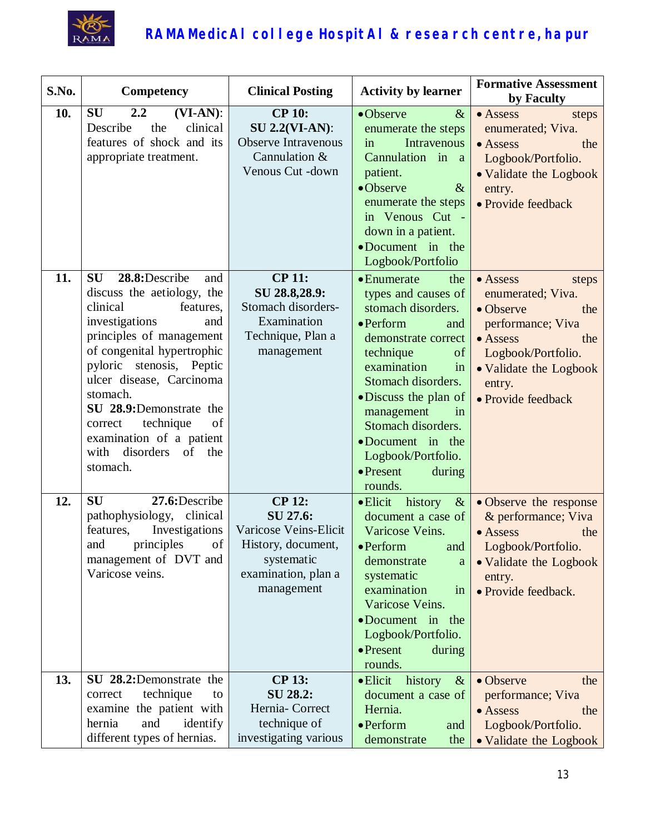

| S.No. | Competency                                                                                                                                                                                                                                                                                                                                                                       | <b>Clinical Posting</b>                                                                                                     | <b>Activity by learner</b>                                                                                                                                                                                                                                                                                                                      | <b>Formative Assessment</b><br>by Faculty                                                                                                                                                  |
|-------|----------------------------------------------------------------------------------------------------------------------------------------------------------------------------------------------------------------------------------------------------------------------------------------------------------------------------------------------------------------------------------|-----------------------------------------------------------------------------------------------------------------------------|-------------------------------------------------------------------------------------------------------------------------------------------------------------------------------------------------------------------------------------------------------------------------------------------------------------------------------------------------|--------------------------------------------------------------------------------------------------------------------------------------------------------------------------------------------|
| 10.   | SU<br>2.2<br>$(VI-AN)$ :<br>clinical<br>Describe<br>the<br>features of shock and its<br>appropriate treatment.                                                                                                                                                                                                                                                                   | <b>CP 10:</b><br><b>SU 2.2(VI-AN):</b><br><b>Observe Intravenous</b><br>Cannulation &<br>Venous Cut -down                   | $\bullet$ Observe<br>$\&$<br>enumerate the steps<br><b>Intravenous</b><br>in<br>Cannulation in a<br>patient.<br>•Observe<br>$\&$<br>enumerate the steps<br>in Venous Cut -<br>down in a patient.<br>•Document in the<br>Logbook/Portfolio                                                                                                       | $\bullet$ Assess<br>steps<br>enumerated; Viva.<br>$\bullet$ Assess<br>the<br>Logbook/Portfolio.<br>• Validate the Logbook<br>entry.<br>• Provide feedback                                  |
| 11.   | <b>SU</b><br>28.8: Describe<br>and<br>discuss the aetiology, the<br>clinical<br>features.<br>investigations<br>and<br>principles of management<br>of congenital hypertrophic<br>pyloric stenosis, Peptic<br>ulcer disease, Carcinoma<br>stomach.<br>SU 28.9:Demonstrate the<br>technique<br>of<br>correct<br>examination of a patient<br>disorders of<br>with<br>the<br>stomach. | <b>CP 11:</b><br>SU 28.8,28.9:<br>Stomach disorders-<br>Examination<br>Technique, Plan a<br>management                      | $\bullet$ Enumerate<br>the<br>types and causes of<br>stomach disorders.<br>$\bullet$ Perform<br>and<br>demonstrate correct<br>technique<br>of<br>examination<br>in<br>Stomach disorders.<br>· Discuss the plan of<br>management<br>in<br>Stomach disorders.<br>•Document in the<br>Logbook/Portfolio.<br>$\bullet$ Present<br>during<br>rounds. | • Assess<br>steps<br>enumerated; Viva.<br>• Observe<br>the<br>performance; Viva<br>$\bullet$ Assess<br>the<br>Logbook/Portfolio.<br>• Validate the Logbook<br>entry.<br>• Provide feedback |
| 12.   | 27.6:Describe<br><b>SU</b><br>pathophysiology, clinical<br>Investigations<br>features,<br>principles of<br>and<br>management of DVT and<br>Varicose veins.                                                                                                                                                                                                                       | <b>CP 12:</b><br>SU 27.6:<br>Varicose Veins-Elicit<br>History, document,<br>systematic<br>examination, plan a<br>management | $\bullet$ Elicit history &<br>document a case of<br>Varicose Veins.<br>$\bullet$ Perform and<br>demonstrate<br>a<br>systematic<br>examination<br>in<br>Varicose Veins.<br>•Document in the<br>Logbook/Portfolio.<br>$\bullet$ Present<br>during<br>rounds.                                                                                      | • Observe the response<br>& performance; Viva<br>$\bullet$ Assess<br>the<br>Logbook/Portfolio.<br>• Validate the Logbook<br>entry.<br>• Provide feedback.                                  |
| 13.   | SU 28.2:Demonstrate the<br>technique<br>correct<br>to<br>examine the patient with<br>and<br>identify<br>hernia<br>different types of hernias.                                                                                                                                                                                                                                    | <b>CP 13:</b><br>SU 28.2:<br>Hernia-Correct<br>technique of<br>investigating various                                        | $\bullet$ Elicit<br>history<br>$\&$<br>document a case of<br>Hernia.<br>• Perform<br>and<br>demonstrate<br>the                                                                                                                                                                                                                                  | • Observe<br>the<br>performance; Viva<br>• Assess<br>the<br>Logbook/Portfolio.<br>• Validate the Logbook                                                                                   |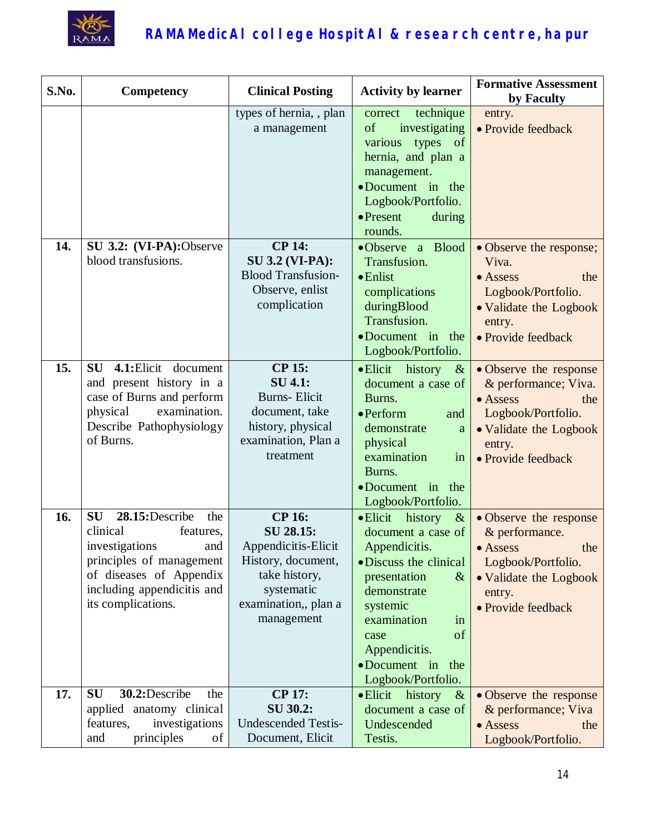

| S.No. | Competency                                                                                                                                                                                      | <b>Clinical Posting</b>                                                                                                                      | <b>Activity by learner</b>                                                                                                                                                                                                                             | <b>Formative Assessment</b><br>by Faculty                                                                                                                 |
|-------|-------------------------------------------------------------------------------------------------------------------------------------------------------------------------------------------------|----------------------------------------------------------------------------------------------------------------------------------------------|--------------------------------------------------------------------------------------------------------------------------------------------------------------------------------------------------------------------------------------------------------|-----------------------------------------------------------------------------------------------------------------------------------------------------------|
|       |                                                                                                                                                                                                 | types of hernia, , plan<br>a management                                                                                                      | technique<br>correct<br>investigating<br>of<br>various types of<br>hernia, and plan a<br>management.<br>•Document in the<br>Logbook/Portfolio.<br>$\bullet$ Present<br>during<br>rounds.                                                               | entry.<br>· Provide feedback                                                                                                                              |
| 14.   | SU 3.2: (VI-PA):Observe<br>blood transfusions.                                                                                                                                                  | <b>CP 14:</b><br><b>SU 3.2 (VI-PA):</b><br><b>Blood Transfusion-</b><br>Observe, enlist<br>complication                                      | •Observe a Blood<br>Transfusion.<br>$\bullet$ Enlist<br>complications<br>duringBlood<br>Transfusion.<br>•Document in the<br>Logbook/Portfolio.                                                                                                         | • Observe the response;<br>Viva.<br>• Assess<br>the<br>Logbook/Portfolio.<br>• Validate the Logbook<br>entry.<br>· Provide feedback                       |
| 15.   | SU 4.1: Elicit document<br>and present history in a<br>case of Burns and perform<br>examination.<br>physical<br>Describe Pathophysiology<br>of Burns.                                           | <b>CP 15:</b><br><b>SU 4.1:</b><br><b>Burns-Elicit</b><br>document, take<br>history, physical<br>examination, Plan a<br>treatment            | • Elicit history<br>$\alpha$<br>document a case of<br>Burns.<br>$\bullet$ Perform<br>and<br>demonstrate<br>a<br>physical<br>examination<br>in<br>Burns.<br>$\bullet$ Document in<br>the<br>Logbook/Portfolio.                                          | • Observe the response<br>& performance; Viva.<br>$\bullet$ Assess<br>the<br>Logbook/Portfolio.<br>• Validate the Logbook<br>entry.<br>• Provide feedback |
| 16.   | 28.15:Describe<br><b>SU</b><br>the<br>clinical<br>features,<br>investigations<br>and<br>principles of management<br>of diseases of Appendix<br>including appendicitis and<br>its complications. | <b>CP 16:</b><br>SU 28.15:<br>Appendicitis-Elicit<br>History, document,<br>take history,<br>systematic<br>examination,, plan a<br>management | • Elicit history<br>$\&$<br>document a case of<br>Appendicitis.<br>• Discuss the clinical<br>presentation<br>$\&$<br>demonstrate<br>systemic<br>examination<br>in<br>of<br>case<br>Appendicitis.<br>$\bullet$ Document in<br>the<br>Logbook/Portfolio. | • Observe the response<br>& performance.<br>$\bullet$ Assess<br>the<br>Logbook/Portfolio.<br>• Validate the Logbook<br>entry.<br>• Provide feedback       |
| 17.   | 30.2: Describe<br><b>SU</b><br>the<br>applied anatomy clinical<br>features,<br>investigations<br>principles<br>and<br>of                                                                        | <b>CP 17:</b><br>SU 30.2:<br><b>Undescended Testis-</b><br>Document, Elicit                                                                  | • Elicit history<br>$\&$<br>document a case of<br>Undescended<br>Testis.                                                                                                                                                                               | • Observe the response<br>& performance; Viva<br>$\bullet$ Assess<br>the<br>Logbook/Portfolio.                                                            |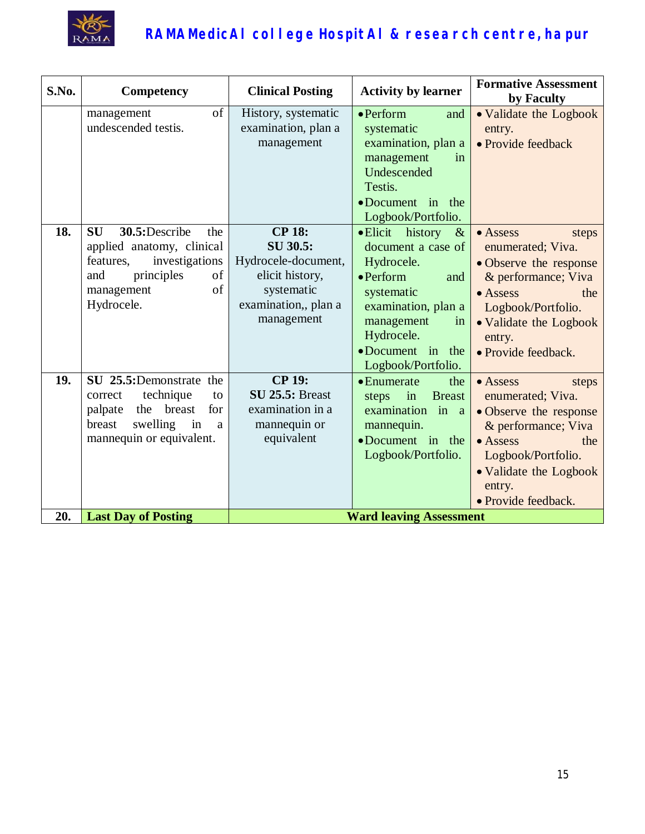

| S.No. | Competency                                                                                                                                                 | <b>Clinical Posting</b>                                                                                                 | <b>Activity by learner</b>                                                                                                                                                                                               | <b>Formative Assessment</b><br>by Faculty                                                                                                                                                                   |
|-------|------------------------------------------------------------------------------------------------------------------------------------------------------------|-------------------------------------------------------------------------------------------------------------------------|--------------------------------------------------------------------------------------------------------------------------------------------------------------------------------------------------------------------------|-------------------------------------------------------------------------------------------------------------------------------------------------------------------------------------------------------------|
|       | of<br>management<br>undescended testis.                                                                                                                    | History, systematic<br>examination, plan a<br>management                                                                | $\bullet$ Perform<br>and<br>systematic<br>examination, plan a<br>management<br>in<br>Undescended<br>Testis.<br>•Document in the<br>Logbook/Portfolio.                                                                    | • Validate the Logbook<br>entry.<br>• Provide feedback                                                                                                                                                      |
| 18.   | <b>SU</b><br>30.5:Describe<br>the<br>applied anatomy, clinical<br>features,<br>investigations<br>principles<br>of<br>and<br>of<br>management<br>Hydrocele. | <b>CP 18:</b><br>SU 30.5:<br>Hydrocele-document,<br>elicit history,<br>systematic<br>examination,, plan a<br>management | • Elicit<br>history<br>$\&$<br>document a case of<br>Hydrocele.<br>$\bullet$ Perform<br>and<br>systematic<br>examination, plan a<br>management<br>in<br>Hydrocele.<br>$\bullet$ Document in<br>the<br>Logbook/Portfolio. | $\bullet$ Assess<br>steps<br>enumerated; Viva.<br>· Observe the response<br>& performance; Viva<br>$\bullet$ Assess<br>the<br>Logbook/Portfolio.<br>• Validate the Logbook<br>entry.<br>· Provide feedback. |
| 19.   | SU 25.5:Demonstrate the<br>technique<br>correct<br>to<br>breast<br>palpate<br>the<br>for<br>swelling<br>breast<br>in<br>a<br>mannequin or equivalent.      | <b>CP 19:</b><br><b>SU 25.5: Breast</b><br>examination in a<br>mannequin or<br>equivalent                               | $\bullet$ Enumerate<br>the<br>in<br><b>Breast</b><br>steps<br>examination<br>in<br>$\mathbf{a}$<br>mannequin.<br>•Document in the<br>Logbook/Portfolio.                                                                  | • Assess<br>steps<br>enumerated; Viva.<br>• Observe the response<br>& performance; Viva<br>$\bullet$ Assess<br>the<br>Logbook/Portfolio.<br>• Validate the Logbook<br>entry.<br>• Provide feedback.         |
| 20.   | <b>Last Day of Posting</b>                                                                                                                                 |                                                                                                                         | <b>Ward leaving Assessment</b>                                                                                                                                                                                           |                                                                                                                                                                                                             |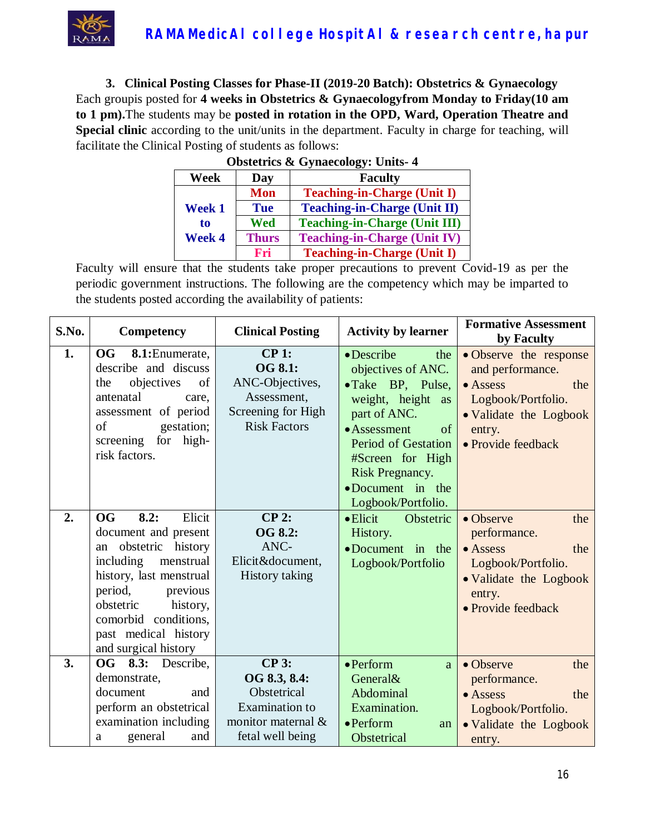

**3. Clinical Posting Classes for Phase-II (2019-20 Batch): Obstetrics & Gynaecology** Each groupis posted for **4 weeks in Obstetrics & Gynaecologyfrom Monday to Friday(10 am to 1 pm).**The students may be **posted in rotation in the OPD, Ward, Operation Theatre and Special clinic** according to the unit/units in the department. Faculty in charge for teaching, will facilitate the Clinical Posting of students as follows:

| <b>Obstetrics &amp; Gynaecology: Units-4</b> |              |                                      |  |
|----------------------------------------------|--------------|--------------------------------------|--|
| Week<br><b>Faculty</b><br>Day                |              |                                      |  |
|                                              | <b>Mon</b>   | <b>Teaching-in-Charge (Unit I)</b>   |  |
| Week 1                                       | <b>Tue</b>   | <b>Teaching-in-Charge (Unit II)</b>  |  |
| to                                           | Wed          | <b>Teaching-in-Charge (Unit III)</b> |  |
| Week 4                                       | <b>Thurs</b> | <b>Teaching-in-Charge (Unit IV)</b>  |  |
|                                              | Fri          | <b>Teaching-in-Charge (Unit I)</b>   |  |

| S.No.    | <b>Competency</b>                                                                                                                                                                                                            | <b>Clinical Posting</b>                                                                                   | <b>Activity by learner</b>                                                                                                                                                                                                                                              | <b>Formative Assessment</b><br>by Faculty                                                                                                                                 |
|----------|------------------------------------------------------------------------------------------------------------------------------------------------------------------------------------------------------------------------------|-----------------------------------------------------------------------------------------------------------|-------------------------------------------------------------------------------------------------------------------------------------------------------------------------------------------------------------------------------------------------------------------------|---------------------------------------------------------------------------------------------------------------------------------------------------------------------------|
| 1.<br>2. | <b>OG</b><br>8.1: Enumerate,<br>describe and discuss<br>objectives<br>of<br>the<br>antenatal<br>care,<br>assessment of period<br>of<br>gestation;<br>screening for high-<br>risk factors.<br>Elicit<br><b>OG</b><br>8.2:     | CP1:<br>OG 8.1:<br>ANC-Objectives,<br>Assessment,<br>Screening for High<br><b>Risk Factors</b><br>CP 2:   | • Describe<br>the<br>objectives of ANC.<br>• Take BP, Pulse,<br>weight, height as<br>part of ANC.<br>• Assessment<br>of<br><b>Period of Gestation</b><br>#Screen for High<br>Risk Pregnancy.<br>•Document in the<br>Logbook/Portfolio.<br>$\bullet$ Elicit<br>Obstetric | • Observe the response<br>and performance.<br>$\bullet$ Assess<br>the<br>Logbook/Portfolio.<br>• Validate the Logbook<br>entry.<br>• Provide feedback<br>• Observe<br>the |
|          | document and present<br>obstetric history<br>an<br>including<br>menstrual<br>history, last menstrual<br>period,<br>previous<br>history,<br>obstetric<br>comorbid conditions,<br>past medical history<br>and surgical history | OG 8.2:<br>ANC-<br>Elicit&document,<br><b>History taking</b>                                              | History.<br>$\bullet$ Document in the<br>Logbook/Portfolio                                                                                                                                                                                                              | performance.<br>$\bullet$ Assess<br>the<br>Logbook/Portfolio.<br>• Validate the Logbook<br>entry.<br>• Provide feedback                                                   |
| 3.       | OG 8.3:<br>Describe,<br>demonstrate,<br>document<br>and<br>perform an obstetrical<br>examination including<br>general<br>and<br>a                                                                                            | $CP3$ :<br>OG 8.3, 8.4:<br>Obstetrical<br><b>Examination</b> to<br>monitor maternal &<br>fetal well being | $\bullet$ Perform<br><sub>a</sub><br>General&<br>Abdominal<br>Examination.<br>$\bullet$ Perform<br>an<br>Obstetrical                                                                                                                                                    | • Observe<br>the<br>performance.<br>• Assess<br>the<br>Logbook/Portfolio.<br>• Validate the Logbook<br>entry.                                                             |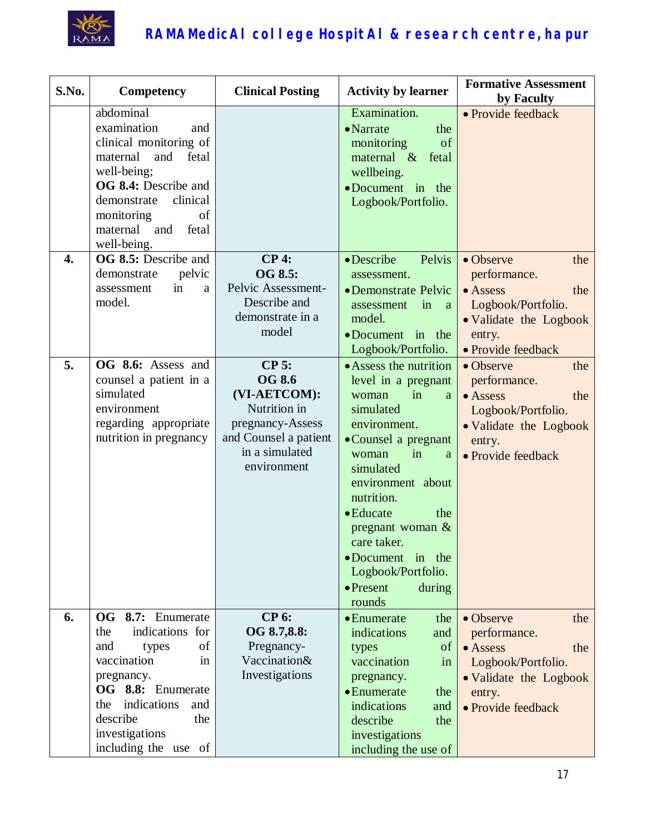

| S.No.            | Competency                                                                                                                                                                                                             | <b>Clinical Posting</b>                                                                                                                | <b>Activity by learner</b>                                                                                                                                                                                                                                                                                                              | <b>Formative Assessment</b><br>by Faculty                                                                                                   |
|------------------|------------------------------------------------------------------------------------------------------------------------------------------------------------------------------------------------------------------------|----------------------------------------------------------------------------------------------------------------------------------------|-----------------------------------------------------------------------------------------------------------------------------------------------------------------------------------------------------------------------------------------------------------------------------------------------------------------------------------------|---------------------------------------------------------------------------------------------------------------------------------------------|
|                  | abdominal<br>examination<br>and<br>clinical monitoring of<br>maternal<br>and<br>fetal<br>well-being;<br>OG 8.4: Describe and<br>clinical<br>demonstrate<br>monitoring<br>of<br>maternal<br>and<br>fetal<br>well-being. |                                                                                                                                        | Examination.<br>• Narrate<br>the<br>of<br>monitoring<br>maternal $\&$<br>fetal<br>wellbeing.<br>•Document in the<br>Logbook/Portfolio.                                                                                                                                                                                                  | • Provide feedback                                                                                                                          |
| $\overline{4}$ . | OG 8.5: Describe and<br>pelvic<br>demonstrate<br>in<br>assessment<br>a<br>model.                                                                                                                                       | $CP4$ :<br>OG 8.5:<br>Pelvic Assessment-<br>Describe and<br>demonstrate in a<br>model                                                  | • Describe<br>Pelvis<br>assessment.<br>• Demonstrate Pelvic<br>assessment<br>in<br><sub>a</sub><br>model.<br>•Document in the<br>Logbook/Portfolio.                                                                                                                                                                                     | • Observe<br>the<br>performance.<br>$\bullet$ Assess<br>the<br>Logbook/Portfolio.<br>• Validate the Logbook<br>entry.<br>• Provide feedback |
| 5.               | OG 8.6: Assess and<br>counsel a patient in a<br>simulated<br>environment<br>regarding appropriate<br>nutrition in pregnancy                                                                                            | $CP$ 5:<br><b>OG 8.6</b><br>(VI-AETCOM):<br>Nutrition in<br>pregnancy-Assess<br>and Counsel a patient<br>in a simulated<br>environment | • Assess the nutrition<br>level in a pregnant<br>in<br>woman<br>a<br>simulated<br>environment.<br>• Counsel a pregnant<br>woman<br>in<br>a<br>simulated<br>environment about<br>nutrition.<br>• Educate<br>the<br>pregnant woman $\&$<br>care taker.<br>•Document in the<br>Logbook/Portfolio.<br>$\bullet$ Present<br>during<br>rounds | • Observe<br>the<br>performance.<br>$\bullet$ Assess<br>the<br>Logbook/Portfolio.<br>• Validate the Logbook<br>entry.<br>• Provide feedback |
| 6.               | OG 8.7: Enumerate<br>indications for<br>the<br>of<br>and<br>types<br>vaccination<br>in<br>pregnancy.<br>OG 8.8: Enumerate<br>indications<br>the<br>and<br>describe<br>the<br>investigations<br>including the use of    | <b>CP 6:</b><br>OG 8.7,8.8:<br>Pregnancy-<br>Vaccination&<br>Investigations                                                            | $\bullet$ Enumerate<br>the<br>indications<br>and<br>of<br>types<br>vaccination<br>in<br>pregnancy.<br>• Enumerate<br>the<br>indications<br>and<br>describe<br>the<br>investigations<br>including the use of                                                                                                                             | • Observe<br>the<br>performance.<br>$\bullet$ Assess<br>the<br>Logbook/Portfolio.<br>• Validate the Logbook<br>entry.<br>• Provide feedback |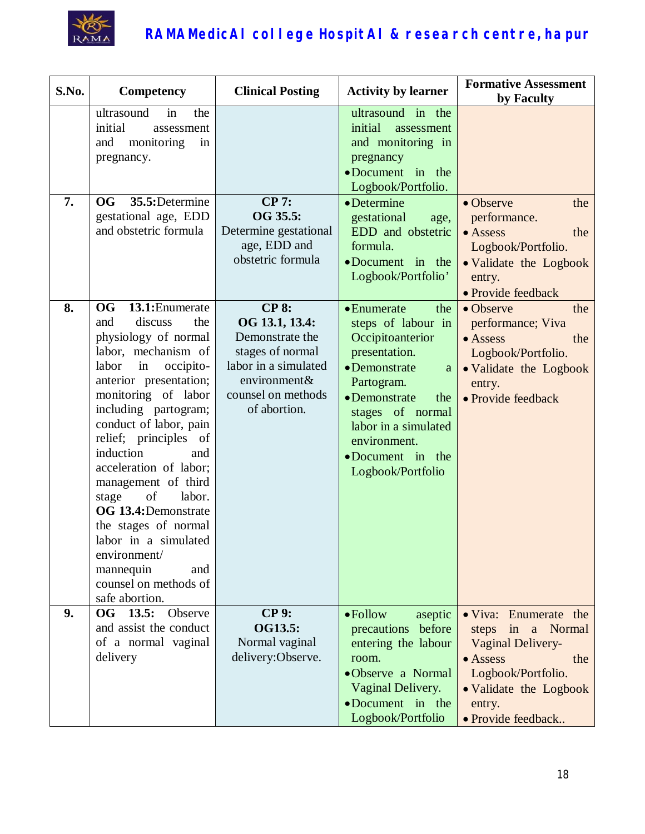

| S.No. | Competency                                                                                                                                                                                                                                                                                                                                                                                                                                                                                                        | <b>Clinical Posting</b>                                                                                                                             | <b>Activity by learner</b>                                                                                                                                                                                                                     | <b>Formative Assessment</b><br>by Faculty                                                                                                                          |
|-------|-------------------------------------------------------------------------------------------------------------------------------------------------------------------------------------------------------------------------------------------------------------------------------------------------------------------------------------------------------------------------------------------------------------------------------------------------------------------------------------------------------------------|-----------------------------------------------------------------------------------------------------------------------------------------------------|------------------------------------------------------------------------------------------------------------------------------------------------------------------------------------------------------------------------------------------------|--------------------------------------------------------------------------------------------------------------------------------------------------------------------|
|       | ultrasound<br>in<br>the<br>initial<br>assessment<br>monitoring<br>and<br>in<br>pregnancy.                                                                                                                                                                                                                                                                                                                                                                                                                         |                                                                                                                                                     | ultrasound in the<br>initial<br>assessment<br>and monitoring in<br>pregnancy<br>•Document in the<br>Logbook/Portfolio.                                                                                                                         |                                                                                                                                                                    |
| 7.    | <b>OG</b><br>35.5:Determine<br>gestational age, EDD<br>and obstetric formula                                                                                                                                                                                                                                                                                                                                                                                                                                      | <b>CP 7:</b><br>OG 35.5:<br>Determine gestational<br>age, EDD and<br>obstetric formula                                                              | $\bullet$ Determine<br>gestational<br>age,<br>EDD and obstetric<br>formula.<br>•Document in the<br>Logbook/Portfolio'                                                                                                                          | • Observe<br>the<br>performance.<br>$\bullet$ Assess<br>the<br>Logbook/Portfolio.<br>• Validate the Logbook<br>entry.<br>· Provide feedback                        |
| 8.    | <b>OG</b><br>13.1: Enumerate<br>discuss<br>the<br>and<br>physiology of normal<br>labor, mechanism of<br>labor<br>in<br>occipito-<br>anterior presentation;<br>monitoring of labor<br>including partogram;<br>conduct of labor, pain<br>relief; principles of<br>induction<br>and<br>acceleration of labor;<br>management of third<br>labor.<br>stage<br>of<br>OG 13.4: Demonstrate<br>the stages of normal<br>labor in a simulated<br>environment/<br>mannequin<br>and<br>counsel on methods of<br>safe abortion. | <b>CP 8:</b><br>OG 13.1, 13.4:<br>Demonstrate the<br>stages of normal<br>labor in a simulated<br>environment&<br>counsel on methods<br>of abortion. | • Enumerate<br>the<br>steps of labour in<br>Occipitoanterior<br>presentation.<br>• Demonstrate<br>a<br>Partogram.<br>• Demonstrate<br>the<br>stages of normal<br>labor in a simulated<br>environment.<br>•Document in the<br>Logbook/Portfolio | • Observe<br>the<br>performance; Viva<br>$\bullet$ Assess<br>the<br>Logbook/Portfolio.<br>• Validate the Logbook<br>entry.<br>• Provide feedback                   |
| 9.    | OG 13.5:<br>Observe<br>and assist the conduct<br>of a normal vaginal<br>delivery                                                                                                                                                                                                                                                                                                                                                                                                                                  | <b>CP 9:</b><br>OG13.5:<br>Normal vaginal<br>delivery:Observe.                                                                                      | $\bullet$ Follow<br>aseptic<br>precautions before<br>entering the labour<br>room.<br>•Observe a Normal<br>Vaginal Delivery.<br>•Document in the<br>Logbook/Portfolio                                                                           | • Viva: Enumerate the<br>steps in a Normal<br>Vaginal Delivery-<br>• Assess<br>the<br>Logbook/Portfolio.<br>• Validate the Logbook<br>entry.<br>· Provide feedback |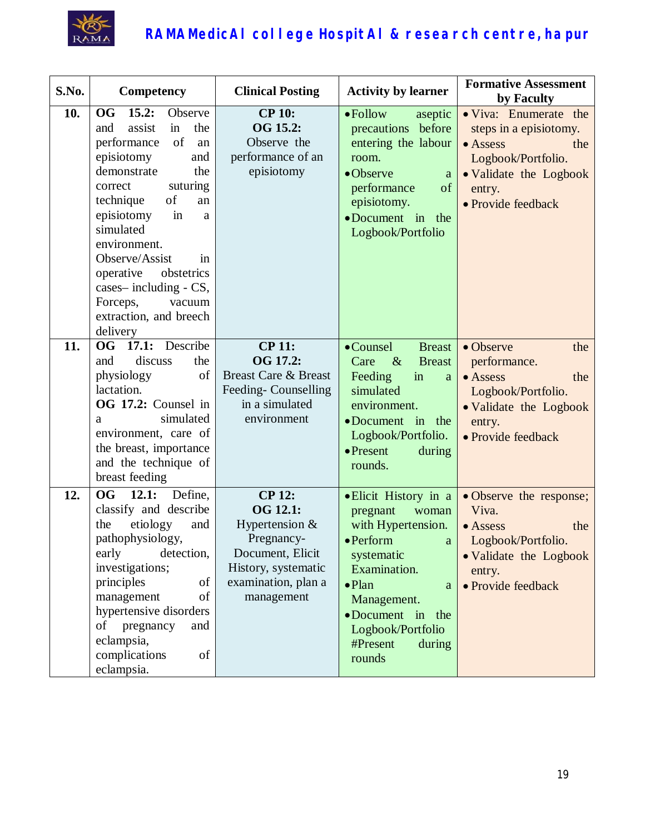

| S.No. | Competency                                                                                                                                                                                                                                                                                                                                                                      | <b>Clinical Posting</b>                                                                                                                            | <b>Activity by learner</b>                                                                                                                                                                                                              | <b>Formative Assessment</b><br>by Faculty                                                                                                          |
|-------|---------------------------------------------------------------------------------------------------------------------------------------------------------------------------------------------------------------------------------------------------------------------------------------------------------------------------------------------------------------------------------|----------------------------------------------------------------------------------------------------------------------------------------------------|-----------------------------------------------------------------------------------------------------------------------------------------------------------------------------------------------------------------------------------------|----------------------------------------------------------------------------------------------------------------------------------------------------|
| 10.   | <b>OG</b><br>15.2:<br>Observe<br>assist<br>the<br>and<br>in<br>of<br>performance<br>an<br>episiotomy<br>and<br>demonstrate<br>the<br>suturing<br>correct<br>of<br>technique<br>an<br>episiotomy<br>in<br>a<br>simulated<br>environment.<br>Observe/Assist<br>in<br>operative<br>obstetrics<br>cases-including - CS,<br>Forceps,<br>vacuum<br>extraction, and breech<br>delivery | <b>CP 10:</b><br>OG 15.2:<br>Observe the<br>performance of an<br>episiotomy                                                                        | $\bullet$ Follow<br>aseptic<br>precautions before<br>entering the labour<br>room.<br>•Observe<br>a<br>of<br>performance<br>episiotomy.<br>•Document in the<br>Logbook/Portfolio                                                         | • Viva: Enumerate the<br>steps in a episiotomy.<br>• Assess<br>the<br>Logbook/Portfolio.<br>• Validate the Logbook<br>entry.<br>· Provide feedback |
| 11.   | Describe<br>OG<br>17.1:<br>discuss<br>the<br>and<br>of<br>physiology<br>lactation.<br>OG 17.2: Counsel in<br>simulated<br>a<br>environment, care of<br>the breast, importance<br>and the technique of<br>breast feeding                                                                                                                                                         | <b>CP 11:</b><br>OG 17.2:<br><b>Breast Care &amp; Breast</b><br>Feeding-Counselling<br>in a simulated<br>environment                               | •Counsel<br><b>Breast</b><br>Care<br>$\&$<br><b>Breast</b><br>Feeding<br>in<br>a<br>simulated<br>environment.<br>$\bullet$ Document in<br>the<br>Logbook/Portfolio.<br>$\bullet$ Present<br>during<br>rounds.                           | • Observe<br>the<br>performance.<br>• Assess<br>the<br>Logbook/Portfolio.<br>• Validate the Logbook<br>entry.<br>• Provide feedback                |
| 12.   | OG<br>12.1:<br>Define,<br>classify and describe<br>etiology<br>the<br>and<br>pathophysiology,<br>early<br>detection,<br>investigations;<br>principles<br>of<br>of<br>management<br>hypertensive disorders<br>of<br>pregnancy<br>and<br>eclampsia,<br>complications<br>of<br>eclampsia.                                                                                          | <b>CP 12:</b><br><b>OG 12.1:</b><br>Hypertension $&$<br>Pregnancy-<br>Document, Elicit<br>History, systematic<br>examination, plan a<br>management | • Elicit History in a<br>pregnant<br>woman<br>with Hypertension.<br>$\bullet$ Perform<br>a<br>systematic<br>Examination.<br>$\bullet$ Plan<br>a<br>Management.<br>•Document in the<br>Logbook/Portfolio<br>#Present<br>during<br>rounds | • Observe the response;<br>Viva.<br>• Assess<br>the<br>Logbook/Portfolio.<br>• Validate the Logbook<br>entry.<br>• Provide feedback                |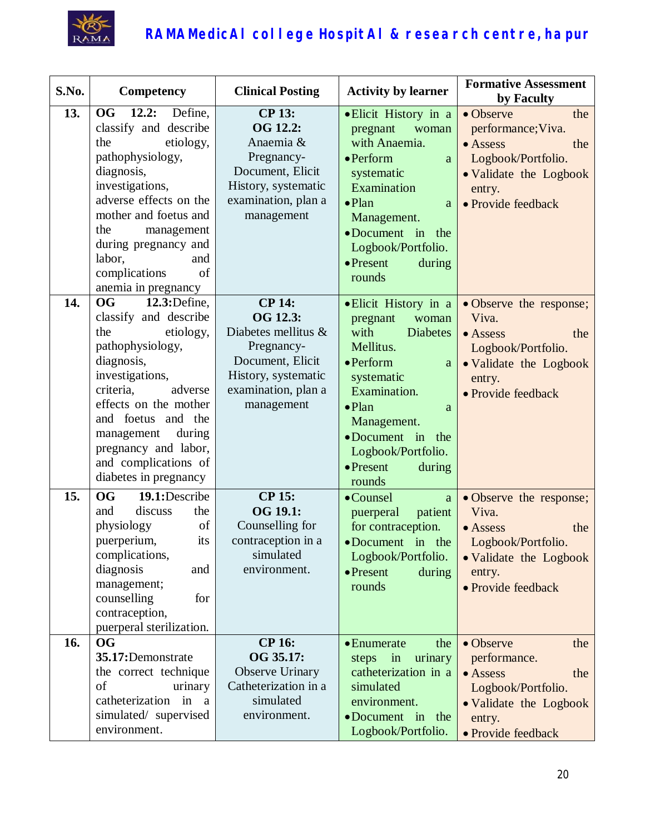

| S.No.      | Competency                                                                                                                                                                                                                                                                                                                                                                                                                                                                                                                    | <b>Clinical Posting</b>                                                                                                                                                                                                                                                                | <b>Activity by learner</b>                                                                                                                                                                                                                                                                                                                                                                                                                                 | <b>Formative Assessment</b><br>by Faculty                                                                                                                                                                                                                                                |
|------------|-------------------------------------------------------------------------------------------------------------------------------------------------------------------------------------------------------------------------------------------------------------------------------------------------------------------------------------------------------------------------------------------------------------------------------------------------------------------------------------------------------------------------------|----------------------------------------------------------------------------------------------------------------------------------------------------------------------------------------------------------------------------------------------------------------------------------------|------------------------------------------------------------------------------------------------------------------------------------------------------------------------------------------------------------------------------------------------------------------------------------------------------------------------------------------------------------------------------------------------------------------------------------------------------------|------------------------------------------------------------------------------------------------------------------------------------------------------------------------------------------------------------------------------------------------------------------------------------------|
| 13.<br>14. | <b>OG</b><br>12.2:<br>Define,<br>classify and describe<br>the<br>etiology,<br>pathophysiology,<br>diagnosis,<br>investigations,<br>adverse effects on the<br>mother and foetus and<br>the<br>management<br>during pregnancy and<br>labor,<br>and<br>complications<br>of<br>anemia in pregnancy<br><b>OG</b><br>12.3: Define,<br>classify and describe<br>the<br>etiology,<br>pathophysiology,<br>diagnosis,<br>investigations,<br>criteria,<br>adverse<br>effects on the mother<br>and foetus and the<br>management<br>during | <b>CP 13:</b><br>OG 12.2:<br>Anaemia &<br>Pregnancy-<br>Document, Elicit<br>History, systematic<br>examination, plan a<br>management<br><b>CP 14:</b><br>OG 12.3:<br>Diabetes mellitus &<br>Pregnancy-<br>Document, Elicit<br>History, systematic<br>examination, plan a<br>management | · Elicit History in a<br>pregnant<br>woman<br>with Anaemia.<br>$\bullet$ Perform<br>a<br>systematic<br>Examination<br>$\bullet$ Plan<br>a<br>Management.<br>•Document in the<br>Logbook/Portfolio.<br>$\bullet$ Present<br>during<br>rounds<br>· Elicit History in a<br>woman<br>pregnant<br>with<br><b>Diabetes</b><br>Mellitus.<br>$\bullet$ Perform<br>$\rm{a}$<br>systematic<br>Examination.<br>$\bullet$ Plan<br>a<br>Management.<br>•Document in the | • Observe<br>the<br>performance; Viva.<br>$\bullet$ Assess<br>the<br>Logbook/Portfolio.<br>• Validate the Logbook<br>entry.<br>• Provide feedback<br>• Observe the response;<br>Viva.<br>• Assess<br>the<br>Logbook/Portfolio.<br>• Validate the Logbook<br>entry.<br>· Provide feedback |
| 15.        | pregnancy and labor,<br>and complications of<br>diabetes in pregnancy<br><b>OG</b><br>19.1:Describe                                                                                                                                                                                                                                                                                                                                                                                                                           | <b>CP 15:</b>                                                                                                                                                                                                                                                                          | Logbook/Portfolio.<br>$\bullet$ Present<br>during<br>rounds<br>•Counsel<br>a                                                                                                                                                                                                                                                                                                                                                                               | • Observe the response;                                                                                                                                                                                                                                                                  |
|            | discuss<br>the<br>and<br>physiology<br>of<br>its<br>puerperium,<br>complications,<br>diagnosis<br>and<br>management;<br>counselling<br>for<br>contraception,<br>puerperal sterilization.                                                                                                                                                                                                                                                                                                                                      | OG 19.1:<br>Counselling for<br>contraception in a<br>simulated<br>environment.                                                                                                                                                                                                         | puerperal<br>patient<br>for contraception.<br>$\bullet$ Document in the<br>Logbook/Portfolio.<br>$\bullet$ Present<br>during<br>rounds                                                                                                                                                                                                                                                                                                                     | Viva.<br>• Assess<br>the<br>Logbook/Portfolio.<br>• Validate the Logbook<br>entry.<br>· Provide feedback                                                                                                                                                                                 |
| 16.        | <b>OG</b><br>35.17:Demonstrate<br>the correct technique<br>of<br>urinary<br>catheterization in a<br>simulated/ supervised<br>environment.                                                                                                                                                                                                                                                                                                                                                                                     | <b>CP 16:</b><br>OG 35.17:<br>Observe Urinary<br>Catheterization in a<br>simulated<br>environment.                                                                                                                                                                                     | • Enumerate<br>the<br>urinary<br>steps<br>$\dot{m}$<br>catheterization in a<br>simulated<br>environment.<br>•Document in the<br>Logbook/Portfolio.                                                                                                                                                                                                                                                                                                         | • Observe<br>the<br>performance.<br>$\bullet$ Assess<br>the<br>Logbook/Portfolio.<br>• Validate the Logbook<br>entry.<br>• Provide feedback                                                                                                                                              |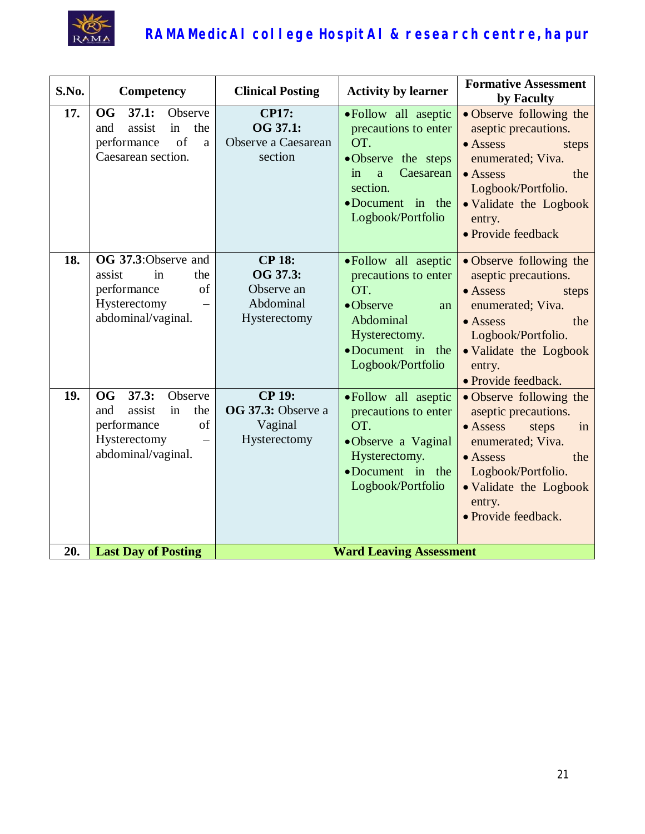

| S.No.      | Competency                                                                                                                                           | <b>Clinical Posting</b>                                              | <b>Activity by learner</b>                                                                                                                                            | <b>Formative Assessment</b><br>by Faculty                                                                                                                                                                           |
|------------|------------------------------------------------------------------------------------------------------------------------------------------------------|----------------------------------------------------------------------|-----------------------------------------------------------------------------------------------------------------------------------------------------------------------|---------------------------------------------------------------------------------------------------------------------------------------------------------------------------------------------------------------------|
| 17.        | 37.1:<br><b>OG</b><br>Observe<br>the<br>assist<br>in<br>and<br>of<br>performance<br>a<br>Caesarean section.                                          | <b>CP17:</b><br>OG 37.1:<br>Observe a Caesarean<br>section           | • Follow all aseptic<br>precautions to enter<br>OT.<br>·Observe the steps<br>Caesarean<br>in<br>$\mathbf{a}$<br>section.<br>•Document in the<br>Logbook/Portfolio     | • Observe following the<br>aseptic precautions.<br>$\bullet$ Assess<br>steps<br>enumerated; Viva.<br>$\bullet$ Assess<br>the<br>Logbook/Portfolio.<br>• Validate the Logbook<br>entry.<br>· Provide feedback        |
| 18.        | OG 37.3:Observe and<br>assist<br>in<br>the<br>performance<br>of<br>Hysterectomy<br>abdominal/vaginal.                                                | <b>CP 18:</b><br>OG 37.3:<br>Observe an<br>Abdominal<br>Hysterectomy | • Follow all aseptic<br>precautions to enter<br>OT.<br>•Observe<br>an<br>Abdominal<br>Hysterectomy.<br>•Document in the<br>Logbook/Portfolio                          | • Observe following the<br>aseptic precautions.<br>$\bullet$ Assess<br>steps<br>enumerated; Viva.<br>$\bullet$ Assess<br>the<br>Logbook/Portfolio.<br>• Validate the Logbook<br>entry.<br>• Provide feedback.       |
| 19.<br>20. | 37.3:<br><b>OG</b><br>Observe<br>assist<br>the<br>and<br>in<br>of<br>performance<br>Hysterectomy<br>abdominal/vaginal.<br><b>Last Day of Posting</b> | <b>CP 19:</b><br>OG 37.3: Observe a<br>Vaginal<br>Hysterectomy       | • Follow all aseptic<br>precautions to enter<br>OT.<br>•Observe a Vaginal<br>Hysterectomy.<br>•Document in the<br>Logbook/Portfolio<br><b>Ward Leaving Assessment</b> | • Observe following the<br>aseptic precautions.<br>$\bullet$ Assess<br>steps<br>in<br>enumerated; Viva.<br>the<br>$\bullet$ Assess<br>Logbook/Portfolio.<br>• Validate the Logbook<br>entry.<br>· Provide feedback. |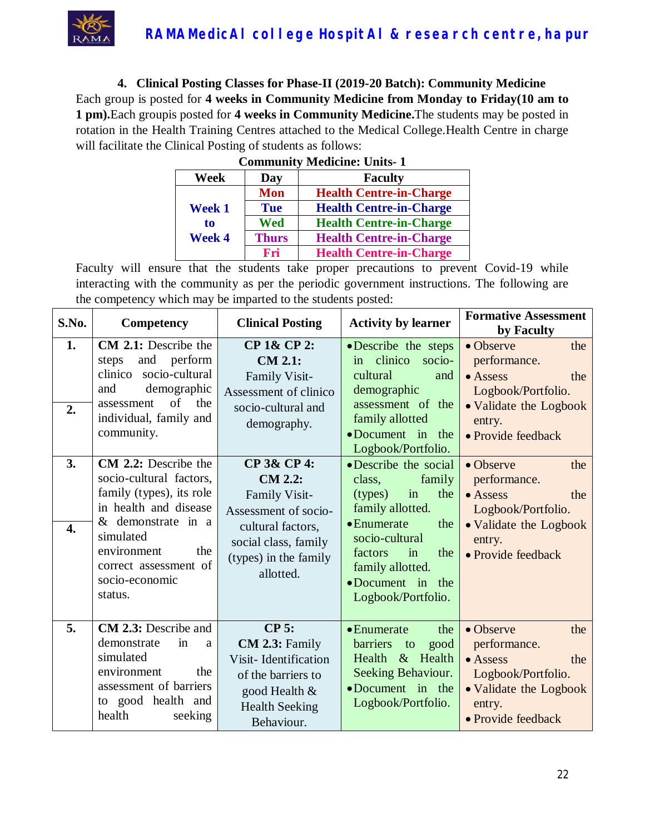

**4. Clinical Posting Classes for Phase-II (2019-20 Batch): Community Medicine** Each group is posted for **4 weeks in Community Medicine from Monday to Friday(10 am to 1 pm).**Each groupis posted for **4 weeks in Community Medicine.**The students may be posted in rotation in the Health Training Centres attached to the Medical College.Health Centre in charge will facilitate the Clinical Posting of students as follows:

| <b>Community Medicine: Units-1</b> |              |                                |  |
|------------------------------------|--------------|--------------------------------|--|
| Week                               | Day          | <b>Faculty</b>                 |  |
| <b>Week 1</b>                      | <b>Mon</b>   | <b>Health Centre-in-Charge</b> |  |
|                                    | <b>Tue</b>   | <b>Health Centre-in-Charge</b> |  |
| to                                 | Wed          | <b>Health Centre-in-Charge</b> |  |
| <b>Week 4</b>                      | <b>Thurs</b> | <b>Health Centre-in-Charge</b> |  |
|                                    | Fri          | <b>Health Centre-in-Charge</b> |  |

Faculty will ensure that the students take proper precautions to prevent Covid-19 while interacting with the community as per the periodic government instructions. The following are the competency which may be imparted to the students posted:

| S.No.                  | Competency                                                                                                                                                                                                                 | <b>Clinical Posting</b>                                                                                                                                   | <b>Activity by learner</b>                                                                                                                                                                                          | <b>Formative Assessment</b><br>by Faculty                                                                                                           |
|------------------------|----------------------------------------------------------------------------------------------------------------------------------------------------------------------------------------------------------------------------|-----------------------------------------------------------------------------------------------------------------------------------------------------------|---------------------------------------------------------------------------------------------------------------------------------------------------------------------------------------------------------------------|-----------------------------------------------------------------------------------------------------------------------------------------------------|
| 1.<br>2.               | <b>CM 2.1:</b> Describe the<br>and perform<br>steps<br>clinico socio-cultural<br>demographic<br>and<br>of<br>the<br>assessment<br>individual, family and<br>community.                                                     | CP 1& CP 2:<br><b>CM 2.1:</b><br>Family Visit-<br>Assessment of clinico<br>socio-cultural and<br>demography.                                              | • Describe the steps<br>in clinico<br>socio-<br>cultural<br>and<br>demographic<br>assessment of the<br>family allotted<br>$\bullet$ Document in the<br>Logbook/Portfolio.                                           | • Observe<br>the<br>performance.<br>$\bullet$ Assess<br>the<br>Logbook/Portfolio.<br>• Validate the Logbook<br>entry.<br>• Provide feedback         |
| 3.<br>$\overline{4}$ . | <b>CM 2.2:</b> Describe the<br>socio-cultural factors,<br>family (types), its role<br>in health and disease<br>& demonstrate in a<br>simulated<br>environment<br>the<br>correct assessment of<br>socio-economic<br>status. | CP 3& CP 4:<br><b>CM 2.2:</b><br>Family Visit-<br>Assessment of socio-<br>cultural factors,<br>social class, family<br>(types) in the family<br>allotted. | • Describe the social<br>family<br>class,<br>in<br>the<br>(types)<br>family allotted.<br>• Enumerate<br>the<br>socio-cultural<br>factors<br>in<br>the<br>family allotted.<br>•Document in the<br>Logbook/Portfolio. | $\bullet$ Observe<br>the<br>performance.<br>$\bullet$ Assess<br>the<br>Logbook/Portfolio.<br>• Validate the Logbook<br>entry.<br>• Provide feedback |
| 5.                     | <b>CM 2.3:</b> Describe and<br>demonstrate<br>in<br>a<br>simulated<br>environment<br>the<br>assessment of barriers<br>to good health and<br>health<br>seeking                                                              | <b>CP 5:</b><br>CM 2.3: Family<br>Visit-Identification<br>of the barriers to<br>good Health &<br><b>Health Seeking</b><br>Behaviour.                      | $\bullet$ Enumerate<br>the<br>barriers<br>good<br>to<br>Health & Health<br>Seeking Behaviour.<br>•Document in the<br>Logbook/Portfolio.                                                                             | • Observe<br>the<br>performance.<br>$\bullet$ Assess<br>the<br>Logbook/Portfolio.<br>• Validate the Logbook<br>entry.<br>• Provide feedback         |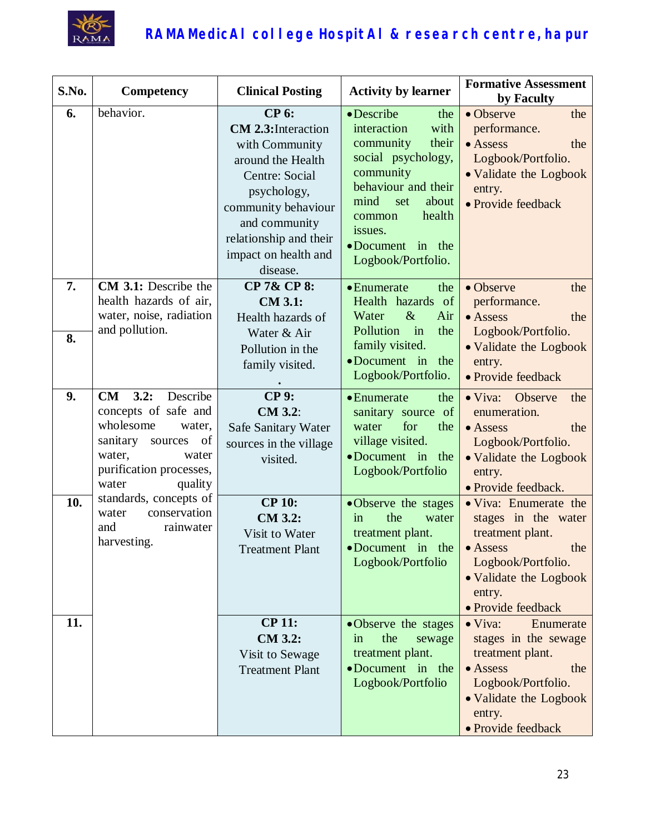

| S.No.    | Competency                                                                                                                                                                  | <b>Clinical Posting</b>                                                                                                                                                                                                         | <b>Activity by learner</b>                                                                                                                                                                                                | <b>Formative Assessment</b><br>by Faculty                                                                                                                                   |  |
|----------|-----------------------------------------------------------------------------------------------------------------------------------------------------------------------------|---------------------------------------------------------------------------------------------------------------------------------------------------------------------------------------------------------------------------------|---------------------------------------------------------------------------------------------------------------------------------------------------------------------------------------------------------------------------|-----------------------------------------------------------------------------------------------------------------------------------------------------------------------------|--|
| 6.       | behavior.                                                                                                                                                                   | <b>CP 6:</b><br><b>CM 2.3:</b> Interaction<br>with Community<br>around the Health<br><b>Centre: Social</b><br>psychology,<br>community behaviour<br>and community<br>relationship and their<br>impact on health and<br>disease. | • Describe<br>the<br>with<br>interaction<br>their<br>community<br>social psychology,<br>community<br>behaviour and their<br>mind<br>about<br>set<br>health<br>common<br>issues.<br>•Document in the<br>Logbook/Portfolio. | • Observe<br>the<br>performance.<br>• Assess<br>the<br>Logbook/Portfolio.<br>• Validate the Logbook<br>entry.<br>· Provide feedback                                         |  |
| 7.<br>8. | CM 3.1: Describe the<br>health hazards of air,<br>water, noise, radiation<br>and pollution.                                                                                 | CP 7& CP 8:<br><b>CM 3.1:</b><br>Health hazards of<br>Water & Air<br>Pollution in the<br>family visited.                                                                                                                        | the<br>• Enumerate<br>Health hazards of<br>$\&$<br>Water<br>Air<br>Pollution in<br>the<br>family visited.<br>•Document in<br>the                                                                                          | • Observe<br>the<br>performance.<br>$\bullet$ Assess<br>the<br>Logbook/Portfolio.<br>• Validate the Logbook<br>entry.                                                       |  |
| 9.       | Describe<br>3.2:<br><b>CM</b><br>concepts of safe and<br>wholesome<br>water,<br>of<br>sanitary<br>sources<br>water,<br>water<br>purification processes,<br>water<br>quality | <b>CP 9:</b><br>CM 3.2:<br>Safe Sanitary Water<br>sources in the village<br>visited.                                                                                                                                            | Logbook/Portfolio.<br>• Enumerate<br>the<br>sanitary source of<br>for<br>the<br>water<br>village visited.<br>•Document in the<br>Logbook/Portfolio                                                                        | • Provide feedback<br>• Viva: Observe<br>the<br>enumeration.<br>• Assess<br>the<br>Logbook/Portfolio.<br>• Validate the Logbook<br>entry.<br>• Provide feedback.            |  |
| 10.      | standards, concepts of<br>conservation<br>water<br>rainwater<br>and<br>harvesting.                                                                                          | <b>CP 10:</b><br>CM 3.2:<br>Visit to Water<br>Treatment Plant                                                                                                                                                                   | •Observe the stages<br>the<br>water<br>in<br>treatment plant.<br>•Document in the<br>Logbook/Portfolio                                                                                                                    | • Viva: Enumerate the<br>stages in the water<br>treatment plant.<br>$\bullet$ Assess<br>the<br>Logbook/Portfolio.<br>• Validate the Logbook<br>entry.<br>· Provide feedback |  |
| 11.      |                                                                                                                                                                             | <b>CP 11:</b><br><b>CM 3.2:</b><br>Visit to Sewage<br><b>Treatment Plant</b>                                                                                                                                                    | •Observe the stages<br>the<br>in<br>sewage<br>treatment plant.<br>•Document in the<br>Logbook/Portfolio                                                                                                                   | $\bullet$ Viva:<br>Enumerate<br>stages in the sewage<br>treatment plant.<br>• Assess<br>the<br>Logbook/Portfolio.<br>• Validate the Logbook<br>entry.<br>· Provide feedback |  |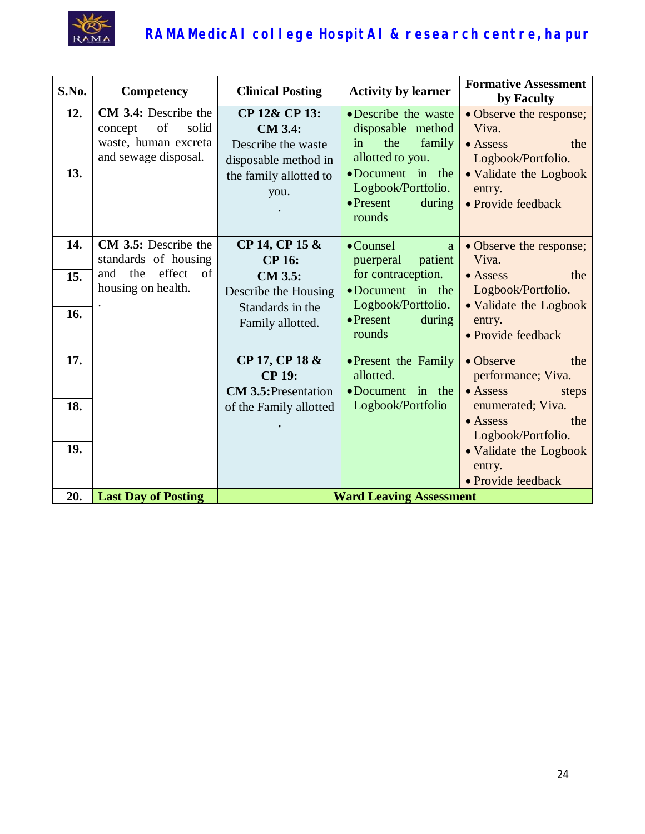

| S.No.      | Competency                                                                                     | <b>Clinical Posting</b>                                                                                         | <b>Activity by learner</b>                                                                                                                                              | <b>Formative Assessment</b><br>by Faculty                                                                                                   |
|------------|------------------------------------------------------------------------------------------------|-----------------------------------------------------------------------------------------------------------------|-------------------------------------------------------------------------------------------------------------------------------------------------------------------------|---------------------------------------------------------------------------------------------------------------------------------------------|
| 12.<br>13. | CM 3.4: Describe the<br>of<br>solid<br>concept<br>waste, human excreta<br>and sewage disposal. | CP 12& CP 13:<br><b>CM 3.4:</b><br>Describe the waste<br>disposable method in<br>the family allotted to<br>you. | • Describe the waste<br>disposable method<br>the<br>family<br>in<br>allotted to you.<br>•Document in the<br>Logbook/Portfolio.<br>$\bullet$ Present<br>during<br>rounds | • Observe the response;<br>Viva.<br>$\bullet$ Assess<br>the<br>Logbook/Portfolio.<br>• Validate the Logbook<br>entry.<br>· Provide feedback |
| 14.        | <b>CM 3.5:</b> Describe the<br>standards of housing                                            | CP 14, CP 15 &<br><b>CP 16:</b>                                                                                 | • Counsel<br>a<br>puerperal<br>patient                                                                                                                                  | • Observe the response;<br>Viva.                                                                                                            |
| 15.        | effect<br>the<br>of<br>and<br>housing on health.                                               | <b>CM 3.5:</b><br>Describe the Housing                                                                          | for contraception.<br>•Document in the<br>Logbook/Portfolio.                                                                                                            | $\bullet$ Assess<br>the<br>Logbook/Portfolio.                                                                                               |
| 16.        |                                                                                                | Standards in the<br>Family allotted.                                                                            | $\bullet$ Present<br>during<br>rounds                                                                                                                                   | • Validate the Logbook<br>entry.<br>• Provide feedback                                                                                      |
| 17.        |                                                                                                | CP 17, CP 18 &<br><b>CP 19:</b><br><b>CM 3.5: Presentation</b>                                                  | • Present the Family<br>allotted.<br>•Document in the                                                                                                                   | • Observe<br>the<br>performance; Viva.<br>$\bullet$ Assess<br>steps                                                                         |
| 18.        |                                                                                                | of the Family allotted                                                                                          | Logbook/Portfolio                                                                                                                                                       | enumerated; Viva.<br>$\bullet$ Assess<br>the<br>Logbook/Portfolio.                                                                          |
| 19.        |                                                                                                |                                                                                                                 |                                                                                                                                                                         | • Validate the Logbook<br>entry.<br>• Provide feedback                                                                                      |
| 20.        | <b>Last Day of Posting</b>                                                                     | <b>Ward Leaving Assessment</b>                                                                                  |                                                                                                                                                                         |                                                                                                                                             |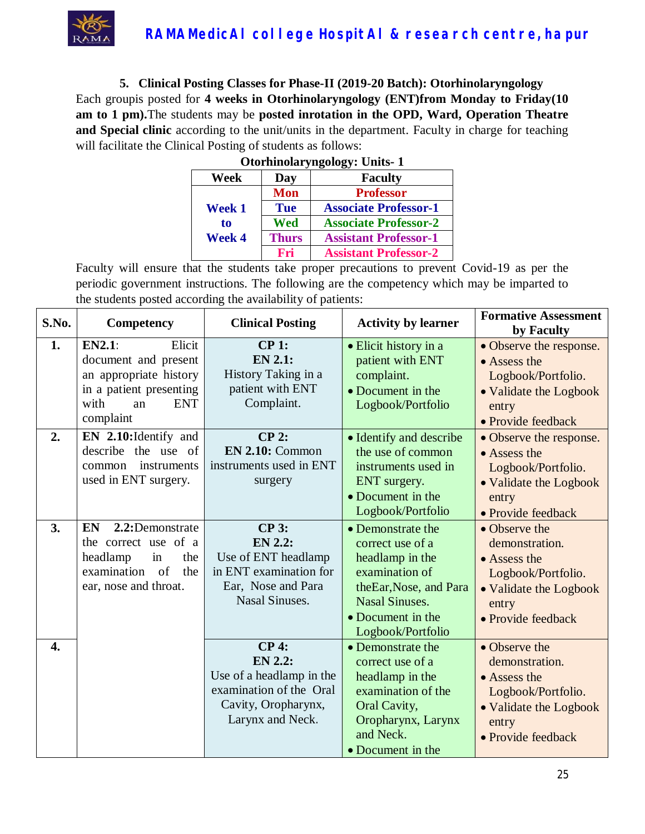

**5. Clinical Posting Classes for Phase-II (2019-20 Batch): Otorhinolaryngology** Each groupis posted for **4 weeks in Otorhinolaryngology (ENT)from Monday to Friday(10 am to 1 pm).**The students may be **posted inrotation in the OPD, Ward, Operation Theatre and Special clinic** according to the unit/units in the department. Faculty in charge for teaching will facilitate the Clinical Posting of students as follows:

|               | <b>Otorhinolaryngology: Units-1</b> |                              |  |  |
|---------------|-------------------------------------|------------------------------|--|--|
| Week          | Day                                 | <b>Faculty</b>               |  |  |
|               | <b>Mon</b>                          | <b>Professor</b>             |  |  |
| <b>Week 1</b> | <b>Tue</b>                          | <b>Associate Professor-1</b> |  |  |
| to            | Wed                                 | <b>Associate Professor-2</b> |  |  |
| <b>Week 4</b> | <b>Thurs</b>                        | <b>Assistant Professor-1</b> |  |  |
|               | Fri                                 | <b>Assistant Professor-2</b> |  |  |

| S.No.            | Competency                                                                                                                                    | <b>Clinical Posting</b>                                                                                                         | <b>Activity by learner</b>                                                                                                                                              | <b>Formative Assessment</b><br>by Faculty                                                                                      |
|------------------|-----------------------------------------------------------------------------------------------------------------------------------------------|---------------------------------------------------------------------------------------------------------------------------------|-------------------------------------------------------------------------------------------------------------------------------------------------------------------------|--------------------------------------------------------------------------------------------------------------------------------|
| 1.               | <b>EN2.1:</b><br>Elicit<br>document and present<br>an appropriate history<br>in a patient presenting<br><b>ENT</b><br>with<br>an<br>complaint | CP 1:<br><b>EN 2.1:</b><br>History Taking in a<br>patient with ENT<br>Complaint.                                                | • Elicit history in a<br>patient with ENT<br>complaint.<br>• Document in the<br>Logbook/Portfolio                                                                       | • Observe the response.<br>• Assess the<br>Logbook/Portfolio.<br>• Validate the Logbook<br>entry<br>• Provide feedback         |
| 2.               | EN 2.10: Identify and<br>describe the use of<br>instruments<br>common<br>used in ENT surgery.                                                 | $CP$ 2:<br>$EN$ 2.10: Common<br>instruments used in ENT<br>surgery                                                              | • Identify and describe<br>the use of common<br>instruments used in<br>ENT surgery.<br>• Document in the<br>Logbook/Portfolio                                           | • Observe the response.<br>$\bullet$ Assess the<br>Logbook/Portfolio.<br>• Validate the Logbook<br>entry<br>• Provide feedback |
| 3.               | 2.2:Demonstrate<br>EN<br>the correct use of a<br>headlamp<br>in<br>the<br>examination of<br>the<br>ear, nose and throat.                      | <b>CP 3:</b><br><b>EN 2.2:</b><br>Use of ENT headlamp<br>in ENT examination for<br>Ear, Nose and Para<br><b>Nasal Sinuses.</b>  | • Demonstrate the<br>correct use of a<br>headlamp in the<br>examination of<br>theEar, Nose, and Para<br><b>Nasal Sinuses.</b><br>• Document in the<br>Logbook/Portfolio | • Observe the<br>demonstration.<br>• Assess the<br>Logbook/Portfolio.<br>• Validate the Logbook<br>entry<br>· Provide feedback |
| $\overline{4}$ . |                                                                                                                                               | <b>CP4:</b><br><b>EN 2.2:</b><br>Use of a headlamp in the<br>examination of the Oral<br>Cavity, Oropharynx,<br>Larynx and Neck. | • Demonstrate the<br>correct use of a<br>headlamp in the<br>examination of the<br>Oral Cavity,<br>Oropharynx, Larynx<br>and Neck.<br>• Document in the                  | • Observe the<br>demonstration.<br>• Assess the<br>Logbook/Portfolio.<br>• Validate the Logbook<br>entry<br>• Provide feedback |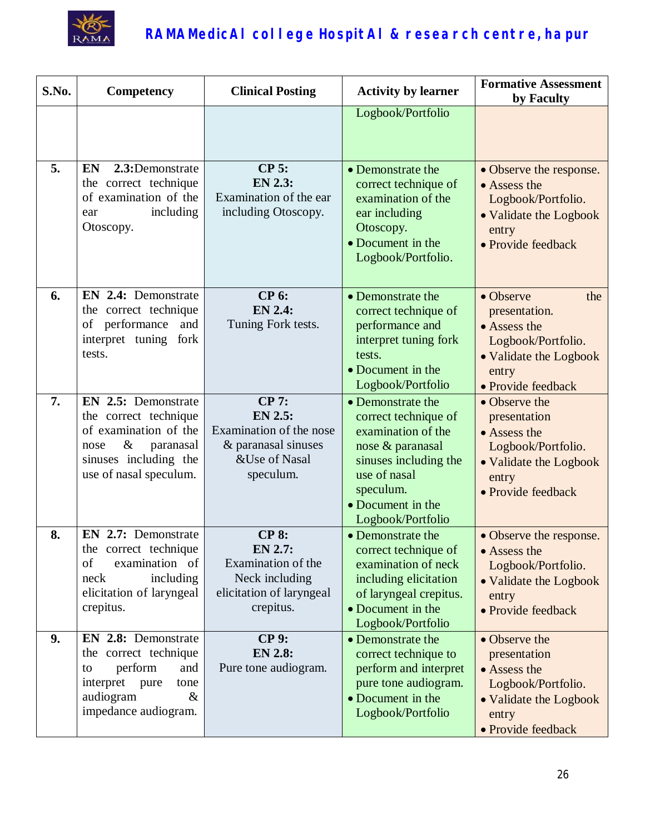

| S.No. | Competency                                                                                                                                            | <b>Clinical Posting</b>                                                                                        | <b>Activity by learner</b>                                                                                                                                                          | <b>Formative Assessment</b><br>by Faculty                                                                                                |
|-------|-------------------------------------------------------------------------------------------------------------------------------------------------------|----------------------------------------------------------------------------------------------------------------|-------------------------------------------------------------------------------------------------------------------------------------------------------------------------------------|------------------------------------------------------------------------------------------------------------------------------------------|
|       |                                                                                                                                                       |                                                                                                                | Logbook/Portfolio                                                                                                                                                                   |                                                                                                                                          |
| 5.    | <b>EN</b><br>2.3:Demonstrate<br>the correct technique<br>of examination of the<br>including<br>ear<br>Otoscopy.                                       | <b>CP 5:</b><br><b>EN 2.3:</b><br>Examination of the ear<br>including Otoscopy.                                | • Demonstrate the<br>correct technique of<br>examination of the<br>ear including<br>Otoscopy.<br>• Document in the<br>Logbook/Portfolio.                                            | • Observe the response.<br>• Assess the<br>Logbook/Portfolio.<br>• Validate the Logbook<br>entry<br>• Provide feedback                   |
| 6.    | EN 2.4: Demonstrate<br>the correct technique<br>of performance<br>and<br>interpret tuning<br>fork<br>tests.                                           | <b>CP 6:</b><br><b>EN 2.4:</b><br>Tuning Fork tests.                                                           | • Demonstrate the<br>correct technique of<br>performance and<br>interpret tuning fork<br>tests.<br>• Document in the<br>Logbook/Portfolio                                           | $\bullet$ Observe<br>the<br>presentation.<br>• Assess the<br>Logbook/Portfolio.<br>• Validate the Logbook<br>entry<br>• Provide feedback |
| 7.    | EN 2.5: Demonstrate<br>the correct technique<br>of examination of the<br>$\&$<br>paranasal<br>nose<br>sinuses including the<br>use of nasal speculum. | <b>CP 7:</b><br><b>EN 2.5:</b><br>Examination of the nose<br>& paranasal sinuses<br>&Use of Nasal<br>speculum. | • Demonstrate the<br>correct technique of<br>examination of the<br>nose & paranasal<br>sinuses including the<br>use of nasal<br>speculum.<br>• Document in the<br>Logbook/Portfolio | • Observe the<br>presentation<br>• Assess the<br>Logbook/Portfolio.<br>• Validate the Logbook<br>entry<br>• Provide feedback             |
| 8.    | EN 2.7: Demonstrate<br>the correct technique<br>examination of<br>of<br>neck<br>including<br>elicitation of laryngeal<br>crepitus.                    | <b>CP 8:</b><br>$EN$ 2.7:<br>Examination of the<br>Neck including<br>elicitation of laryngeal<br>crepitus.     | • Demonstrate the<br>correct technique of<br>examination of neck<br>including elicitation<br>of laryngeal crepitus.<br>• Document in the<br>Logbook/Portfolio                       | • Observe the response.<br>• Assess the<br>Logbook/Portfolio.<br>• Validate the Logbook<br>entry<br>· Provide feedback                   |
| 9.    | EN 2.8: Demonstrate<br>the correct technique<br>perform<br>and<br>to<br>interpret<br>pure<br>tone<br>audiogram<br>$\&$<br>impedance audiogram.        | <b>CP 9:</b><br><b>EN 2.8:</b><br>Pure tone audiogram.                                                         | • Demonstrate the<br>correct technique to<br>perform and interpret<br>pure tone audiogram.<br>• Document in the<br>Logbook/Portfolio                                                | • Observe the<br>presentation<br>• Assess the<br>Logbook/Portfolio.<br>• Validate the Logbook<br>entry<br>· Provide feedback             |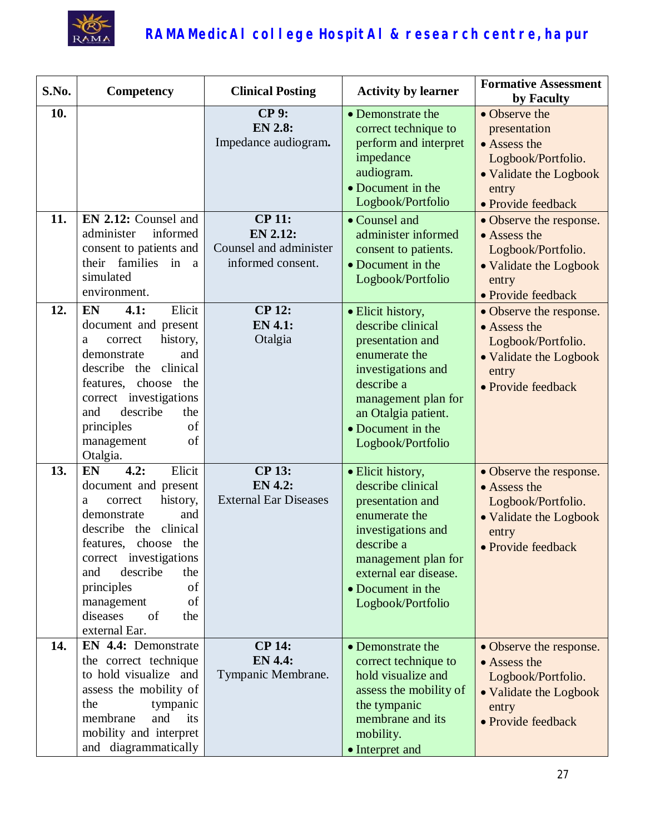

| S.No. | <b>Competency</b>                                                                                                                                                                                                                                                                        | <b>Clinical Posting</b>                                                  | <b>Activity by learner</b>                                                                                                                                                                                | <b>Formative Assessment</b><br>by Faculty                                                                                    |
|-------|------------------------------------------------------------------------------------------------------------------------------------------------------------------------------------------------------------------------------------------------------------------------------------------|--------------------------------------------------------------------------|-----------------------------------------------------------------------------------------------------------------------------------------------------------------------------------------------------------|------------------------------------------------------------------------------------------------------------------------------|
| 10.   |                                                                                                                                                                                                                                                                                          | <b>CP 9:</b><br><b>EN 2.8:</b><br>Impedance audiogram.                   | • Demonstrate the<br>correct technique to<br>perform and interpret<br>impedance<br>audiogram.<br>• Document in the<br>Logbook/Portfolio                                                                   | • Observe the<br>presentation<br>• Assess the<br>Logbook/Portfolio.<br>• Validate the Logbook<br>entry<br>· Provide feedback |
| 11.   | EN 2.12: Counsel and<br>informed<br>administer<br>consent to patients and<br>their families<br>in<br>a<br>simulated<br>environment.                                                                                                                                                      | <b>CP 11:</b><br>EN 2.12:<br>Counsel and administer<br>informed consent. | • Counsel and<br>administer informed<br>consent to patients.<br>• Document in the<br>Logbook/Portfolio                                                                                                    | • Observe the response.<br>• Assess the<br>Logbook/Portfolio.<br>• Validate the Logbook<br>entry<br>• Provide feedback       |
| 12.   | Elicit<br>EN<br>4.1:<br>document and present<br>history,<br>correct<br>a<br>demonstrate<br>and<br>describe the clinical<br>features, choose the<br>correct investigations<br>and<br>describe<br>the<br>of<br>principles<br>of<br>management<br>Otalgia.                                  | <b>CP 12:</b><br><b>EN 4.1:</b><br>Otalgia                               | • Elicit history,<br>describe clinical<br>presentation and<br>enumerate the<br>investigations and<br>describe a<br>management plan for<br>an Otalgia patient.<br>• Document in the<br>Logbook/Portfolio   | • Observe the response.<br>• Assess the<br>Logbook/Portfolio.<br>• Validate the Logbook<br>entry<br>• Provide feedback       |
| 13.   | Elicit<br>4.2:<br>EN<br>document and present<br>history,<br>correct<br>a<br>demonstrate<br>and<br>describe the<br>clinical<br>features, choose the<br>correct investigations<br>describe<br>and<br>the<br>principles<br>of<br>of<br>management<br>diseases<br>of<br>the<br>external Ear. | <b>CP 13:</b><br><b>EN 4.2:</b><br><b>External Ear Diseases</b>          | · Elicit history,<br>describe clinical<br>presentation and<br>enumerate the<br>investigations and<br>describe a<br>management plan for<br>external ear disease.<br>• Document in the<br>Logbook/Portfolio | • Observe the response.<br>• Assess the<br>Logbook/Portfolio.<br>• Validate the Logbook<br>entry<br>· Provide feedback       |
| 14.   | EN 4.4: Demonstrate<br>the correct technique<br>to hold visualize and<br>assess the mobility of<br>the<br>tympanic<br>membrane<br>and<br>its<br>mobility and interpret<br>and diagrammatically                                                                                           | <b>CP 14:</b><br><b>EN 4.4:</b><br>Tympanic Membrane.                    | • Demonstrate the<br>correct technique to<br>hold visualize and<br>assess the mobility of<br>the tympanic<br>membrane and its<br>mobility.<br>• Interpret and                                             | • Observe the response.<br>• Assess the<br>Logbook/Portfolio.<br>• Validate the Logbook<br>entry<br>• Provide feedback       |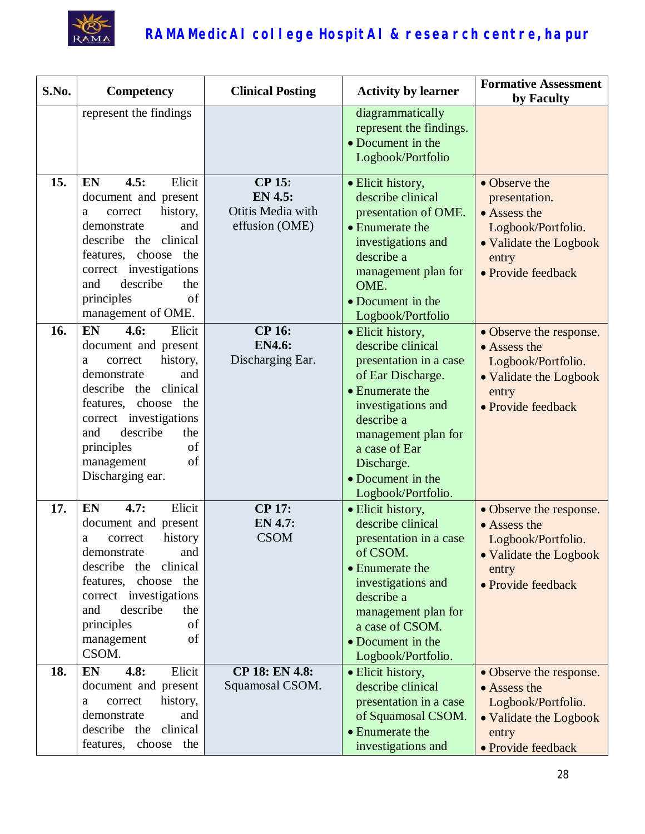

| S.No. | Competency                                                                                                                                                                                                                                                            | <b>Clinical Posting</b>                                                | <b>Activity by learner</b>                                                                                                                                                                                                                    | <b>Formative Assessment</b><br>by Faculty                                                                                     |
|-------|-----------------------------------------------------------------------------------------------------------------------------------------------------------------------------------------------------------------------------------------------------------------------|------------------------------------------------------------------------|-----------------------------------------------------------------------------------------------------------------------------------------------------------------------------------------------------------------------------------------------|-------------------------------------------------------------------------------------------------------------------------------|
|       | represent the findings                                                                                                                                                                                                                                                |                                                                        | diagrammatically<br>represent the findings.<br>• Document in the<br>Logbook/Portfolio                                                                                                                                                         |                                                                                                                               |
| 15.   | 4.5:<br>Elicit<br><b>EN</b><br>document and present<br>history,<br>correct<br>a<br>demonstrate<br>and<br>describe<br>clinical<br>the<br>features, choose the<br>correct investigations<br>describe<br>and<br>the<br>principles<br>of<br>management of OME.            | <b>CP 15:</b><br><b>EN 4.5:</b><br>Otitis Media with<br>effusion (OME) | · Elicit history,<br>describe clinical<br>presentation of OME.<br>• Enumerate the<br>investigations and<br>describe a<br>management plan for<br>OME.<br>• Document in the<br>Logbook/Portfolio                                                | • Observe the<br>presentation.<br>• Assess the<br>Logbook/Portfolio.<br>• Validate the Logbook<br>entry<br>• Provide feedback |
| 16.   | EN<br>4.6:<br>Elicit<br>document and present<br>history,<br>correct<br>a<br>demonstrate<br>and<br>describe the<br>clinical<br>features, choose<br>the<br>correct investigations<br>describe<br>and<br>the<br>of<br>principles<br>of<br>management<br>Discharging ear. | <b>CP 16:</b><br><b>EN4.6:</b><br>Discharging Ear.                     | · Elicit history,<br>describe clinical<br>presentation in a case<br>of Ear Discharge.<br>• Enumerate the<br>investigations and<br>describe a<br>management plan for<br>a case of Ear<br>Discharge.<br>• Document in the<br>Logbook/Portfolio. | • Observe the response.<br>• Assess the<br>Logbook/Portfolio.<br>• Validate the Logbook<br>entry<br>• Provide feedback        |
| 17.   | EN<br>Elicit<br>4.7:<br>document and present<br>history<br>correct<br>a<br>demonstrate<br>and<br>describe the clinical<br>features, choose the<br>correct investigations<br>describe<br>and<br>the<br>principles<br>of<br>of<br>management<br>CSOM.                   | <b>CP 17:</b><br><b>EN 4.7:</b><br><b>CSOM</b>                         | · Elicit history,<br>describe clinical<br>presentation in a case<br>of CSOM.<br>• Enumerate the<br>investigations and<br>describe a<br>management plan for<br>a case of CSOM.<br>• Document in the<br>Logbook/Portfolio.                      | • Observe the response.<br>• Assess the<br>Logbook/Portfolio.<br>• Validate the Logbook<br>entry<br>• Provide feedback        |
| 18.   | 4.8:<br>EN<br>Elicit<br>document and present<br>history,<br>correct<br>a<br>demonstrate<br>and<br>describe the<br>clinical<br>choose the<br>features,                                                                                                                 | CP 18: EN 4.8:<br>Squamosal CSOM.                                      | • Elicit history,<br>describe clinical<br>presentation in a case<br>of Squamosal CSOM.<br>• Enumerate the<br>investigations and                                                                                                               | • Observe the response.<br>• Assess the<br>Logbook/Portfolio.<br>• Validate the Logbook<br>entry<br>• Provide feedback        |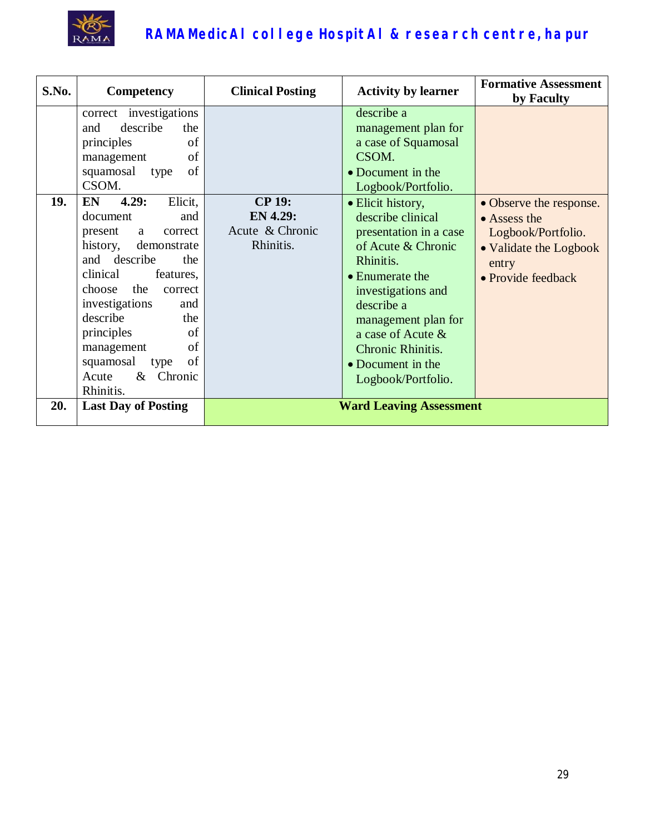

| S.No. | Competency                                                                                                                                                                                                                                                                                                                                                                                                                                                                 | <b>Clinical Posting</b>                                          | <b>Activity by learner</b>                                                                                                                                                                                                                                                                                                                                                                     | <b>Formative Assessment</b><br>by Faculty                                                                                      |
|-------|----------------------------------------------------------------------------------------------------------------------------------------------------------------------------------------------------------------------------------------------------------------------------------------------------------------------------------------------------------------------------------------------------------------------------------------------------------------------------|------------------------------------------------------------------|------------------------------------------------------------------------------------------------------------------------------------------------------------------------------------------------------------------------------------------------------------------------------------------------------------------------------------------------------------------------------------------------|--------------------------------------------------------------------------------------------------------------------------------|
| 19.   | correct investigations<br>describe<br>and<br>the<br>principles<br>of<br>of<br>management<br>of<br>squamosal<br>type<br>CSOM.<br>4.29:<br>Elicit,<br><b>EN</b><br>document<br>and<br>present<br>correct<br>a<br>history,<br>demonstrate<br>and describe<br>the<br>clinical<br>features,<br>the<br>choose<br>correct<br>investigations<br>and<br>describe<br>the<br>principles<br>of<br>of<br>management<br>of<br>squamosal<br>type<br>Acute<br>$\&$<br>Chronic<br>Rhinitis. | <b>CP 19:</b><br><b>EN 4.29:</b><br>Acute & Chronic<br>Rhinitis. | describe a<br>management plan for<br>a case of Squamosal<br>CSOM.<br>• Document in the<br>Logbook/Portfolio.<br>• Elicit history,<br>describe clinical<br>presentation in a case<br>of Acute & Chronic<br>Rhinitis.<br>$\bullet$ Enumerate the<br>investigations and<br>describe a<br>management plan for<br>a case of Acute &<br>Chronic Rhinitis.<br>• Document in the<br>Logbook/Portfolio. | • Observe the response.<br>$\bullet$ Assess the<br>Logbook/Portfolio.<br>• Validate the Logbook<br>entry<br>• Provide feedback |
| 20.   | <b>Last Day of Posting</b>                                                                                                                                                                                                                                                                                                                                                                                                                                                 |                                                                  | <b>Ward Leaving Assessment</b>                                                                                                                                                                                                                                                                                                                                                                 |                                                                                                                                |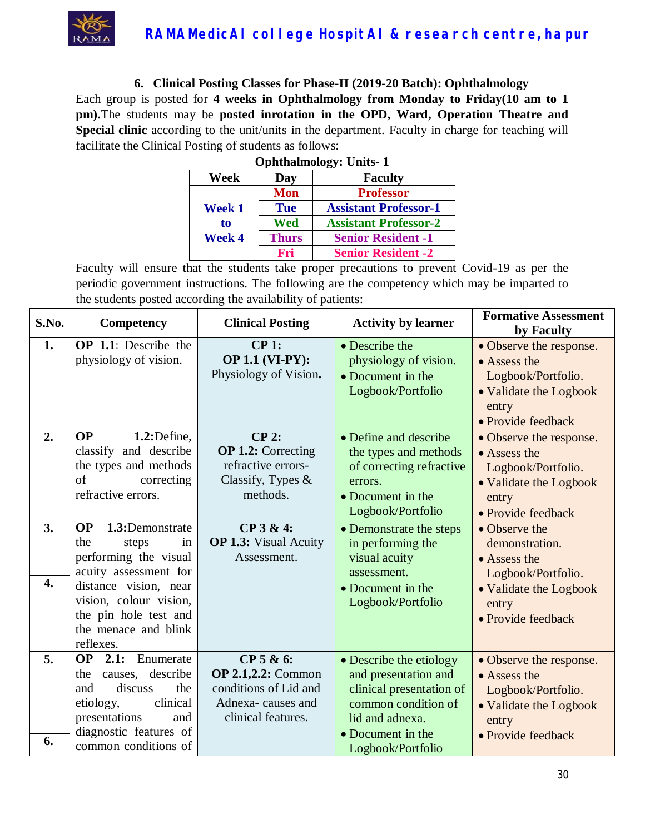

#### **6. Clinical Posting Classes for Phase-II (2019-20 Batch): Ophthalmology**

Each group is posted for **4 weeks in Ophthalmology from Monday to Friday(10 am to 1 pm).**The students may be **posted inrotation in the OPD, Ward, Operation Theatre and Special clinic** according to the unit/units in the department. Faculty in charge for teaching will facilitate the Clinical Posting of students as follows:

| <b>Ophthalmology: Units-1</b> |              |                              |  |
|-------------------------------|--------------|------------------------------|--|
| Week                          | Day          | <b>Faculty</b>               |  |
| Week 1                        | <b>Mon</b>   | <b>Professor</b>             |  |
|                               | <b>Tue</b>   | <b>Assistant Professor-1</b> |  |
| to                            | Wed          | <b>Assistant Professor-2</b> |  |
| <b>Week 4</b>                 | <b>Thurs</b> | <b>Senior Resident -1</b>    |  |
|                               | Fri          | <b>Senior Resident -2</b>    |  |

| S.No.                        | Competency                                                                                                                                                                                                                                                                                                                                | <b>Clinical Posting</b>                                                                                                                                    | <b>Activity by learner</b>                                                                                                                                                                                                                                | <b>Formative Assessment</b><br>by Faculty                                                                                                                                                                                                                |
|------------------------------|-------------------------------------------------------------------------------------------------------------------------------------------------------------------------------------------------------------------------------------------------------------------------------------------------------------------------------------------|------------------------------------------------------------------------------------------------------------------------------------------------------------|-----------------------------------------------------------------------------------------------------------------------------------------------------------------------------------------------------------------------------------------------------------|----------------------------------------------------------------------------------------------------------------------------------------------------------------------------------------------------------------------------------------------------------|
| 1.                           | <b>OP</b> 1.1: Describe the<br>physiology of vision.                                                                                                                                                                                                                                                                                      | $CP1$ :<br><b>OP 1.1 (VI-PY):</b><br>Physiology of Vision.                                                                                                 | • Describe the<br>physiology of vision.<br>• Document in the<br>Logbook/Portfolio                                                                                                                                                                         | • Observe the response.<br>• Assess the<br>Logbook/Portfolio.<br>• Validate the Logbook<br>entry<br>• Provide feedback                                                                                                                                   |
| 2.<br>3.<br>$\overline{4}$ . | OP<br>$1.2:$ Define,<br>classify and describe<br>the types and methods<br>of<br>correcting<br>refractive errors.<br><b>OP</b><br>1.3:Demonstrate<br>the<br>steps<br>in<br>performing the visual<br>acuity assessment for<br>distance vision, near<br>vision, colour vision,<br>the pin hole test and<br>the menace and blink<br>reflexes. | $CP$ 2:<br><b>OP 1.2:</b> Correcting<br>refractive errors-<br>Classify, Types $\&$<br>methods.<br>CP 3 & 4:<br><b>OP 1.3:</b> Visual Acuity<br>Assessment. | • Define and describe<br>the types and methods<br>of correcting refractive<br>errors.<br>• Document in the<br>Logbook/Portfolio<br>• Demonstrate the steps<br>in performing the<br>visual acuity<br>assessment.<br>• Document in the<br>Logbook/Portfolio | • Observe the response.<br>• Assess the<br>Logbook/Portfolio.<br>• Validate the Logbook<br>entry<br>• Provide feedback<br>• Observe the<br>demonstration.<br>• Assess the<br>Logbook/Portfolio.<br>• Validate the Logbook<br>entry<br>• Provide feedback |
| 5.<br>6.                     | <b>OP</b> 2.1: Enumerate<br>causes, describe<br>the<br>discuss<br>the<br>and<br>clinical<br>etiology,<br>presentations<br>and<br>diagnostic features of<br>common conditions of                                                                                                                                                           | $CP$ 5 & 6:<br><b>OP 2.1,2.2: Common</b><br>conditions of Lid and<br>Adnexa-causes and<br>clinical features.                                               | • Describe the etiology<br>and presentation and<br>clinical presentation of<br>common condition of<br>lid and adnexa.<br>• Document in the<br>Logbook/Portfolio                                                                                           | • Observe the response.<br>• Assess the<br>Logbook/Portfolio.<br>• Validate the Logbook<br>entry<br>• Provide feedback                                                                                                                                   |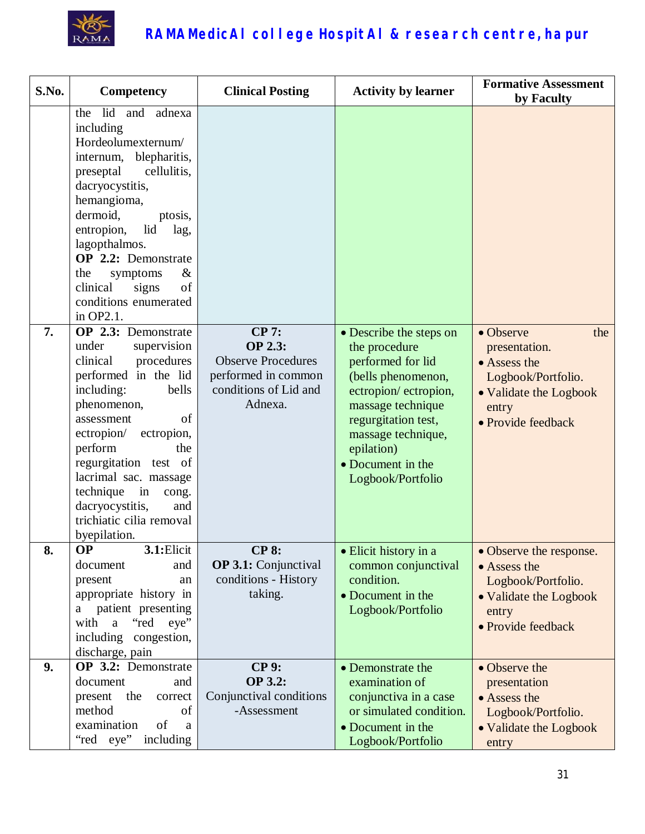

| S.No. | Competency                                                                                                                                                                                                                                                                                                                                                | <b>Clinical Posting</b>                                                                                                | <b>Activity by learner</b>                                                                                                                                                                                                            | <b>Formative Assessment</b><br>by Faculty                                                                                        |
|-------|-----------------------------------------------------------------------------------------------------------------------------------------------------------------------------------------------------------------------------------------------------------------------------------------------------------------------------------------------------------|------------------------------------------------------------------------------------------------------------------------|---------------------------------------------------------------------------------------------------------------------------------------------------------------------------------------------------------------------------------------|----------------------------------------------------------------------------------------------------------------------------------|
|       | lid<br>and<br>adnexa<br>the<br>including<br>Hordeolumexternum/<br>blepharitis,<br>internum,<br>preseptal<br>cellulitis,<br>dacryocystitis,<br>hemangioma,<br>dermoid,<br>ptosis,<br>entropion,<br>lid<br>lag,<br>lagopthalmos.<br>OP 2.2: Demonstrate<br>the<br>$\&$<br>symptoms<br>clinical<br>of<br>signs<br>conditions enumerated<br>in OP2.1.         |                                                                                                                        |                                                                                                                                                                                                                                       |                                                                                                                                  |
| 7.    | OP 2.3: Demonstrate<br>under<br>supervision<br>procedures<br>clinical<br>performed in the lid<br>including:<br>bells<br>phenomenon,<br>assessment<br>of<br>ectropion/<br>ectropion,<br>perform<br>the<br>regurgitation test of<br>lacrimal sac. massage<br>technique<br>in<br>cong.<br>dacryocystitis,<br>and<br>trichiatic cilia removal<br>byepilation. | <b>CP 7:</b><br><b>OP 2.3:</b><br><b>Observe Procedures</b><br>performed in common<br>conditions of Lid and<br>Adnexa. | • Describe the steps on<br>the procedure<br>performed for lid<br>(bells phenomenon,<br>ectropion/ectropion,<br>massage technique<br>regurgitation test,<br>massage technique,<br>epilation)<br>• Document in the<br>Logbook/Portfolio | • Observe<br>the<br>presentation.<br>• Assess the<br>Logbook/Portfolio.<br>• Validate the Logbook<br>entry<br>• Provide feedback |
| 8.    | <b>OP</b><br>3.1: Elicit<br>document<br>and<br>present<br>an<br>appropriate history in<br>patient presenting<br>a<br>with<br>a "red eye"<br>including congestion,<br>discharge, pain                                                                                                                                                                      | <b>CP 8:</b><br><b>OP 3.1:</b> Conjunctival<br>conditions - History<br>taking.                                         | · Elicit history in a<br>common conjunctival<br>condition.<br>• Document in the<br>Logbook/Portfolio                                                                                                                                  | • Observe the response.<br>• Assess the<br>Logbook/Portfolio.<br>• Validate the Logbook<br>entry<br>• Provide feedback           |
| 9.    | OP 3.2: Demonstrate<br>document<br>and<br>present<br>the<br>correct<br>method<br>of<br>of<br>examination<br>a<br>including<br>"red eye"                                                                                                                                                                                                                   | <b>CP 9:</b><br><b>OP 3.2:</b><br>Conjunctival conditions<br>-Assessment                                               | • Demonstrate the<br>examination of<br>conjunctiva in a case<br>or simulated condition.<br>• Document in the<br>Logbook/Portfolio                                                                                                     | • Observe the<br>presentation<br>• Assess the<br>Logbook/Portfolio.<br>• Validate the Logbook<br>entry                           |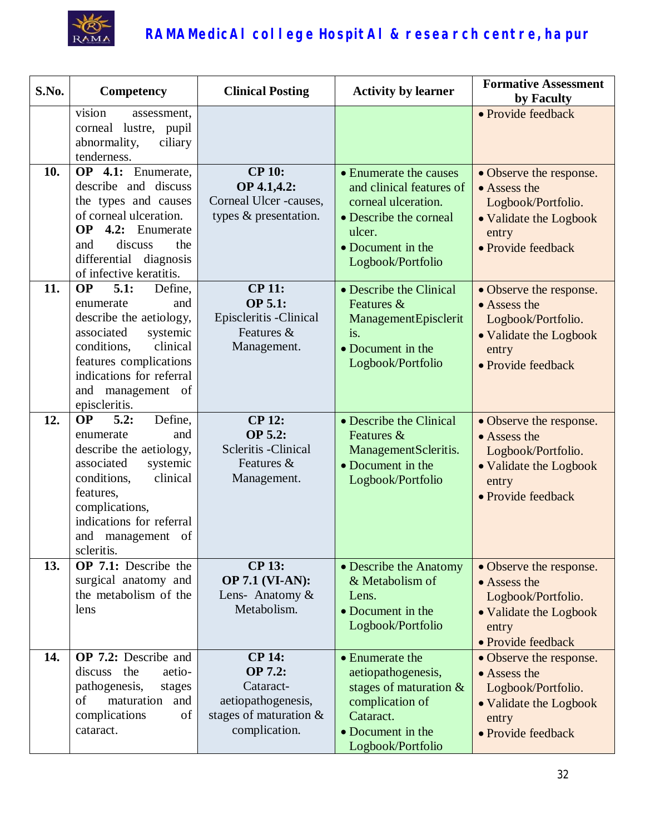

| S.No. | Competency                                                                                                                                                                                                                     | <b>Clinical Posting</b>                                                                                   | <b>Activity by learner</b>                                                                                                                              | <b>Formative Assessment</b><br>by Faculty                                                                              |
|-------|--------------------------------------------------------------------------------------------------------------------------------------------------------------------------------------------------------------------------------|-----------------------------------------------------------------------------------------------------------|---------------------------------------------------------------------------------------------------------------------------------------------------------|------------------------------------------------------------------------------------------------------------------------|
|       | vision<br>assessment.<br>corneal lustre, pupil<br>abnormality,<br>ciliary<br>tenderness.                                                                                                                                       |                                                                                                           |                                                                                                                                                         | • Provide feedback                                                                                                     |
| 10.   | OP 4.1: Enumerate,<br>describe and discuss<br>the types and causes<br>of corneal ulceration.<br>OP<br>4.2: Enumerate<br>discuss<br>the<br>and<br>differential<br>diagnosis<br>of infective keratitis.                          | <b>CP 10:</b><br>OP 4.1,4.2:<br>Corneal Ulcer -causes,<br>types & presentation.                           | • Enumerate the causes<br>and clinical features of<br>corneal ulceration.<br>• Describe the corneal<br>ulcer.<br>• Document in the<br>Logbook/Portfolio | • Observe the response.<br>• Assess the<br>Logbook/Portfolio.<br>• Validate the Logbook<br>entry<br>• Provide feedback |
| 11.   | <b>OP</b><br>5.1:<br>Define,<br>and<br>enumerate<br>describe the aetiology,<br>associated<br>systemic<br>clinical<br>conditions,<br>features complications<br>indications for referral<br>and management of<br>episcleritis.   | <b>CP 11:</b><br><b>OP 5.1:</b><br>Episcleritis - Clinical<br>Features &<br>Management.                   | • Describe the Clinical<br>Features &<br>ManagementEpisclerit<br>is.<br>• Document in the<br>Logbook/Portfolio                                          | • Observe the response.<br>• Assess the<br>Logbook/Portfolio.<br>• Validate the Logbook<br>entry<br>· Provide feedback |
| 12.   | <b>OP</b><br>Define,<br>5.2:<br>enumerate<br>and<br>describe the aetiology,<br>associated<br>systemic<br>clinical<br>conditions,<br>features,<br>complications,<br>indications for referral<br>and management of<br>scleritis. | <b>CP 12:</b><br>OP 5.2:<br>Scleritis - Clinical<br>Features &<br>Management.                             | • Describe the Clinical<br>Features &<br>ManagementScleritis.<br>• Document in the<br>Logbook/Portfolio                                                 | • Observe the response.<br>• Assess the<br>Logbook/Portfolio.<br>• Validate the Logbook<br>entry<br>• Provide feedback |
| 13.   | OP 7.1: Describe the<br>surgical anatomy and<br>the metabolism of the<br>lens                                                                                                                                                  | <b>CP 13:</b><br><b>OP 7.1 (VI-AN):</b><br>Lens- Anatomy &<br>Metabolism.                                 | • Describe the Anatomy<br>& Metabolism of<br>Lens.<br>• Document in the<br>Logbook/Portfolio                                                            | • Observe the response.<br>• Assess the<br>Logbook/Portfolio.<br>• Validate the Logbook<br>entry<br>• Provide feedback |
| 14.   | <b>OP 7.2:</b> Describe and<br>discuss the<br>aetio-<br>pathogenesis,<br>stages<br>maturation and<br>of<br>complications<br>of<br>cataract.                                                                                    | <b>CP 14:</b><br>OP 7.2:<br>Cataract-<br>aetiopathogenesis,<br>stages of maturation $\&$<br>complication. | • Enumerate the<br>aetiopathogenesis,<br>stages of maturation $\&$<br>complication of<br>Cataract.<br>• Document in the<br>Logbook/Portfolio            | • Observe the response.<br>• Assess the<br>Logbook/Portfolio.<br>• Validate the Logbook<br>entry<br>• Provide feedback |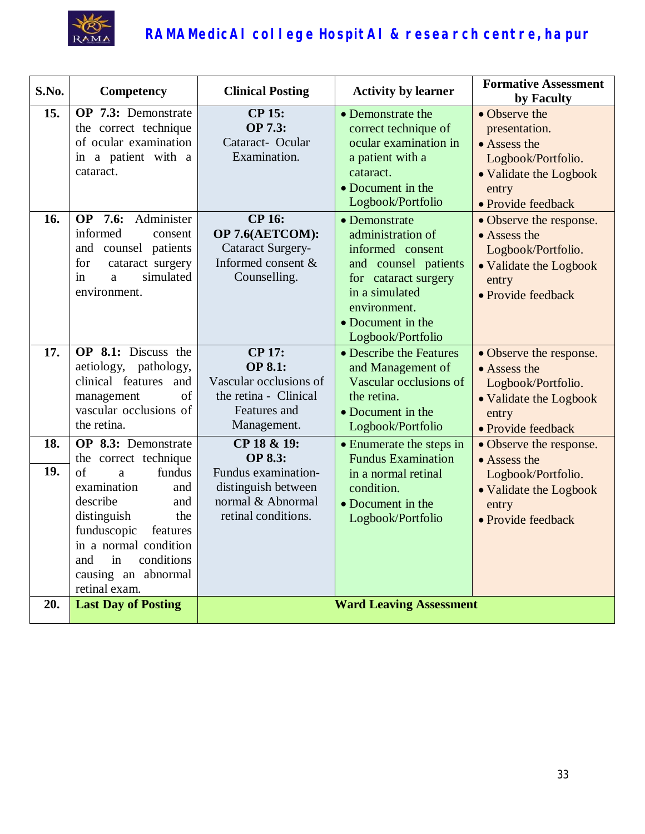

| S.No.      | Competency                                                                                                                                                                                                                                              | <b>Clinical Posting</b>                                                                                                 | <b>Activity by learner</b>                                                                                                                                                         | <b>Formative Assessment</b><br>by Faculty                                                                                     |
|------------|---------------------------------------------------------------------------------------------------------------------------------------------------------------------------------------------------------------------------------------------------------|-------------------------------------------------------------------------------------------------------------------------|------------------------------------------------------------------------------------------------------------------------------------------------------------------------------------|-------------------------------------------------------------------------------------------------------------------------------|
| 15.        | OP 7.3: Demonstrate<br>the correct technique<br>of ocular examination<br>in a patient with a<br>cataract.                                                                                                                                               | <b>CP 15:</b><br>OP 7.3:<br>Cataract- Ocular<br>Examination.                                                            | • Demonstrate the<br>correct technique of<br>ocular examination in<br>a patient with a<br>cataract.<br>• Document in the<br>Logbook/Portfolio                                      | • Observe the<br>presentation.<br>• Assess the<br>Logbook/Portfolio.<br>• Validate the Logbook<br>entry<br>• Provide feedback |
| 16.        | <b>OP</b> 7.6:<br>Administer<br>informed<br>consent<br>and counsel patients<br>for<br>cataract surgery<br>simulated<br>in<br>a<br>environment.                                                                                                          | <b>CP 16:</b><br>OP 7.6(AETCOM):<br><b>Cataract Surgery-</b><br>Informed consent &<br>Counselling.                      | • Demonstrate<br>administration of<br>informed consent<br>and counsel patients<br>for cataract surgery<br>in a simulated<br>environment.<br>• Document in the<br>Logbook/Portfolio | • Observe the response.<br>• Assess the<br>Logbook/Portfolio.<br>• Validate the Logbook<br>entry<br>• Provide feedback        |
| 17.        | <b>OP</b> 8.1: Discuss the<br>aetiology, pathology,<br>clinical features<br>and<br>of<br>management<br>vascular occlusions of<br>the retina.                                                                                                            | <b>CP 17:</b><br><b>OP 8.1:</b><br>Vascular occlusions of<br>the retina - Clinical<br>Features and<br>Management.       | • Describe the Features<br>and Management of<br>Vascular occlusions of<br>the retina.<br>• Document in the<br>Logbook/Portfolio                                                    | • Observe the response.<br>• Assess the<br>Logbook/Portfolio.<br>• Validate the Logbook<br>entry<br>· Provide feedback        |
| 18.<br>19. | OP 8.3: Demonstrate<br>the correct technique<br>of<br>fundus<br>a<br>examination<br>and<br>describe<br>and<br>distinguish<br>the<br>funduscopic<br>features<br>in a normal condition<br>conditions<br>and<br>in<br>causing an abnormal<br>retinal exam. | CP 18 & 19:<br><b>OP 8.3:</b><br>Fundus examination-<br>distinguish between<br>normal & Abnormal<br>retinal conditions. | • Enumerate the steps in<br><b>Fundus Examination</b><br>in a normal retinal<br>condition.<br>• Document in the<br>Logbook/Portfolio                                               | • Observe the response.<br>• Assess the<br>Logbook/Portfolio.<br>• Validate the Logbook<br>entry<br>· Provide feedback        |
| 20.        | <b>Last Day of Posting</b>                                                                                                                                                                                                                              |                                                                                                                         | <b>Ward Leaving Assessment</b>                                                                                                                                                     |                                                                                                                               |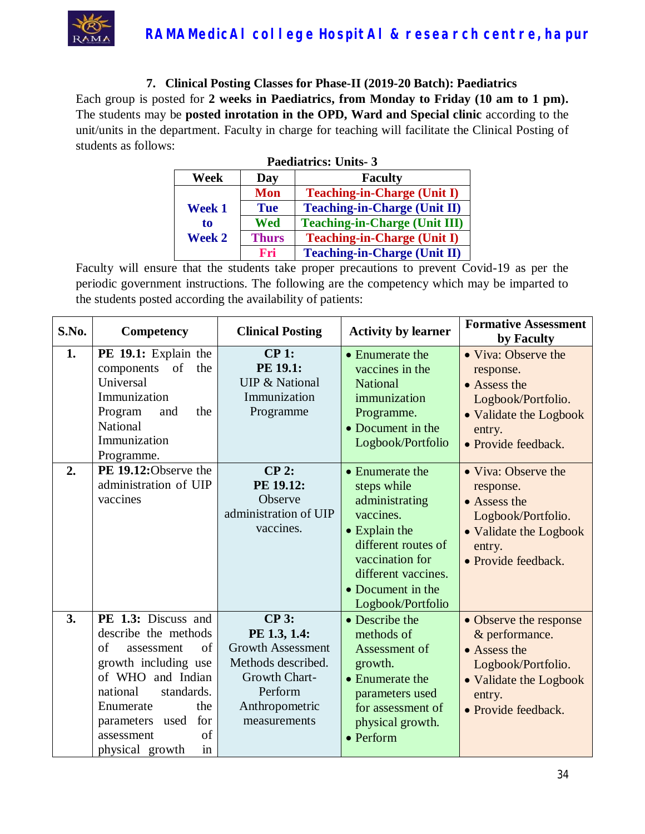

**7. Clinical Posting Classes for Phase-II (2019-20 Batch): Paediatrics**

Each group is posted for **2 weeks in Paediatrics, from Monday to Friday (10 am to 1 pm).** The students may be **posted inrotation in the OPD, Ward and Special clinic** according to the unit/units in the department. Faculty in charge for teaching will facilitate the Clinical Posting of students as follows:

| <b>Paediatrics: Units-3</b>   |              |                                      |  |
|-------------------------------|--------------|--------------------------------------|--|
| <b>Faculty</b><br>Week<br>Day |              |                                      |  |
|                               | <b>Mon</b>   | <b>Teaching-in-Charge (Unit I)</b>   |  |
| <b>Week 1</b>                 | <b>Tue</b>   | <b>Teaching-in-Charge (Unit II)</b>  |  |
| to<br><b>Week 2</b>           | Wed          | <b>Teaching-in-Charge (Unit III)</b> |  |
|                               | <b>Thurs</b> | <b>Teaching-in-Charge (Unit I)</b>   |  |
|                               | Fri          | <b>Teaching-in-Charge (Unit II)</b>  |  |

| S.No. | Competency                                                                                                                                                                                                                              | <b>Clinical Posting</b>                                                                                                                      | <b>Activity by learner</b>                                                                                                                                                                        | <b>Formative Assessment</b><br>by Faculty                                                                                                 |
|-------|-----------------------------------------------------------------------------------------------------------------------------------------------------------------------------------------------------------------------------------------|----------------------------------------------------------------------------------------------------------------------------------------------|---------------------------------------------------------------------------------------------------------------------------------------------------------------------------------------------------|-------------------------------------------------------------------------------------------------------------------------------------------|
| 1.    | PE 19.1: Explain the<br>of the<br>components<br>Universal<br>Immunization<br>Program<br>the<br>and<br>National<br>Immunization<br>Programme.                                                                                            | $CP$ 1:<br>PE 19.1:<br><b>UIP &amp; National</b><br>Immunization<br>Programme                                                                | • Enumerate the<br>vaccines in the<br><b>National</b><br>immunization<br>Programme.<br>• Document in the<br>Logbook/Portfolio                                                                     | • Viva: Observe the<br>response.<br>• Assess the<br>Logbook/Portfolio.<br>• Validate the Logbook<br>entry.<br>• Provide feedback.         |
| 2.    | PE 19.12:Observe the<br>administration of UIP<br>vaccines                                                                                                                                                                               | $CP2$ :<br>PE 19.12:<br>Observe<br>administration of UIP<br>vaccines.                                                                        | • Enumerate the<br>steps while<br>administrating<br>vaccines.<br>$\bullet$ Explain the<br>different routes of<br>vaccination for<br>different vaccines.<br>• Document in the<br>Logbook/Portfolio | • Viva: Observe the<br>response.<br>• Assess the<br>Logbook/Portfolio.<br>• Validate the Logbook<br>entry.<br>• Provide feedback.         |
| 3.    | PE 1.3: Discuss and<br>describe the methods<br>of<br>of<br>assessment<br>growth including use<br>of WHO and Indian<br>national<br>standards.<br>the<br>Enumerate<br>for<br>parameters used<br>of<br>assessment<br>physical growth<br>in | <b>CP 3:</b><br>PE 1.3, 1.4:<br><b>Growth Assessment</b><br>Methods described.<br>Growth Chart-<br>Perform<br>Anthropometric<br>measurements | • Describe the<br>methods of<br>Assessment of<br>growth.<br>• Enumerate the<br>parameters used<br>for assessment of<br>physical growth.<br>$\bullet$ Perform                                      | • Observe the response<br>& performance.<br>• Assess the<br>Logbook/Portfolio.<br>• Validate the Logbook<br>entry.<br>• Provide feedback. |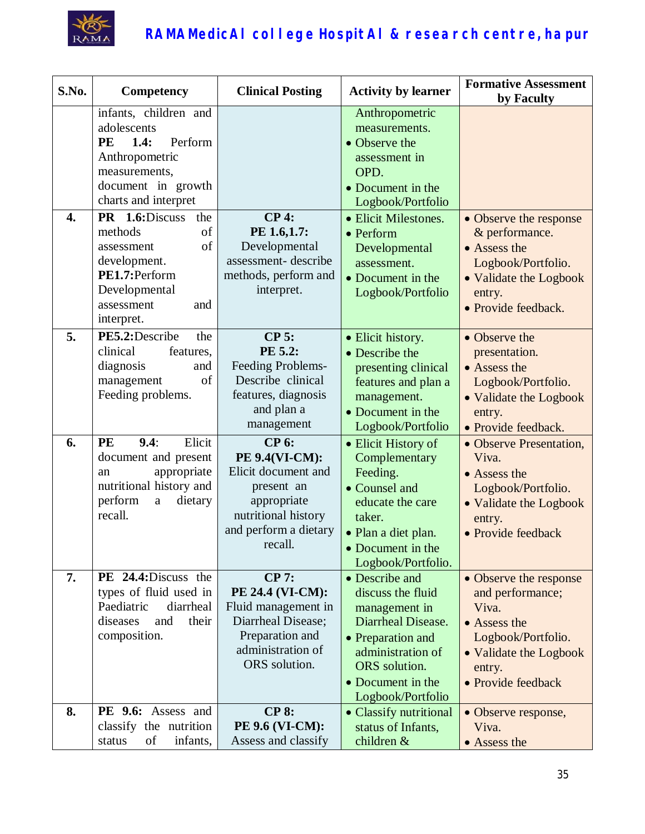

| S.No.            | Competency                                                                                                                                      | <b>Clinical Posting</b>                                                                                                                       | <b>Activity by learner</b>                                                                                                                                                      | <b>Formative Assessment</b><br>by Faculty                                                                                                           |
|------------------|-------------------------------------------------------------------------------------------------------------------------------------------------|-----------------------------------------------------------------------------------------------------------------------------------------------|---------------------------------------------------------------------------------------------------------------------------------------------------------------------------------|-----------------------------------------------------------------------------------------------------------------------------------------------------|
|                  | infants, children and<br>adolescents<br>PE<br>1.4:<br>Perform<br>Anthropometric<br>measurements,<br>document in growth<br>charts and interpret  |                                                                                                                                               | Anthropometric<br>measurements.<br>• Observe the<br>assessment in<br>OPD.<br>• Document in the<br>Logbook/Portfolio                                                             |                                                                                                                                                     |
| $\overline{4}$ . | PR 1.6:Discuss<br>the<br>methods<br>of<br>of<br>assessment<br>development.<br>PE1.7:Perform<br>Developmental<br>assessment<br>and<br>interpret. | <b>CP4:</b><br>PE 1.6,1.7:<br>Developmental<br>assessment-describe<br>methods, perform and<br>interpret.                                      | • Elicit Milestones.<br>$\bullet$ Perform<br>Developmental<br>assessment.<br>• Document in the<br>Logbook/Portfolio                                                             | • Observe the response<br>& performance.<br>• Assess the<br>Logbook/Portfolio.<br>• Validate the Logbook<br>entry.<br>• Provide feedback.           |
| 5.               | PE5.2:Describe<br>the<br>clinical<br>features,<br>diagnosis<br>and<br>of<br>management<br>Feeding problems.                                     | <b>CP 5:</b><br>PE 5.2:<br>Feeding Problems-<br>Describe clinical<br>features, diagnosis<br>and plan a<br>management                          | • Elicit history.<br>• Describe the<br>presenting clinical<br>features and plan a<br>management.<br>• Document in the<br>Logbook/Portfolio                                      | • Observe the<br>presentation.<br>• Assess the<br>Logbook/Portfolio.<br>• Validate the Logbook<br>entry.<br>• Provide feedback.                     |
| 6.               | Elicit<br>PE<br>9.4:<br>document and present<br>appropriate<br>an<br>nutritional history and<br>perform<br>dietary<br>$\mathbf{a}$<br>recall.   | <b>CP 6:</b><br>PE 9.4(VI-CM):<br>Elicit document and<br>present an<br>appropriate<br>nutritional history<br>and perform a dietary<br>recall. | • Elicit History of<br>Complementary<br>Feeding.<br>• Counsel and<br>educate the care<br>taker.<br>· Plan a diet plan.<br>• Document in the<br>Logbook/Portfolio.               | • Observe Presentation,<br>Viva.<br>• Assess the<br>Logbook/Portfolio.<br>• Validate the Logbook<br>entry.<br>• Provide feedback                    |
| 7.               | PE 24.4: Discuss the<br>types of fluid used in<br>Paediatric<br>diarrheal<br>diseases<br>and<br>their<br>composition.                           | <b>CP 7:</b><br>PE 24.4 (VI-CM):<br>Fluid management in<br>Diarrheal Disease;<br>Preparation and<br>administration of<br>ORS solution.        | • Describe and<br>discuss the fluid<br>management in<br>Diarrheal Disease.<br>• Preparation and<br>administration of<br>ORS solution.<br>• Document in the<br>Logbook/Portfolio | • Observe the response<br>and performance;<br>Viva.<br>• Assess the<br>Logbook/Portfolio.<br>• Validate the Logbook<br>entry.<br>• Provide feedback |
| 8.               | PE 9.6: Assess and<br>classify the nutrition<br>of<br>infants,<br>status                                                                        | <b>CP 8:</b><br><b>PE 9.6 (VI-CM):</b><br>Assess and classify                                                                                 | • Classify nutritional<br>status of Infants,<br>children &                                                                                                                      | • Observe response,<br>Viva.<br>• Assess the                                                                                                        |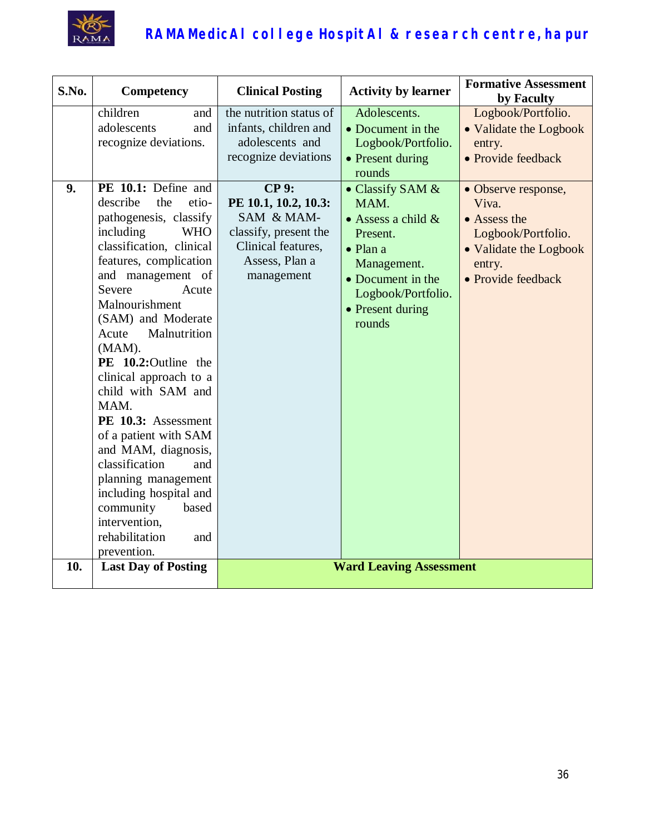

| S.No. | Competency                                                                                                                                                                                                                                                                                                                                                                                                                                                                                                                                                                                                                                      | <b>Clinical Posting</b>                                                                                                                                                                                                          | <b>Activity by learner</b>                                                                                                                                                                                                                                         | <b>Formative Assessment</b>                                                                                                                                                                                                |
|-------|-------------------------------------------------------------------------------------------------------------------------------------------------------------------------------------------------------------------------------------------------------------------------------------------------------------------------------------------------------------------------------------------------------------------------------------------------------------------------------------------------------------------------------------------------------------------------------------------------------------------------------------------------|----------------------------------------------------------------------------------------------------------------------------------------------------------------------------------------------------------------------------------|--------------------------------------------------------------------------------------------------------------------------------------------------------------------------------------------------------------------------------------------------------------------|----------------------------------------------------------------------------------------------------------------------------------------------------------------------------------------------------------------------------|
| 9.    | children<br>and<br>adolescents<br>and<br>recognize deviations.<br>PE 10.1: Define and<br>describe<br>the<br>etio-<br>pathogenesis, classify<br>including<br><b>WHO</b><br>classification, clinical<br>features, complication<br>and management of<br>Severe<br>Acute<br>Malnourishment<br>(SAM) and Moderate<br>Acute<br>Malnutrition<br>(MAM).<br>PE 10.2:Outline the<br>clinical approach to a<br>child with SAM and<br>MAM.<br>PE 10.3: Assessment<br>of a patient with SAM<br>and MAM, diagnosis,<br>classification<br>and<br>planning management<br>including hospital and<br>community<br>based<br>intervention,<br>rehabilitation<br>and | the nutrition status of<br>infants, children and<br>adolescents and<br>recognize deviations<br><b>CP 9:</b><br>PE 10.1, 10.2, 10.3:<br>SAM & MAM-<br>classify, present the<br>Clinical features,<br>Assess, Plan a<br>management | Adolescents.<br>• Document in the<br>Logbook/Portfolio.<br>• Present during<br>rounds<br>• Classify SAM &<br>MAM.<br>• Assess a child $\&$<br>Present.<br>$\bullet$ Plan a<br>Management.<br>• Document in the<br>Logbook/Portfolio.<br>• Present during<br>rounds | by Faculty<br>Logbook/Portfolio.<br>• Validate the Logbook<br>entry.<br>• Provide feedback<br>• Observe response,<br>Viva.<br>• Assess the<br>Logbook/Portfolio.<br>• Validate the Logbook<br>entry.<br>• Provide feedback |
| 10.   | prevention.<br><b>Last Day of Posting</b>                                                                                                                                                                                                                                                                                                                                                                                                                                                                                                                                                                                                       |                                                                                                                                                                                                                                  | <b>Ward Leaving Assessment</b>                                                                                                                                                                                                                                     |                                                                                                                                                                                                                            |
|       |                                                                                                                                                                                                                                                                                                                                                                                                                                                                                                                                                                                                                                                 |                                                                                                                                                                                                                                  |                                                                                                                                                                                                                                                                    |                                                                                                                                                                                                                            |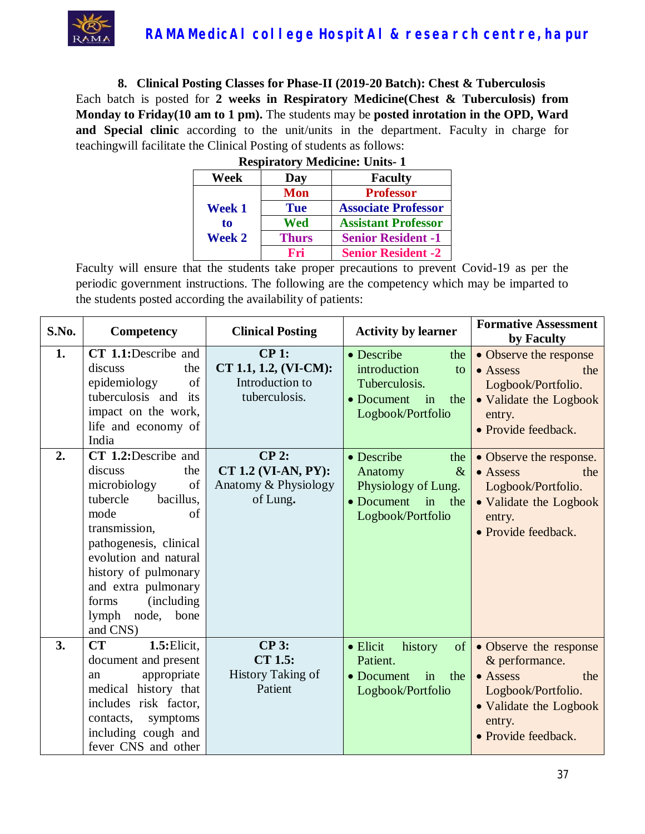

**8. Clinical Posting Classes for Phase-II (2019-20 Batch): Chest & Tuberculosis** Each batch is posted for **2 weeks in Respiratory Medicine(Chest & Tuberculosis) from Monday to Friday(10 am to 1 pm).** The students may be **posted inrotation in the OPD, Ward and Special clinic** according to the unit/units in the department. Faculty in charge for teachingwill facilitate the Clinical Posting of students as follows:

| Respiratory bitculente. Units-1 |              |                            |  |
|---------------------------------|--------------|----------------------------|--|
| Week                            | Day          | <b>Faculty</b>             |  |
|                                 | <b>Mon</b>   | <b>Professor</b>           |  |
| <b>Week 1</b>                   | <b>Tue</b>   | <b>Associate Professor</b> |  |
| to                              | Wed          | <b>Assistant Professor</b> |  |
| <b>Week 2</b>                   | <b>Thurs</b> | <b>Senior Resident -1</b>  |  |
|                                 | Fri          | <b>Senior Resident -2</b>  |  |

| <b>Respiratory Medicine: Units-1</b> |  |  |
|--------------------------------------|--|--|
|                                      |  |  |

| S.No. | Competency                                                                                                                                                                                                                                                                    | <b>Clinical Posting</b>                                            | <b>Activity by learner</b>                                                                                                      | <b>Formative Assessment</b><br>by Faculty                                                                                                            |
|-------|-------------------------------------------------------------------------------------------------------------------------------------------------------------------------------------------------------------------------------------------------------------------------------|--------------------------------------------------------------------|---------------------------------------------------------------------------------------------------------------------------------|------------------------------------------------------------------------------------------------------------------------------------------------------|
| 1.    | CT 1.1:Describe and<br>discuss<br>the<br>of<br>epidemiology<br>tuberculosis and its<br>impact on the work,<br>life and economy of<br>India                                                                                                                                    | CP1:<br>CT 1.1, 1.2, (VI-CM):<br>Introduction to<br>tuberculosis.  | • Describe<br>the<br>introduction<br>to<br>Tuberculosis.<br>• Document<br>in<br>the<br>Logbook/Portfolio                        | • Observe the response<br>$\bullet$ Assess<br>the<br>Logbook/Portfolio.<br>• Validate the Logbook<br>entry.<br>• Provide feedback.                   |
| 2.    | CT 1.2:Describe and<br>discuss<br>the<br>of<br>microbiology<br>tubercle<br>bacillus,<br>mode<br>of<br>transmission,<br>pathogenesis, clinical<br>evolution and natural<br>history of pulmonary<br>and extra pulmonary<br>forms<br>(including)<br>lymph node, bone<br>and CNS) | $CP$ 2:<br>CT 1.2 (VI-AN, PY):<br>Anatomy & Physiology<br>of Lung. | • Describe<br>the<br>Anatomy<br>$\&$<br>Physiology of Lung.<br>• Document<br>$\overline{\text{in}}$<br>the<br>Logbook/Portfolio | • Observe the response.<br>$\bullet$ Assess<br>the<br>Logbook/Portfolio.<br>• Validate the Logbook<br>entry.<br>• Provide feedback.                  |
| 3.    | CT<br>$1.5:$ Elicit,<br>document and present<br>appropriate<br>an<br>medical history that<br>includes risk factor,<br>symptoms<br>contacts,<br>including cough and<br>fever CNS and other                                                                                     | CP3:<br>CT 1.5:<br><b>History Taking of</b><br>Patient             | $\bullet$ Elicit<br>history<br>of<br>Patient.<br>• Document<br>in<br>the<br>Logbook/Portfolio                                   | • Observe the response<br>& performance.<br>$\bullet$ Assess<br>the<br>Logbook/Portfolio.<br>• Validate the Logbook<br>entry.<br>• Provide feedback. |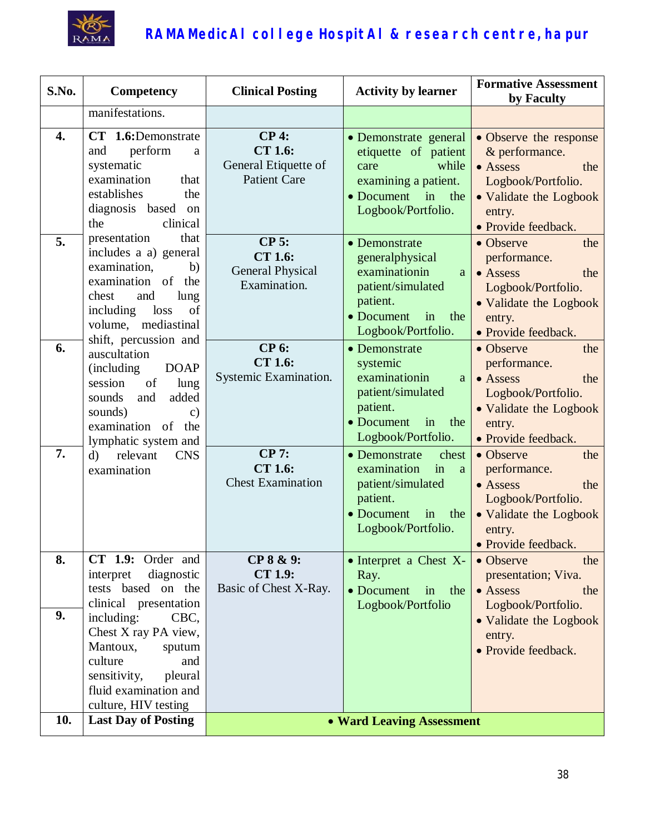

| S.No. | <b>Competency</b>                                                                                                                                                                               | <b>Clinical Posting</b>                                                  | <b>Activity by learner</b>                                                                                                               | <b>Formative Assessment</b><br>by Faculty                                                                                                    |
|-------|-------------------------------------------------------------------------------------------------------------------------------------------------------------------------------------------------|--------------------------------------------------------------------------|------------------------------------------------------------------------------------------------------------------------------------------|----------------------------------------------------------------------------------------------------------------------------------------------|
|       | manifestations.                                                                                                                                                                                 |                                                                          |                                                                                                                                          |                                                                                                                                              |
| 4.    | CT 1.6:Demonstrate<br>perform<br>and<br>$\rm{a}$<br>systematic<br>examination<br>that<br>establishes<br>the<br>diagnosis based on<br>the<br>clinical                                            | $CP4$ :<br><b>CT 1.6:</b><br>General Etiquette of<br><b>Patient Care</b> | • Demonstrate general<br>etiquette of patient<br>while<br>care<br>examining a patient.<br>• Document<br>in<br>the<br>Logbook/Portfolio.  | • Observe the response<br>& performance.<br>• Assess<br>the<br>Logbook/Portfolio.<br>• Validate the Logbook<br>entry.<br>• Provide feedback. |
| 5.    | presentation<br>that<br>includes a a) general<br>examination,<br>b)<br>examination of<br>the<br>chest<br>and<br>lung<br>including<br>loss<br>of<br>volume, mediastinal                          | $CP$ 5:<br><b>CT 1.6:</b><br><b>General Physical</b><br>Examination.     | • Demonstrate<br>generalphysical<br>examinationin<br>a<br>patient/simulated<br>patient.<br>• Document<br>in<br>the<br>Logbook/Portfolio. | • Observe<br>the<br>performance.<br>• Assess<br>the<br>Logbook/Portfolio.<br>• Validate the Logbook<br>entry.<br>· Provide feedback.         |
| 6.    | shift, percussion and<br>auscultation<br>(including<br><b>DOAP</b><br>session<br>of<br>lung<br>and<br>added<br>sounds<br>sounds)<br>$\mathbf{c})$<br>examination of the<br>lymphatic system and | <b>CP 6:</b><br><b>CT 1.6:</b><br>Systemic Examination.                  | • Demonstrate<br>systemic<br>examinationin<br>a<br>patient/simulated<br>patient.<br>• Document<br>in<br>the<br>Logbook/Portfolio.        | • Observe<br>the<br>performance.<br>• Assess<br>the<br>Logbook/Portfolio.<br>• Validate the Logbook<br>entry.<br>• Provide feedback.         |
| 7.    | relevant<br>$\mathbf{d}$<br><b>CNS</b><br>examination                                                                                                                                           | <b>CP 7:</b><br><b>CT 1.6:</b><br><b>Chest Examination</b>               | • Demonstrate<br>chest<br>examination<br>in<br>a<br>patient/simulated<br>patient.<br>• Document<br>in<br>the<br>Logbook/Portfolio.       | • Observe<br>the<br>performance.<br>$\bullet$ Assess<br>the<br>Logbook/Portfolio.<br>• Validate the Logbook<br>entry.<br>• Provide feedback. |
| 8.    | CT 1.9: Order and<br>interpret<br>diagnostic<br>tests based on the<br>clinical presentation                                                                                                     | CP 8 & 9:<br><b>CT 1.9:</b><br>Basic of Chest X-Ray.                     | • Interpret a Chest X-<br>Ray.<br>• Document in<br>the<br>Logbook/Portfolio                                                              | • Observe<br>the<br>presentation; Viva.<br>• Assess<br>the<br>Logbook/Portfolio.                                                             |
| 9.    | including:<br>CBC,<br>Chest X ray PA view,<br>Mantoux,<br>sputum<br>culture<br>and<br>sensitivity,<br>pleural<br>fluid examination and<br>culture, HIV testing                                  |                                                                          |                                                                                                                                          | • Validate the Logbook<br>entry.<br>• Provide feedback.                                                                                      |
| 10.   | <b>Last Day of Posting</b>                                                                                                                                                                      |                                                                          | • Ward Leaving Assessment                                                                                                                |                                                                                                                                              |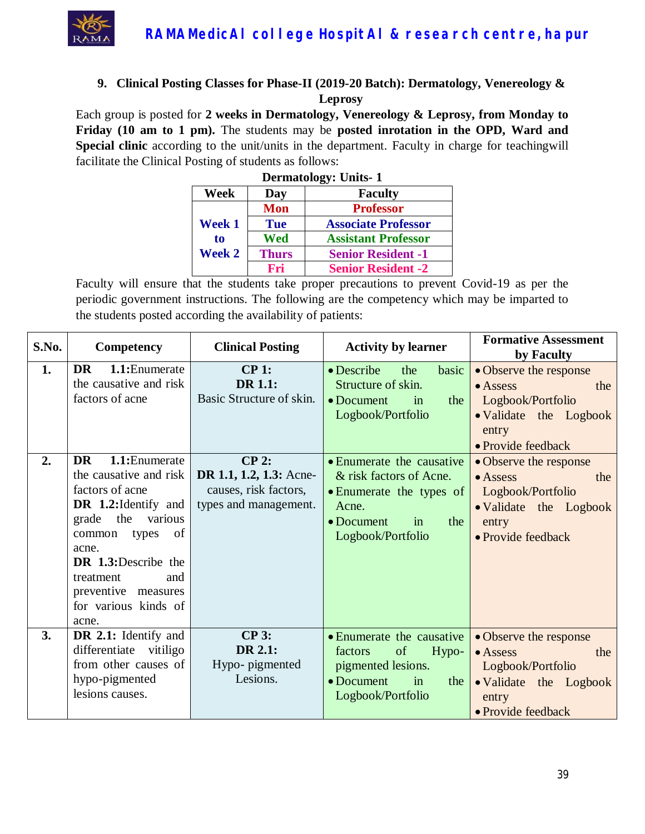

#### **9. Clinical Posting Classes for Phase-II (2019-20 Batch): Dermatology, Venereology & Leprosy**

Each group is posted for **2 weeks in Dermatology, Venereology & Leprosy, from Monday to Friday (10 am to 1 pm).** The students may be **posted inrotation in the OPD, Ward and Special clinic** according to the unit/units in the department. Faculty in charge for teachingwill facilitate the Clinical Posting of students as follows:

| <b>Dermatology: Units-1</b>          |              |                            |  |
|--------------------------------------|--------------|----------------------------|--|
| Week                                 | Day          | <b>Faculty</b>             |  |
|                                      | <b>Mon</b>   | <b>Professor</b>           |  |
| <b>Week 1</b><br>to<br><b>Week 2</b> | <b>Tue</b>   | <b>Associate Professor</b> |  |
|                                      | Wed          | <b>Assistant Professor</b> |  |
|                                      | <b>Thurs</b> | <b>Senior Resident -1</b>  |  |
|                                      | Fri          | <b>Senior Resident -2</b>  |  |

| S.No.    | <b>Competency</b>                                                                                                                                                                                                                                                                                                                                       | <b>Clinical Posting</b>                                                                                                                       | <b>Activity by learner</b>                                                                                                                                                                                                                                            | <b>Formative Assessment</b><br>by Faculty                                                                                                                                                                                                          |
|----------|---------------------------------------------------------------------------------------------------------------------------------------------------------------------------------------------------------------------------------------------------------------------------------------------------------------------------------------------------------|-----------------------------------------------------------------------------------------------------------------------------------------------|-----------------------------------------------------------------------------------------------------------------------------------------------------------------------------------------------------------------------------------------------------------------------|----------------------------------------------------------------------------------------------------------------------------------------------------------------------------------------------------------------------------------------------------|
| 1.<br>2. | <b>DR</b><br>1.1: Enumerate<br>the causative and risk<br>factors of acne<br>1.1: Enumerate<br><b>DR</b><br>the causative and risk<br>factors of acne<br><b>DR</b> 1.2: Identify and<br>grade the<br>various<br>of<br>common<br>types<br>acne.<br><b>DR</b> 1.3:Describe the<br>treatment<br>and<br>preventive measures<br>for various kinds of<br>acne. | $CP1$ :<br><b>DR 1.1:</b><br>Basic Structure of skin.<br>$CP$ 2:<br>DR 1.1, 1.2, 1.3: Acne-<br>causes, risk factors,<br>types and management. | $\bullet$ Describe<br>the<br>basic<br>Structure of skin.<br>$\bullet$ Document<br>the<br>in<br>Logbook/Portfolio<br>• Enumerate the causative<br>& risk factors of Acne.<br>• Enumerate the types of<br>Acne.<br>the<br>$\bullet$ Document<br>in<br>Logbook/Portfolio | • Observe the response<br>• Assess<br>the<br>Logbook/Portfolio<br>• Validate the Logbook<br>entry<br>• Provide feedback<br>• Observe the response<br>• Assess<br>the<br>Logbook/Portfolio<br>• Validate the Logbook<br>entry<br>• Provide feedback |
| 3.       | DR 2.1: Identify and<br>differentiate vitiligo<br>from other causes of<br>hypo-pigmented<br>lesions causes.                                                                                                                                                                                                                                             | $CP$ 3:<br>DR 2.1:<br>Hypo- pigmented<br>Lesions.                                                                                             | • Enumerate the causative<br>of<br>Hypo-<br>factors<br>pigmented lesions.<br>$\bullet$ Document<br>in<br>the<br>Logbook/Portfolio                                                                                                                                     | • Observe the response<br>$\bullet$ Assess<br>the<br>Logbook/Portfolio<br>• Validate the Logbook<br>entry<br>• Provide feedback                                                                                                                    |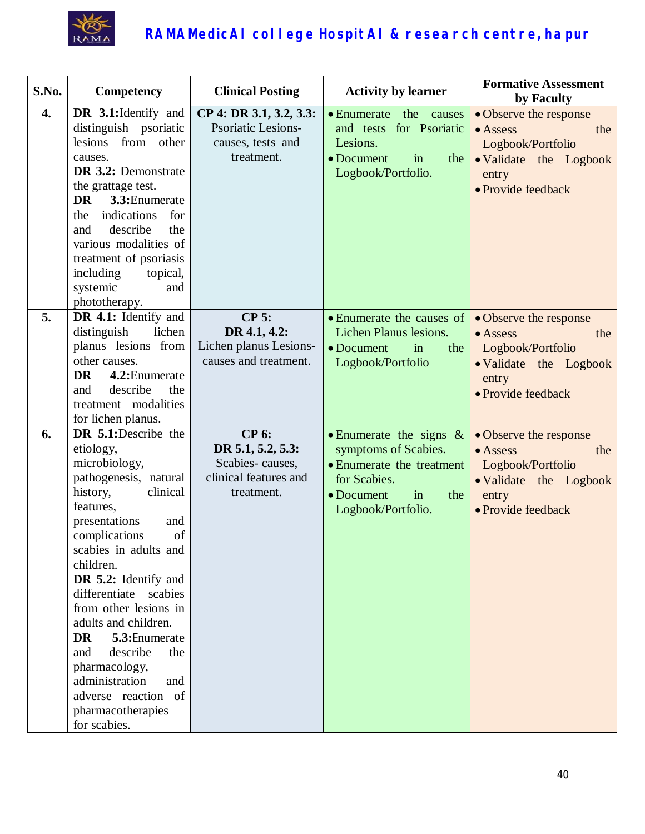

| S.No. | Competency                                                                                                                                                                                                                                                                                                                                                                                                                                                     | <b>Clinical Posting</b>                                                                     | <b>Activity by learner</b>                                                                                                                               | <b>Formative Assessment</b><br>by Faculty                                                                                       |
|-------|----------------------------------------------------------------------------------------------------------------------------------------------------------------------------------------------------------------------------------------------------------------------------------------------------------------------------------------------------------------------------------------------------------------------------------------------------------------|---------------------------------------------------------------------------------------------|----------------------------------------------------------------------------------------------------------------------------------------------------------|---------------------------------------------------------------------------------------------------------------------------------|
| 4.    | DR 3.1: Identify and<br>distinguish psoriatic<br>lesions from other<br>causes.<br>DR 3.2: Demonstrate<br>the grattage test.<br>3.3: Enumerate<br><b>DR</b><br>indications<br>for<br>the<br>describe<br>the<br>and<br>various modalities of<br>treatment of psoriasis<br>including<br>topical,<br>systemic<br>and<br>phototherapy.                                                                                                                              | CP 4: DR 3.1, 3.2, 3.3:<br><b>Psoriatic Lesions-</b><br>causes, tests and<br>treatment.     | the<br>$\bullet$ Enumerate<br>causes<br>and tests for Psoriatic<br>Lesions.<br>• Document<br>the<br>in<br>Logbook/Portfolio.                             | • Observe the response<br>$\bullet$ Assess<br>the<br>Logbook/Portfolio<br>· Validate the Logbook<br>entry<br>• Provide feedback |
| 5.    | DR 4.1: Identify and<br>distinguish<br>lichen<br>planus lesions from<br>other causes.<br><b>DR</b><br>4.2: Enumerate<br>describe<br>the<br>and<br>treatment modalities<br>for lichen planus.                                                                                                                                                                                                                                                                   | $CP$ 5:<br>DR 4.1, 4.2:<br>Lichen planus Lesions-<br>causes and treatment.                  | • Enumerate the causes of<br>Lichen Planus lesions.<br>• Document<br>in<br>the<br>Logbook/Portfolio                                                      | • Observe the response<br>$\bullet$ Assess<br>the<br>Logbook/Portfolio<br>• Validate the Logbook<br>entry<br>• Provide feedback |
| 6.    | DR 5.1:Describe the<br>etiology,<br>microbiology,<br>pathogenesis, natural<br>history,<br>clinical<br>features,<br>presentations<br>and<br>complications<br>of<br>scabies in adults and<br>children.<br>DR 5.2: Identify and<br>differentiate scabies<br>from other lesions in<br>adults and children.<br>DR<br>5.3: Enumerate<br>and<br>describe<br>the<br>pharmacology,<br>administration<br>and<br>adverse reaction of<br>pharmacotherapies<br>for scabies. | <b>CP 6:</b><br>DR 5.1, 5.2, 5.3:<br>Scabies-causes,<br>clinical features and<br>treatment. | • Enumerate the signs $\&$<br>symptoms of Scabies.<br>• Enumerate the treatment<br>for Scabies.<br>in<br>$\bullet$ Document<br>the<br>Logbook/Portfolio. | • Observe the response<br>$\bullet$ Assess<br>the<br>Logbook/Portfolio<br>• Validate the Logbook<br>entry<br>• Provide feedback |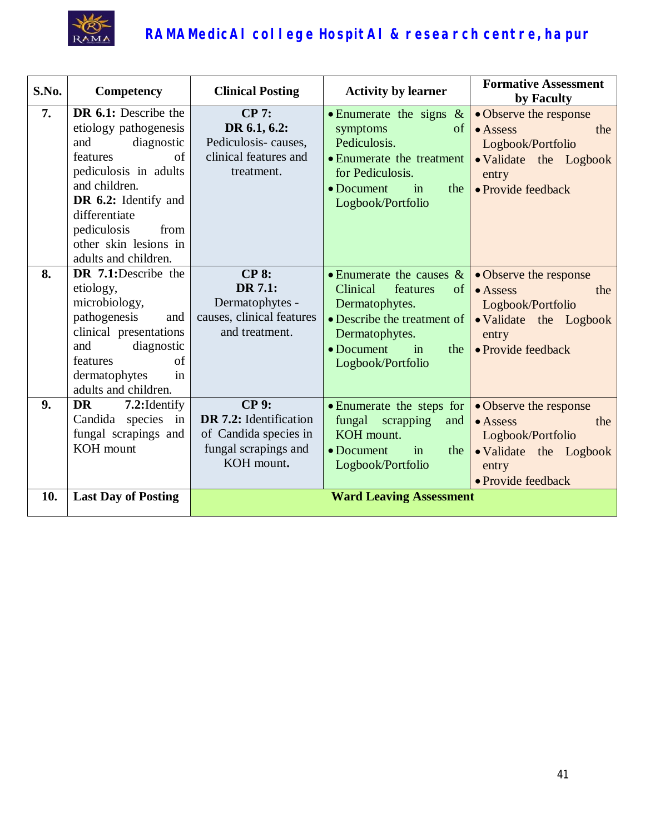

| S.No. | Competency                                                                                                                                                                                                                                      | <b>Clinical Posting</b>                                                                               | <b>Activity by learner</b>                                                                                                                                                           | <b>Formative Assessment</b><br>by Faculty                                                                                       |
|-------|-------------------------------------------------------------------------------------------------------------------------------------------------------------------------------------------------------------------------------------------------|-------------------------------------------------------------------------------------------------------|--------------------------------------------------------------------------------------------------------------------------------------------------------------------------------------|---------------------------------------------------------------------------------------------------------------------------------|
| 7.    | DR 6.1: Describe the<br>etiology pathogenesis<br>diagnostic<br>and<br>of<br>features<br>pediculosis in adults<br>and children.<br>DR 6.2: Identify and<br>differentiate<br>pediculosis<br>from<br>other skin lesions in<br>adults and children. | CP 7:<br>DR 6.1, 6.2:<br>Pediculosis-causes,<br>clinical features and<br>treatment.                   | • Enumerate the signs $\&$<br>of<br>symptoms<br>Pediculosis.<br>• Enumerate the treatment<br>for Pediculosis.<br>• Document<br>the<br>in<br>Logbook/Portfolio                        | · Observe the response<br>$\bullet$ Assess<br>the<br>Logbook/Portfolio<br>· Validate the Logbook<br>entry<br>• Provide feedback |
| 8.    | DR 7.1:Describe the<br>etiology,<br>microbiology,<br>pathogenesis<br>and<br>clinical presentations<br>diagnostic<br>and<br>of<br>features<br>in<br>dermatophytes<br>adults and children.                                                        | <b>CP 8:</b><br>DR 7.1:<br>Dermatophytes -<br>causes, clinical features<br>and treatment.             | • Enumerate the causes $\&$<br>Clinical<br>features<br>of<br>Dermatophytes.<br>• Describe the treatment of<br>Dermatophytes.<br>$\bullet$ Document<br>in<br>the<br>Logbook/Portfolio | · Observe the response<br>$\bullet$ Assess<br>the<br>Logbook/Portfolio<br>• Validate the Logbook<br>entry<br>• Provide feedback |
| 9.    | <b>DR</b><br>7.2: Identify<br>Candida species in<br>fungal scrapings and<br>KOH mount                                                                                                                                                           | <b>CP 9:</b><br>DR 7.2: Identification<br>of Candida species in<br>fungal scrapings and<br>KOH mount. | • Enumerate the steps for<br>fungal scrapping<br>and<br>KOH mount.<br>$\bullet$ Document<br>in<br>the<br>Logbook/Portfolio                                                           | · Observe the response<br>$\bullet$ Assess<br>the<br>Logbook/Portfolio<br>• Validate the Logbook<br>entry<br>• Provide feedback |
| 10.   | <b>Last Day of Posting</b>                                                                                                                                                                                                                      |                                                                                                       | <b>Ward Leaving Assessment</b>                                                                                                                                                       |                                                                                                                                 |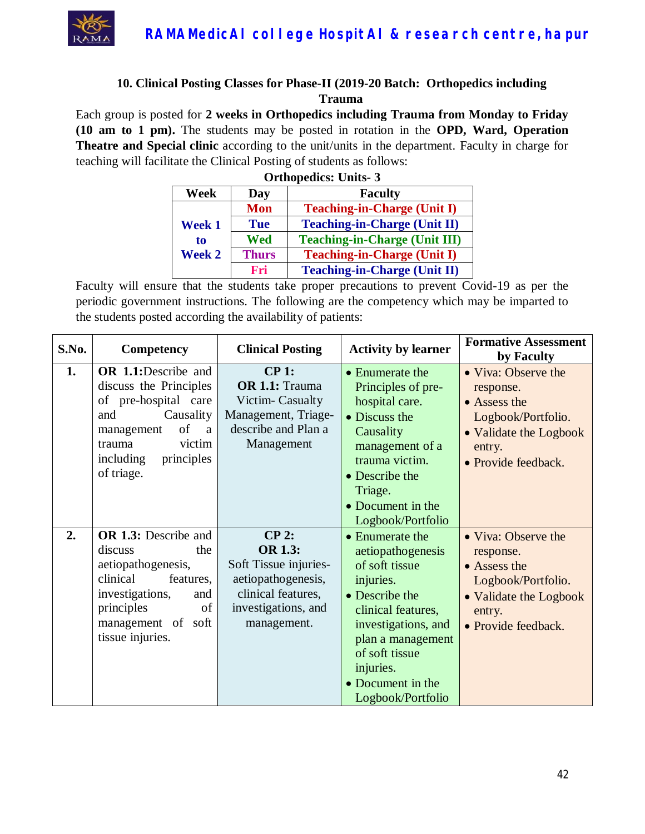

#### **10. Clinical Posting Classes for Phase-II (2019-20 Batch: Orthopedics including Trauma**

Each group is posted for **2 weeks in Orthopedics including Trauma from Monday to Friday (10 am to 1 pm).** The students may be posted in rotation in the **OPD, Ward, Operation Theatre and Special clinic** according to the unit/units in the department. Faculty in charge for teaching will facilitate the Clinical Posting of students as follows:

| <b>Orthopedics: Units-3</b>   |              |                                      |  |
|-------------------------------|--------------|--------------------------------------|--|
| <b>Faculty</b><br>Week<br>Day |              |                                      |  |
|                               | Mon          | <b>Teaching-in-Charge (Unit I)</b>   |  |
| Week 1                        | <b>Tue</b>   | <b>Teaching-in-Charge (Unit II)</b>  |  |
| to<br><b>Week 2</b>           | Wed          | <b>Teaching-in-Charge (Unit III)</b> |  |
|                               | <b>Thurs</b> | <b>Teaching-in-Charge (Unit I)</b>   |  |
|                               | Fri          | <b>Teaching-in-Charge (Unit II)</b>  |  |

| S.No. | Competency                                                                                                                                                                             | <b>Clinical Posting</b>                                                                                                              | <b>Activity by learner</b>                                                                                                                                                                                                       | <b>Formative Assessment</b><br>by Faculty                                                                                         |
|-------|----------------------------------------------------------------------------------------------------------------------------------------------------------------------------------------|--------------------------------------------------------------------------------------------------------------------------------------|----------------------------------------------------------------------------------------------------------------------------------------------------------------------------------------------------------------------------------|-----------------------------------------------------------------------------------------------------------------------------------|
| 1.    | <b>OR</b> 1.1:Describe and<br>discuss the Principles<br>of pre-hospital care<br>Causality<br>and<br>of<br>management<br>a<br>victim<br>trauma<br>including<br>principles<br>of triage. | CP 1:<br>OR 1.1: Trauma<br>Victim-Casualty<br>Management, Triage-<br>describe and Plan a<br>Management                               | • Enumerate the<br>Principles of pre-<br>hospital care.<br>• Discuss the<br>Causality<br>management of a<br>trauma victim.<br>• Describe the<br>Triage.<br>• Document in the<br>Logbook/Portfolio                                | • Viva: Observe the<br>response.<br>• Assess the<br>Logbook/Portfolio.<br>• Validate the Logbook<br>entry.<br>• Provide feedback. |
| 2.    | <b>OR 1.3:</b> Describe and<br>the<br>discuss<br>aetiopathogenesis,<br>clinical<br>features.<br>investigations,<br>and<br>principles<br>of<br>management of soft<br>tissue injuries.   | $CP$ 2:<br><b>OR 1.3:</b><br>Soft Tissue injuries-<br>aetiopathogenesis,<br>clinical features,<br>investigations, and<br>management. | • Enumerate the<br>aetiopathogenesis<br>of soft tissue<br>injuries.<br>• Describe the<br>clinical features,<br>investigations, and<br>plan a management<br>of soft tissue<br>injuries.<br>• Document in the<br>Logbook/Portfolio | • Viva: Observe the<br>response.<br>• Assess the<br>Logbook/Portfolio.<br>• Validate the Logbook<br>entry.<br>• Provide feedback. |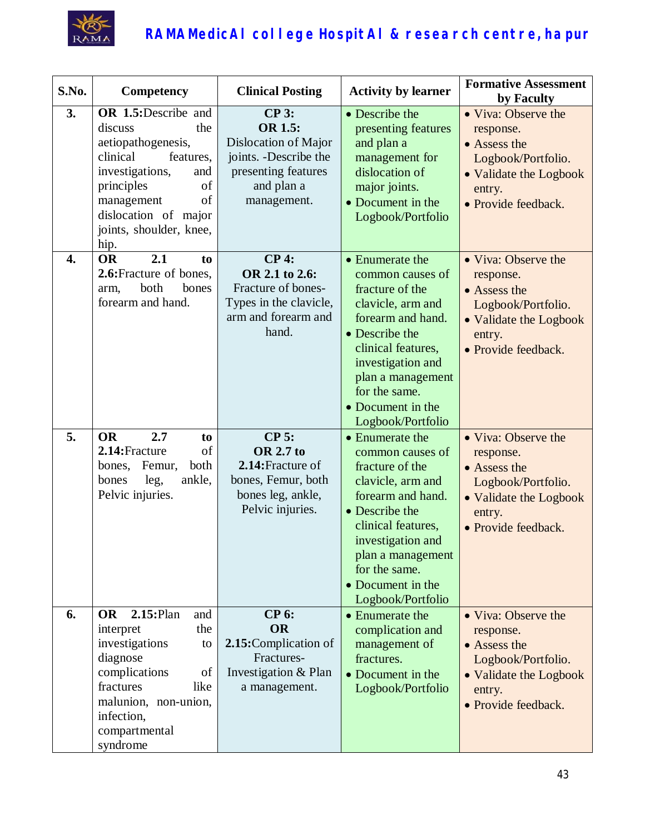

| S.No.            | Competency                                                                                                                                                                                                        | <b>Clinical Posting</b>                                                                                                 | <b>Activity by learner</b>                                                                                                                                                                                                                    | <b>Formative Assessment</b><br>by Faculty                                                                                         |
|------------------|-------------------------------------------------------------------------------------------------------------------------------------------------------------------------------------------------------------------|-------------------------------------------------------------------------------------------------------------------------|-----------------------------------------------------------------------------------------------------------------------------------------------------------------------------------------------------------------------------------------------|-----------------------------------------------------------------------------------------------------------------------------------|
| 3.               | OR 1.5:Describe and<br>discuss<br>the<br>aetiopathogenesis,<br>clinical<br>features,<br>investigations,<br>and<br>principles<br>of<br>of<br>management<br>dislocation of major<br>joints, shoulder, knee,<br>hip. | $CP$ 3:<br>OR 1.5:<br>Dislocation of Major<br>joints. -Describe the<br>presenting features<br>and plan a<br>management. | • Describe the<br>presenting features<br>and plan a<br>management for<br>dislocation of<br>major joints.<br>• Document in the<br>Logbook/Portfolio                                                                                            | • Viva: Observe the<br>response.<br>• Assess the<br>Logbook/Portfolio.<br>• Validate the Logbook<br>entry.<br>• Provide feedback. |
| $\overline{4}$ . | <b>OR</b><br>2.1<br>to<br>2.6: Fracture of bones,<br>both<br>bones<br>arm,<br>forearm and hand.                                                                                                                   | $CP4$ :<br>OR 2.1 to 2.6:<br>Fracture of bones-<br>Types in the clavicle,<br>arm and forearm and<br>hand.               | • Enumerate the<br>common causes of<br>fracture of the<br>clavicle, arm and<br>forearm and hand.<br>• Describe the<br>clinical features,<br>investigation and<br>plan a management<br>for the same.<br>• Document in the<br>Logbook/Portfolio | • Viva: Observe the<br>response.<br>• Assess the<br>Logbook/Portfolio.<br>• Validate the Logbook<br>entry.<br>· Provide feedback. |
| 5.               | 2.7<br><b>OR</b><br>to<br>of<br>2.14: Fracture<br>both<br>Femur,<br>bones,<br>bones<br>ankle,<br>leg,<br>Pelvic injuries.                                                                                         | <b>CP 5:</b><br><b>OR 2.7 to</b><br>2.14: Fracture of<br>bones, Femur, both<br>bones leg, ankle,<br>Pelvic injuries.    | • Enumerate the<br>common causes of<br>fracture of the<br>clavicle, arm and<br>forearm and hand.<br>• Describe the<br>clinical features,<br>investigation and<br>plan a management<br>for the same.<br>• Document in the<br>Logbook/Portfolio | • Viva: Observe the<br>response.<br>• Assess the<br>Logbook/Portfolio.<br>• Validate the Logbook<br>entry.<br>• Provide feedback. |
| 6.               | $2.15:$ Plan<br><b>OR</b><br>and<br>the<br>interpret<br>investigations<br>to<br>diagnose<br>complications<br>of<br>fractures<br>like<br>malunion, non-union,<br>infection,<br>compartmental<br>syndrome           | <b>CP 6:</b><br><b>OR</b><br>2.15: Complication of<br>Fractures-<br>Investigation & Plan<br>a management.               | • Enumerate the<br>complication and<br>management of<br>fractures.<br>• Document in the<br>Logbook/Portfolio                                                                                                                                  | • Viva: Observe the<br>response.<br>• Assess the<br>Logbook/Portfolio.<br>• Validate the Logbook<br>entry.<br>• Provide feedback. |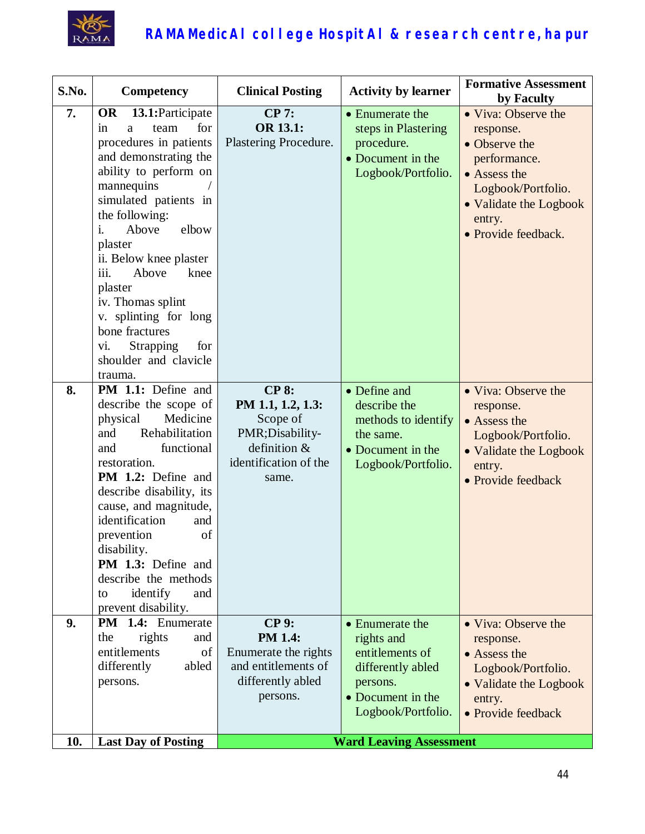

| S.No. | Competency                                                                                                                                                                                                                                                                                                                                                                                                                    | <b>Clinical Posting</b>                                                                                            | <b>Activity by learner</b>                                                                                                   | <b>Formative Assessment</b><br>by Faculty                                                                                                                          |
|-------|-------------------------------------------------------------------------------------------------------------------------------------------------------------------------------------------------------------------------------------------------------------------------------------------------------------------------------------------------------------------------------------------------------------------------------|--------------------------------------------------------------------------------------------------------------------|------------------------------------------------------------------------------------------------------------------------------|--------------------------------------------------------------------------------------------------------------------------------------------------------------------|
| 7.    | <b>OR</b><br>13.1: Participate<br>for<br>team<br>in<br>a<br>procedures in patients<br>and demonstrating the<br>ability to perform on<br>mannequins<br>simulated patients in<br>the following:<br>Above<br>elbow<br>i.<br>plaster<br>ii. Below knee plaster<br>iii.<br>Above<br>knee<br>plaster<br>iv. Thomas splint<br>v. splinting for long<br>bone fractures<br>Strapping<br>for<br>vi.<br>shoulder and clavicle<br>trauma. | <b>CP 7:</b><br><b>OR 13.1:</b><br>Plastering Procedure.                                                           | • Enumerate the<br>steps in Plastering<br>procedure.<br>• Document in the<br>Logbook/Portfolio.                              | • Viva: Observe the<br>response.<br>• Observe the<br>performance.<br>• Assess the<br>Logbook/Portfolio.<br>• Validate the Logbook<br>entry.<br>• Provide feedback. |
| 8.    | <b>PM 1.1:</b> Define and<br>describe the scope of<br>physical<br>Medicine<br>Rehabilitation<br>and<br>functional<br>and<br>restoration.<br><b>PM 1.2:</b> Define and<br>describe disability, its<br>cause, and magnitude,<br>identification<br>and<br>prevention<br>of<br>disability.<br>PM 1.3: Define and<br>describe the methods<br>identify<br>and<br>to<br>prevent disability.                                          | <b>CP 8:</b><br>PM 1.1, 1.2, 1.3:<br>Scope of<br>PMR;Disability-<br>definition &<br>identification of the<br>same. | • Define and<br>describe the<br>methods to identify<br>the same.<br>• Document in the<br>Logbook/Portfolio.                  | • Viva: Observe the<br>response.<br>• Assess the<br>Logbook/Portfolio.<br>• Validate the Logbook<br>entry.<br>• Provide feedback                                   |
| 9.    | <b>PM</b> 1.4: Enumerate<br>rights<br>the<br>and<br>entitlements<br>of<br>differently<br>abled<br>persons.                                                                                                                                                                                                                                                                                                                    | <b>CP 9:</b><br><b>PM 1.4:</b><br>Enumerate the rights<br>and entitlements of<br>differently abled<br>persons.     | • Enumerate the<br>rights and<br>entitlements of<br>differently abled<br>persons.<br>• Document in the<br>Logbook/Portfolio. | • Viva: Observe the<br>response.<br>• Assess the<br>Logbook/Portfolio.<br>• Validate the Logbook<br>entry.<br>• Provide feedback                                   |
| 10.   | <b>Last Day of Posting</b>                                                                                                                                                                                                                                                                                                                                                                                                    |                                                                                                                    | <b>Ward Leaving Assessment</b>                                                                                               |                                                                                                                                                                    |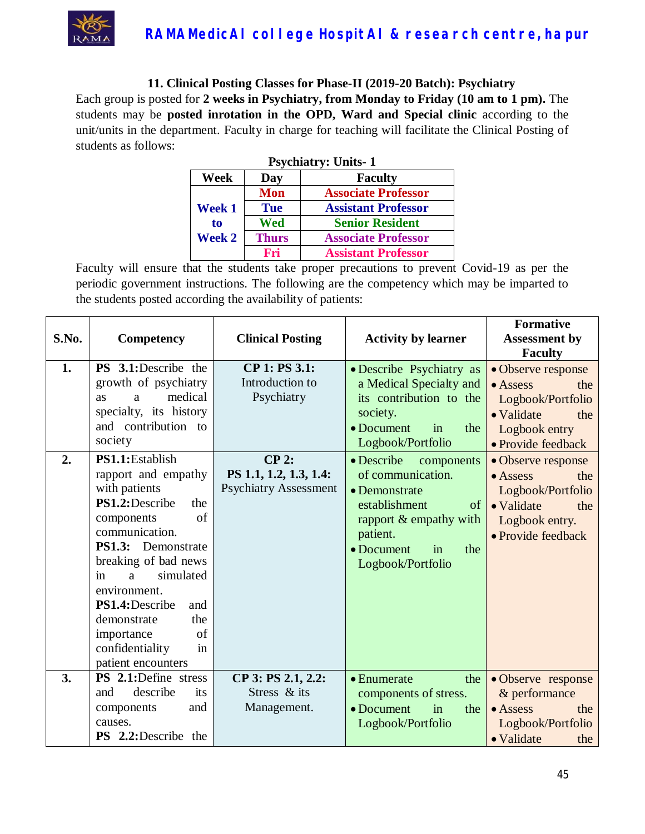

**11. Clinical Posting Classes for Phase-II (2019-20 Batch): Psychiatry** Each group is posted for **2 weeks in Psychiatry, from Monday to Friday (10 am to 1 pm).** The students may be **posted inrotation in the OPD, Ward and Special clinic** according to the unit/units in the department. Faculty in charge for teaching will facilitate the Clinical Posting of students as follows:

| <b>Psychiatry: Units-1</b> |              |                            |  |
|----------------------------|--------------|----------------------------|--|
| Week                       | Day          | <b>Faculty</b>             |  |
|                            | <b>Mon</b>   | <b>Associate Professor</b> |  |
| <b>Week 1</b>              | <b>Tue</b>   | <b>Assistant Professor</b> |  |
| to                         | <b>Wed</b>   | <b>Senior Resident</b>     |  |
| <b>Week 2</b>              | <b>Thurs</b> | <b>Associate Professor</b> |  |
|                            | Fri          | <b>Assistant Professor</b> |  |

| S.No.    | Competency                                                                                                                                                                                                                                                                                                                                                                                                                            | <b>Clinical Posting</b>                                                                                             | <b>Activity by learner</b>                                                                                                                                                                                                                                                                                                                | <b>Formative</b><br><b>Assessment by</b><br><b>Faculty</b>                                                                                                                                                                                                        |
|----------|---------------------------------------------------------------------------------------------------------------------------------------------------------------------------------------------------------------------------------------------------------------------------------------------------------------------------------------------------------------------------------------------------------------------------------------|---------------------------------------------------------------------------------------------------------------------|-------------------------------------------------------------------------------------------------------------------------------------------------------------------------------------------------------------------------------------------------------------------------------------------------------------------------------------------|-------------------------------------------------------------------------------------------------------------------------------------------------------------------------------------------------------------------------------------------------------------------|
| 1.<br>2. | <b>PS</b> 3.1:Describe the<br>growth of psychiatry<br>medical<br><b>as</b><br>a<br>specialty, its history<br>and contribution to<br>society<br>PS1.1:Establish<br>rapport and empathy<br>with patients<br>PS1.2:Describe<br>the<br>of<br>components<br>communication.<br><b>PS1.3:</b> Demonstrate<br>breaking of bad news<br>simulated<br>a<br>in<br>environment.<br>PS1.4:Describe<br>and<br>demonstrate<br>the<br>of<br>importance | CP 1: PS 3.1:<br>Introduction to<br>Psychiatry<br>$CP$ 2:<br>PS 1.1, 1.2, 1.3, 1.4:<br><b>Psychiatry Assessment</b> | • Describe Psychiatry as<br>a Medical Specialty and<br>its contribution to the<br>society.<br>$\bullet$ Document<br>the<br>in<br>Logbook/Portfolio<br>• Describe<br>components<br>of communication.<br>• Demonstrate<br>establishment<br>of<br>rapport & empathy with<br>patient.<br>$\bullet$ Document<br>in<br>the<br>Logbook/Portfolio | • Observe response<br>$\bullet$ Assess<br>the<br>Logbook/Portfolio<br>• Validate<br>the<br>Logbook entry<br>· Provide feedback<br>• Observe response<br>$\bullet$ Assess<br>the<br>Logbook/Portfolio<br>• Validate<br>the<br>Logbook entry.<br>• Provide feedback |
| 3.       | in<br>confidentiality<br>patient encounters<br>PS 2.1:Define stress                                                                                                                                                                                                                                                                                                                                                                   |                                                                                                                     |                                                                                                                                                                                                                                                                                                                                           |                                                                                                                                                                                                                                                                   |
|          | describe<br>and<br>its<br>and<br>components<br>causes.<br><b>PS</b> 2.2:Describe the                                                                                                                                                                                                                                                                                                                                                  | CP 3: PS 2.1, 2.2:<br>Stress & its<br>Management.                                                                   | $\bullet$ Enumerate<br>the<br>components of stress.<br>• Document<br>in<br>the<br>Logbook/Portfolio                                                                                                                                                                                                                                       | • Observe response<br>& performance<br>$\bullet$ Assess<br>the<br>Logbook/Portfolio<br>• Validate<br>the                                                                                                                                                          |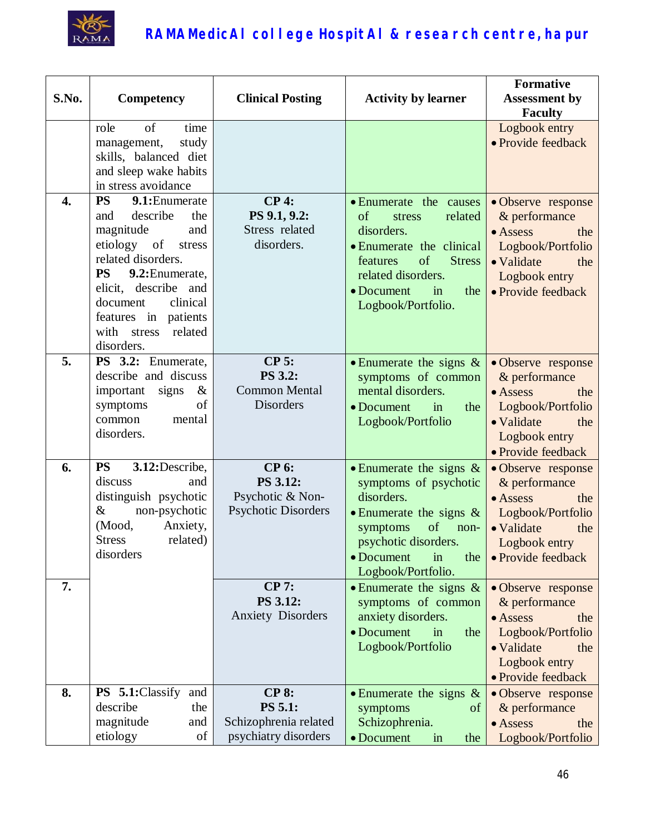

| S.No.            | <b>Competency</b>                                                                                                                                                                                                                                                           | <b>Clinical Posting</b>                                                         | <b>Activity by learner</b>                                                                                                                                                                            | <b>Formative</b><br><b>Assessment by</b><br><b>Faculty</b>                                                                                        |
|------------------|-----------------------------------------------------------------------------------------------------------------------------------------------------------------------------------------------------------------------------------------------------------------------------|---------------------------------------------------------------------------------|-------------------------------------------------------------------------------------------------------------------------------------------------------------------------------------------------------|---------------------------------------------------------------------------------------------------------------------------------------------------|
|                  | of<br>role<br>time<br>study<br>management,<br>skills, balanced diet<br>and sleep wake habits<br>in stress avoidance                                                                                                                                                         |                                                                                 |                                                                                                                                                                                                       | Logbook entry<br>• Provide feedback                                                                                                               |
| $\overline{4}$ . | <b>PS</b><br>9.1: Enumerate<br>describe<br>the<br>and<br>magnitude<br>and<br>etiology of<br>stress<br>related disorders.<br><b>PS</b><br>9.2: Enumerate,<br>elicit, describe and<br>document<br>clinical<br>features in patients<br>with<br>stress<br>related<br>disorders. | <b>CP4:</b><br>PS 9.1, 9.2:<br>Stress related<br>disorders.                     | • Enumerate the causes<br>of<br>related<br>stress<br>disorders.<br>• Enumerate the clinical<br>of<br><b>Stress</b><br>features<br>related disorders.<br>• Document<br>in<br>the<br>Logbook/Portfolio. | · Observe response<br>& performance<br>$\bullet$ Assess<br>the<br>Logbook/Portfolio<br>• Validate<br>the<br>Logbook entry<br>• Provide feedback   |
| 5.               | PS 3.2: Enumerate,<br>describe and discuss<br>important<br>signs<br>$\&$<br>of<br>symptoms<br>common<br>mental<br>disorders.                                                                                                                                                | $CP$ 5:<br><b>PS 3.2:</b><br><b>Common Mental</b><br><b>Disorders</b>           | • Enumerate the signs $\&$<br>symptoms of common<br>mental disorders.<br>$\bullet$ Document<br>in<br>the<br>Logbook/Portfolio                                                                         | • Observe response<br>$&$ performance<br>$\bullet$ Assess<br>the<br>Logbook/Portfolio<br>• Validate<br>the<br>Logbook entry<br>• Provide feedback |
| 6.               | <b>PS</b><br>3.12: Describe,<br>discuss<br>and<br>distinguish psychotic<br>non-psychotic<br>&<br>(Mood,<br>Anxiety,<br><b>Stress</b><br>related)<br>disorders                                                                                                               | <b>CP 6:</b><br>PS 3.12:<br>Psychotic & Non-<br><b>Psychotic Disorders</b>      | • Enumerate the signs $\&$<br>symptoms of psychotic<br>disorders.<br>• Enumerate the signs $\&$<br>of<br>symptoms<br>non-<br>psychotic disorders.<br>• Document<br>in<br>the<br>Logbook/Portfolio.    | • Observe response<br>& performance<br>$\bullet$ Assess<br>the<br>Logbook/Portfolio<br>• Validate<br>the<br>Logbook entry<br>• Provide feedback   |
| 7.               |                                                                                                                                                                                                                                                                             | <b>CP 7:</b><br>PS 3.12:<br><b>Anxiety Disorders</b>                            | • Enumerate the signs $\&$<br>symptoms of common<br>anxiety disorders.<br>• Document<br>in<br>the<br>Logbook/Portfolio                                                                                | · Observe response<br>& performance<br>• Assess<br>the<br>Logbook/Portfolio<br>• Validate<br>the<br>Logbook entry<br>• Provide feedback           |
| 8.               | <b>PS</b> 5.1:Classify<br>and<br>describe<br>the<br>magnitude<br>and<br>etiology<br>of                                                                                                                                                                                      | <b>CP 8:</b><br><b>PS 5.1:</b><br>Schizophrenia related<br>psychiatry disorders | • Enumerate the signs $\&$<br>symptoms<br>of<br>Schizophrenia.<br>• Document<br>the<br>in                                                                                                             | • Observe response<br>& performance<br>• Assess<br>the<br>Logbook/Portfolio                                                                       |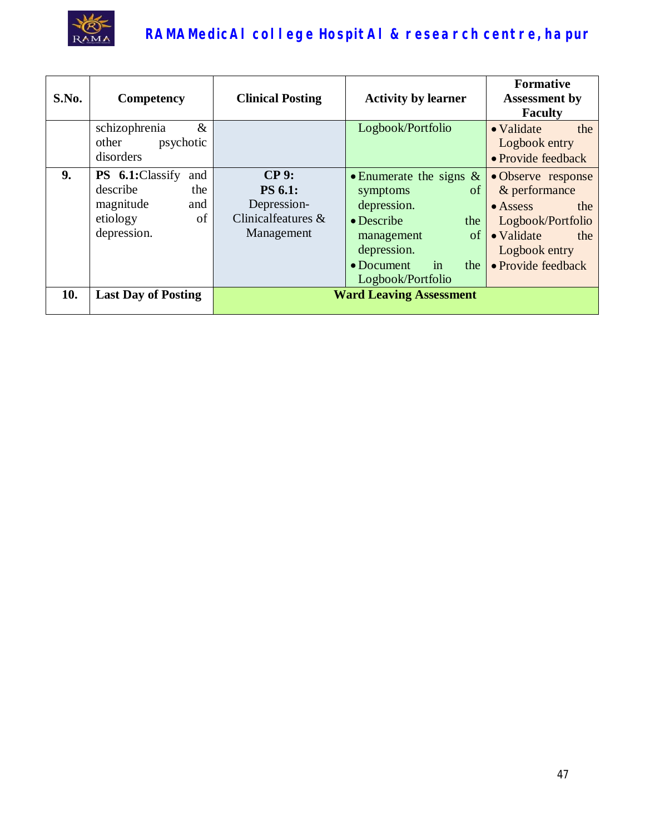

| S.No. | Competency                                                                                     | <b>Clinical Posting</b>                                                      | <b>Activity by learner</b>                                                                                                                                                          | <b>Formative</b><br><b>Assessment by</b><br><b>Faculty</b>                                                                                      |
|-------|------------------------------------------------------------------------------------------------|------------------------------------------------------------------------------|-------------------------------------------------------------------------------------------------------------------------------------------------------------------------------------|-------------------------------------------------------------------------------------------------------------------------------------------------|
|       | schizophrenia<br>$\&$<br>other<br>psychotic<br>disorders                                       |                                                                              | Logbook/Portfolio                                                                                                                                                                   | • Validate<br>the<br>Logbook entry<br>• Provide feedback                                                                                        |
| 9.    | PS 6.1:Classify<br>and<br>describe<br>the<br>magnitude<br>and<br>etiology<br>of<br>depression. | $CP9$ :<br><b>PS 6.1:</b><br>Depression-<br>Clinicalfeatures &<br>Management | • Enumerate the signs $\&$<br>of<br>symptoms<br>depression.<br>$\bullet$ Describe<br>the<br>of<br>management<br>depression.<br>$\bullet$ Document<br>the<br>in<br>Logbook/Portfolio | • Observe response<br>& performance<br>$\bullet$ Assess<br>the<br>Logbook/Portfolio<br>• Validate<br>the<br>Logbook entry<br>• Provide feedback |
| 10.   | <b>Last Day of Posting</b>                                                                     |                                                                              | <b>Ward Leaving Assessment</b>                                                                                                                                                      |                                                                                                                                                 |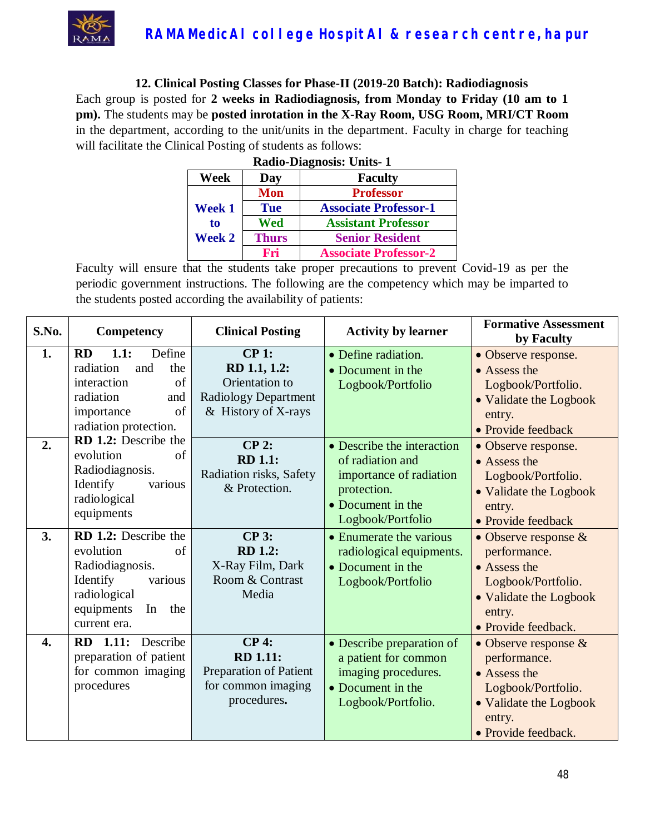

**12. Clinical Posting Classes for Phase-II (2019-20 Batch): Radiodiagnosis** Each group is posted for **2 weeks in Radiodiagnosis, from Monday to Friday (10 am to 1 pm).** The students may be **posted inrotation in the X-Ray Room, USG Room, MRI/CT Room** in the department, according to the unit/units in the department. Faculty in charge for teaching will facilitate the Clinical Posting of students as follows:

| <b>Radio-Diagnosis: Units-1</b> |              |                              |  |  |
|---------------------------------|--------------|------------------------------|--|--|
| Week                            | Day          | <b>Faculty</b>               |  |  |
|                                 | Mon          | <b>Professor</b>             |  |  |
| Week 1                          | <b>Tue</b>   | <b>Associate Professor-1</b> |  |  |
| to                              | Wed          | <b>Assistant Professor</b>   |  |  |
| <b>Week 2</b>                   | <b>Thurs</b> | <b>Senior Resident</b>       |  |  |
|                                 | Fri          | <b>Associate Professor-2</b> |  |  |

| S.No. | Competency                                                                                                                                   | <b>Clinical Posting</b>                                                                              | <b>Activity by learner</b>                                                                                                         | <b>Formative Assessment</b><br>by Faculty                                                                                                                      |
|-------|----------------------------------------------------------------------------------------------------------------------------------------------|------------------------------------------------------------------------------------------------------|------------------------------------------------------------------------------------------------------------------------------------|----------------------------------------------------------------------------------------------------------------------------------------------------------------|
| 1.    | Define<br>1.1:<br><b>RD</b><br>radiation<br>the<br>and<br>of<br>interaction<br>radiation<br>and<br>of<br>importance                          | $CP1$ :<br>RD 1.1, 1.2:<br>Orientation to<br><b>Radiology Department</b><br>& History of X-rays      | • Define radiation.<br>• Document in the<br>Logbook/Portfolio                                                                      | • Observe response.<br>• Assess the<br>Logbook/Portfolio.<br>• Validate the Logbook<br>entry.                                                                  |
| 2.    | radiation protection.<br>RD 1.2: Describe the<br>of<br>evolution<br>Radiodiagnosis.<br>Identify<br>various<br>radiological<br>equipments     | $CP$ 2:<br><b>RD</b> 1.1:<br>Radiation risks, Safety<br>& Protection.                                | • Describe the interaction<br>of radiation and<br>importance of radiation<br>protection.<br>• Document in the<br>Logbook/Portfolio | • Provide feedback<br>• Observe response.<br>• Assess the<br>Logbook/Portfolio.<br>• Validate the Logbook<br>entry.                                            |
| 3.    | RD 1.2: Describe the<br>evolution<br>of<br>Radiodiagnosis.<br>Identify<br>various<br>radiological<br>equipments<br>In<br>the<br>current era. | $CP3$ :<br><b>RD</b> 1.2:<br>X-Ray Film, Dark<br>Room & Contrast<br>Media                            | • Enumerate the various<br>radiological equipments.<br>• Document in the<br>Logbook/Portfolio                                      | • Provide feedback<br>• Observe response $\&$<br>performance.<br>• Assess the<br>Logbook/Portfolio.<br>• Validate the Logbook<br>entry.<br>• Provide feedback. |
| 4.    | RD 1.11: Describe<br>preparation of patient<br>for common imaging<br>procedures                                                              | <b>CP4:</b><br><b>RD</b> 1.11:<br><b>Preparation of Patient</b><br>for common imaging<br>procedures. | • Describe preparation of<br>a patient for common<br>imaging procedures.<br>• Document in the<br>Logbook/Portfolio.                | • Observe response $&$<br>performance.<br>• Assess the<br>Logbook/Portfolio.<br>• Validate the Logbook<br>entry.<br>• Provide feedback.                        |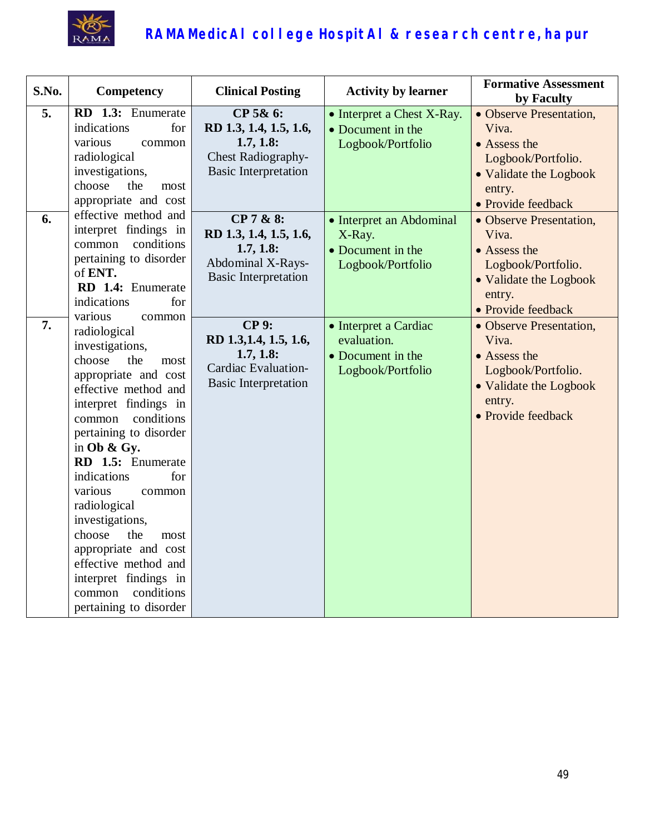

| S.No. | Competency                                                                                                                                                                                                                                                                                                                                                                                                                                                | <b>Clinical Posting</b>                                                                                     | <b>Activity by learner</b>                                                     | <b>Formative Assessment</b><br>by Faculty                                                                                        |
|-------|-----------------------------------------------------------------------------------------------------------------------------------------------------------------------------------------------------------------------------------------------------------------------------------------------------------------------------------------------------------------------------------------------------------------------------------------------------------|-------------------------------------------------------------------------------------------------------------|--------------------------------------------------------------------------------|----------------------------------------------------------------------------------------------------------------------------------|
| 5.    | RD 1.3: Enumerate<br>indications<br>for<br>various<br>common<br>radiological<br>investigations,<br>choose<br>the<br>most<br>appropriate and cost                                                                                                                                                                                                                                                                                                          | CP 5& 6:<br>RD 1.3, 1.4, 1.5, 1.6,<br>1.7, 1.8:<br><b>Chest Radiography-</b><br><b>Basic Interpretation</b> | • Interpret a Chest X-Ray.<br>• Document in the<br>Logbook/Portfolio           | • Observe Presentation,<br>Viva.<br>• Assess the<br>Logbook/Portfolio.<br>• Validate the Logbook<br>entry.<br>• Provide feedback |
| 6.    | effective method and<br>interpret findings in<br>conditions<br>common<br>pertaining to disorder<br>of ENT.<br>RD 1.4: Enumerate<br>indications<br>for<br>various<br>common                                                                                                                                                                                                                                                                                | CP 7 & 8:<br>RD 1.3, 1.4, 1.5, 1.6,<br>1.7, 1.8:<br>Abdominal X-Rays-<br><b>Basic Interpretation</b>        | • Interpret an Abdominal<br>X-Ray.<br>• Document in the<br>Logbook/Portfolio   | • Observe Presentation,<br>Viva.<br>• Assess the<br>Logbook/Portfolio.<br>• Validate the Logbook<br>entry.<br>• Provide feedback |
| 7.    | radiological<br>investigations,<br>choose<br>the<br>most<br>appropriate and cost<br>effective method and<br>interpret findings in<br>conditions<br>common<br>pertaining to disorder<br>in Ob & Gy.<br>RD 1.5: Enumerate<br>indications<br>for<br>various<br>common<br>radiological<br>investigations,<br>choose<br>the<br>most<br>appropriate and cost<br>effective method and<br>interpret findings in<br>conditions<br>common<br>pertaining to disorder | <b>CP9:</b><br>RD 1.3, 1.4, 1.5, 1.6,<br>1.7, 1.8:<br>Cardiac Evaluation-<br><b>Basic Interpretation</b>    | • Interpret a Cardiac<br>evaluation.<br>• Document in the<br>Logbook/Portfolio | • Observe Presentation,<br>Viva.<br>• Assess the<br>Logbook/Portfolio.<br>• Validate the Logbook<br>entry.<br>· Provide feedback |